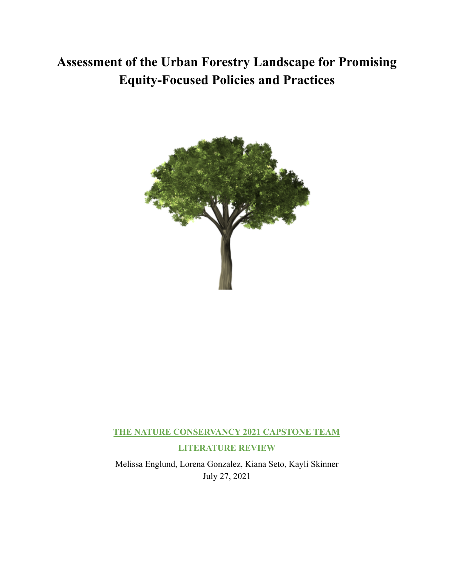# **Assessment of the Urban Forestry Landscape for Promising Equity-Focused Policies and Practices**



# **THE NATURE CONSERVANCY 2021 CAPSTONE TEAM**

# **LITERATURE REVIEW**

Melissa Englund, Lorena Gonzalez, Kiana Seto, Kayli Skinner July 27, 2021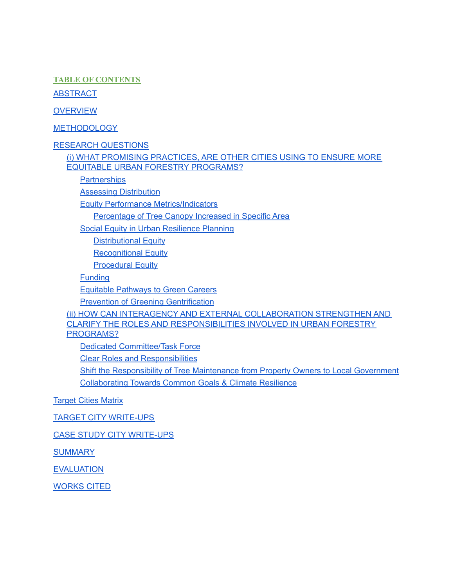**TABLE OF CONTENTS**

**ABSTRACT** 

**OVERVIEW** 

METHODOLOGY

RESEARCH [QUESTIONS](#page-4-0)

(i) WHAT PROMISING [PRACTICES,](#page-4-1) ARE OTHER CITIES USING TO ENSURE MORE EQUITABLE URBAN FORESTRY [PROGRAMS?](#page-4-1)

**[Partnerships](#page-4-2)** 

Assessing [Distribution](#page-4-3)

Equity Performance [Metrics/Indicators](#page-5-0)

[Percentage](#page-5-1) of Tree Canopy Increased in Specific Area

Social Equity in Urban [Resilience](#page-5-2) Planning

[Distributional](#page-6-0) Equity

Recognitional Equity

**[Procedural](#page-6-1) Equity** 

**[Funding](#page-6-2)** 

Equitable [Pathways](#page-7-0) to Green Careers

Prevention of Greening Gentrification

(ii) HOW CAN INTERAGENCY AND EXTERNAL COLLABORATION STRENGTHEN AND CLARIFY THE ROLES AND RESPONSIBILITIES INVOLVED IN URBAN FORESTRY PROGRAMS?

Dedicated [Committee/Task](#page-8-0) Force

Clear Roles and [Responsibilities](#page-9-0)

Shift the [Responsibility](#page-9-1) of Tree Maintenance from Property Owners to Local Government [Collaborating](#page-9-2) Towards Common Goals & Climate Resilience

[Target](#page-13-0) Cities Matrix

TARGET CITY [WRITE-UPS](#page-15-0)

CASE STUDY CITY WRITE-UPS

**SUMMARY** 

EVALUATION

WORKS CITED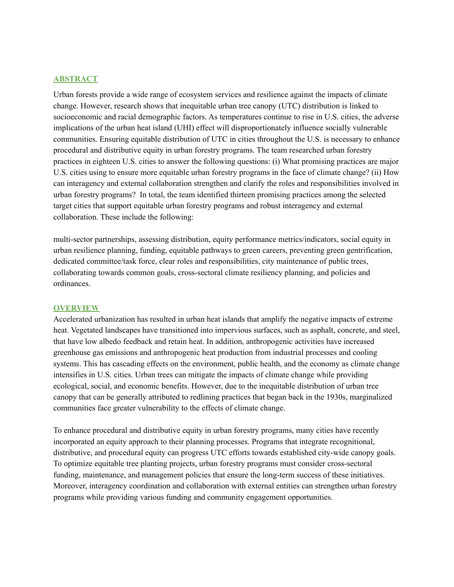#### **ABSTRACT**

Urban forests provide a wide range of ecosystem services and resilience against the impacts of climate change. However, research shows that inequitable urban tree canopy (UTC) distribution is linked to socioeconomic and racial demographic factors. As temperatures continue to rise in U.S. cities, the adverse implications of the urban heat island (UHI) effect will disproportionately influence socially vulnerable communities. Ensuring equitable distribution of UTC in cities throughout the U.S. is necessary to enhance procedural and distributive equity in urban forestry programs. The team researched urban forestry practices in eighteen U.S. cities to answer the following questions: (i) What promising practices are major U.S. cities using to ensure more equitable urban forestry programs in the face of climate change? (ii) How can interagency and external collaboration strengthen and clarify the roles and responsibilities involved in urban forestry programs? In total, the team identified thirteen promising practices among the selected target cities that support equitable urban forestry programs and robust interagency and external collaboration. These include the following:

multi-sector partnerships, assessing distribution, equity performance metrics/indicators, social equity in urban resilience planning, funding, equitable pathways to green careers, preventing green gentrification, dedicated committee/task force, clear roles and responsibilities, city maintenance of public trees, collaborating towards common goals, cross-sectoral climate resiliency planning, and policies and ordinances.

#### **OVERVIEW**

Accelerated urbanization has resulted in urban heat islands that amplify the negative impacts of extreme heat. Vegetated landscapes have transitioned into impervious surfaces, such as asphalt, concrete, and steel, that have low albedo feedback and retain heat. In addition, anthropogenic activities have increased greenhouse gas emissions and anthropogenic heat production from industrial processes and cooling systems. This has cascading effects on the environment, public health, and the economy as climate change intensifies in U.S. cities. Urban trees can mitigate the impacts of climate change while providing ecological, social, and economic benefits. However, due to the inequitable distribution of urban tree canopy that can be generally attributed to redlining practices that began back in the 1930s, marginalized communities face greater vulnerability to the effects of climate change.

To enhance procedural and distributive equity in urban forestry programs, many cities have recently incorporated an equity approach to their planning processes. Programs that integrate recognitional, distributive, and procedural equity can progress UTC efforts towards established city-wide canopy goals. To optimize equitable tree planting projects, urban forestry programs must consider cross-sectoral funding, maintenance, and management policies that ensure the long-term success of these initiatives. Moreover, interagency coordination and collaboration with external entities can strengthen urban forestry programs while providing various funding and community engagement opportunities.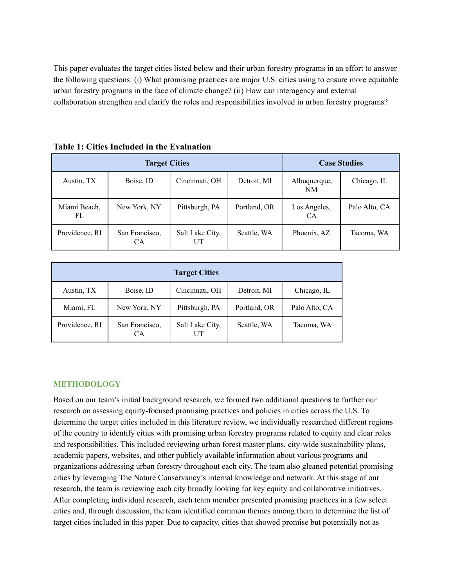This paper evaluates the target cities listed below and their urban forestry programs in an effort to answer the following questions: (i) What promising practices are major U.S. cities using to ensure more equitable urban forestry programs in the face of climate change? (ii) How can interagency and external collaboration strengthen and clarify the roles and responsibilities involved in urban forestry programs?

|                     | <b>Target Cities</b>        |                       | <b>Case Studies</b> |                     |               |
|---------------------|-----------------------------|-----------------------|---------------------|---------------------|---------------|
| Austin, TX          | Boise, ID                   | Cincinnati, OH        | Detroit, MI         | Albuquerque,<br>NM  | Chicago, IL   |
| Miami Beach,<br>FL. | New York, NY                | Pittsburgh, PA        | Portland, OR        | Los Angeles,<br>CA. | Palo Alto, CA |
| Providence, RI      | San Francisco,<br><b>CA</b> | Salt Lake City,<br>UT | Seattle, WA         | Phoenix, AZ         | Tacoma, WA    |

**Table 1: Cities Included in the Evaluation**

|                |                             | <b>Target Cities</b> |              |               |
|----------------|-----------------------------|----------------------|--------------|---------------|
| Austin, TX     | Boise, ID                   | Cincinnati, OH       | Detroit, MI  | Chicago, IL   |
| Miami, FL      | New York, NY                | Pittsburgh, PA       | Portland, OR | Palo Alto, CA |
| Providence, RI | San Francisco,<br><b>CA</b> | Salt Lake City,      | Seattle, WA  | Tacoma, WA    |

#### **METHODOLOGY**

Based on our team's initial background research, we formed two additional questions to further our research on assessing equity-focused promising practices and policies in cities across the U.S. To determine the target cities included in this literature review, we individually researched different regions of the country to identify cities with promising urban forestry programs related to equity and clear roles and responsibilities. This included reviewing urban forest master plans, city-wide sustainability plans, academic papers, websites, and other publicly available information about various programs and organizations addressing urban forestry throughout each city. The team also gleaned potential promising cities by leveraging The Nature Conservancy's internal knowledge and network. At this stage of our research, the team is reviewing each city broadly looking for key equity and collaborative initiatives. After completing individual research, each team member presented promising practices in a few select cities and, through discussion, the team identified common themes among them to determine the list of target cities included in this paper. Due to capacity, cities that showed promise but potentially not as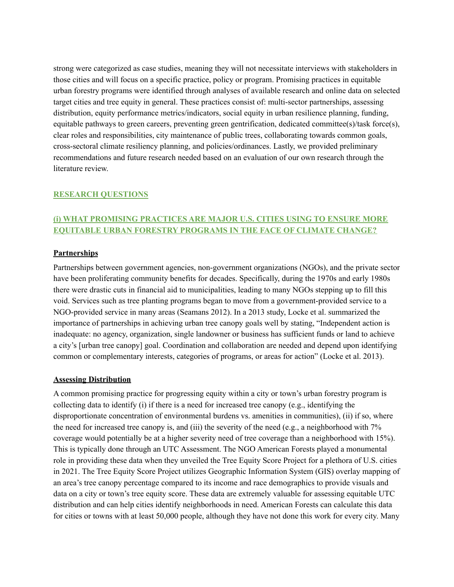strong were categorized as case studies, meaning they will not necessitate interviews with stakeholders in those cities and will focus on a specific practice, policy or program. Promising practices in equitable urban forestry programs were identified through analyses of available research and online data on selected target cities and tree equity in general. These practices consist of: multi-sector partnerships, assessing distribution, equity performance metrics/indicators, social equity in urban resilience planning, funding, equitable pathways to green careers, preventing green gentrification, dedicated committee(s)/task force(s), clear roles and responsibilities, city maintenance of public trees, collaborating towards common goals, cross-sectoral climate resiliency planning, and policies/ordinances. Lastly, we provided preliminary recommendations and future research needed based on an evaluation of our own research through the literature review.

## <span id="page-4-0"></span>**RESEARCH QUESTIONS**

# <span id="page-4-1"></span>**(i) WHAT PROMISING PRACTICES ARE MAJOR U.S. CITIES USING TO ENSURE MORE EQUITABLE URBAN FORESTRY PROGRAMS IN THE FACE OF CLIMATE CHANGE?**

### <span id="page-4-2"></span>**Partnerships**

Partnerships between government agencies, non-government organizations (NGOs), and the private sector have been proliferating community benefits for decades. Specifically, during the 1970s and early 1980s there were drastic cuts in financial aid to municipalities, leading to many NGOs stepping up to fill this void. Services such as tree planting programs began to move from a government-provided service to a NGO-provided service in many areas (Seamans 2012). In a 2013 study, Locke et al. summarized the importance of partnerships in achieving urban tree canopy goals well by stating, "Independent action is inadequate: no agency, organization, single landowner or business has sufficient funds or land to achieve a city's [urban tree canopy] goal. Coordination and collaboration are needed and depend upon identifying common or complementary interests, categories of programs, or areas for action" (Locke et al. 2013).

#### <span id="page-4-3"></span>**Assessing Distribution**

A common promising practice for progressing equity within a city or town's urban forestry program is collecting data to identify (i) if there is a need for increased tree canopy (e.g., identifying the disproportionate concentration of environmental burdens vs. amenities in communities), (ii) if so, where the need for increased tree canopy is, and (iii) the severity of the need (e.g., a neighborhood with 7% coverage would potentially be at a higher severity need of tree coverage than a neighborhood with 15%). This is typically done through an UTC Assessment. The NGO American Forests played a monumental role in providing these data when they unveiled the Tree Equity Score Project for a plethora of U.S. cities in 2021. The Tree Equity Score Project utilizes Geographic Information System (GIS) overlay mapping of an area's tree canopy percentage compared to its income and race demographics to provide visuals and data on a city or town's tree equity score. These data are extremely valuable for assessing equitable UTC distribution and can help cities identify neighborhoods in need. American Forests can calculate this data for cities or towns with at least 50,000 people, although they have not done this work for every city. Many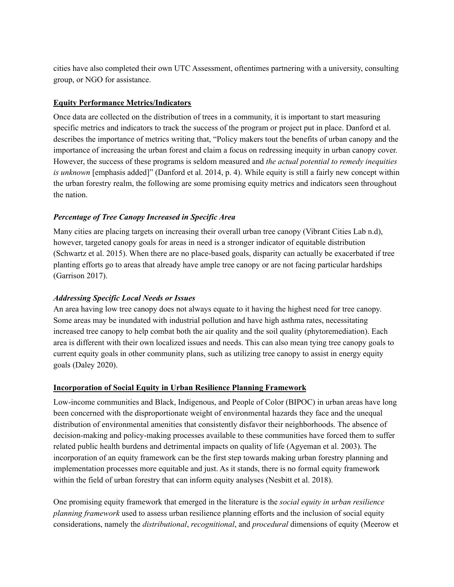cities have also completed their own UTC Assessment, oftentimes partnering with a university, consulting group, or NGO for assistance.

## <span id="page-5-0"></span>**Equity Performance Metrics/Indicators**

Once data are collected on the distribution of trees in a community, it is important to start measuring specific metrics and indicators to track the success of the program or project put in place. Danford et al. describes the importance of metrics writing that, "Policy makers tout the benefits of urban canopy and the importance of increasing the urban forest and claim a focus on redressing inequity in urban canopy cover. However, the success of these programs is seldom measured and *the actual potential to remedy inequities is unknown* [emphasis added]" (Danford et al. 2014, p. 4). While equity is still a fairly new concept within the urban forestry realm, the following are some promising equity metrics and indicators seen throughout the nation.

## <span id="page-5-1"></span>*Percentage of Tree Canopy Increased in Specific Area*

Many cities are placing targets on increasing their overall urban tree canopy (Vibrant Cities Lab n.d), however, targeted canopy goals for areas in need is a stronger indicator of equitable distribution (Schwartz et al. 2015). When there are no place-based goals, disparity can actually be exacerbated if tree planting efforts go to areas that already have ample tree canopy or are not facing particular hardships (Garrison 2017).

## *Addressing Specific Local Needs or Issues*

An area having low tree canopy does not always equate to it having the highest need for tree canopy. Some areas may be inundated with industrial pollution and have high asthma rates, necessitating increased tree canopy to help combat both the air quality and the soil quality (phytoremediation). Each area is different with their own localized issues and needs. This can also mean tying tree canopy goals to current equity goals in other community plans, such as utilizing tree canopy to assist in energy equity goals (Daley 2020).

## <span id="page-5-2"></span>**Incorporation of Social Equity in Urban Resilience Planning Framework**

Low-income communities and Black, Indigenous, and People of Color (BIPOC) in urban areas have long been concerned with the disproportionate weight of environmental hazards they face and the unequal distribution of environmental amenities that consistently disfavor their neighborhoods. The absence of decision-making and policy-making processes available to these communities have forced them to suffer related public health burdens and detrimental impacts on quality of life (Agyeman et al. 2003). The incorporation of an equity framework can be the first step towards making urban forestry planning and implementation processes more equitable and just. As it stands, there is no formal equity framework within the field of urban forestry that can inform equity analyses (Nesbitt et al. 2018).

One promising equity framework that emerged in the literature is the *social equity in urban resilience planning framework* used to assess urban resilience planning efforts and the inclusion of social equity considerations, namely the *distributional*, *recognitional*, and *procedural* dimensions of equity (Meerow et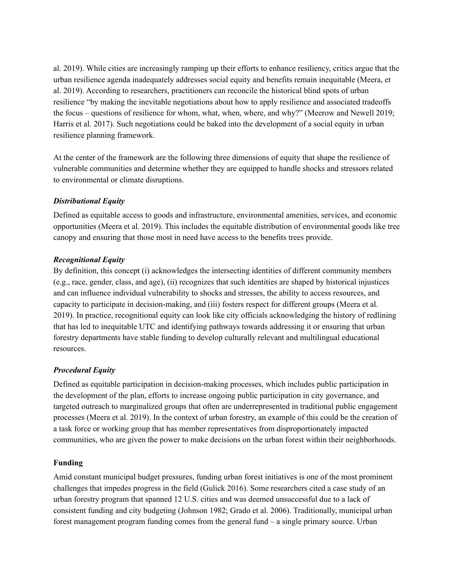al. 2019). While cities are increasingly ramping up their efforts to enhance resiliency, critics argue that the urban resilience agenda inadequately addresses social equity and benefits remain inequitable (Meera, et al. 2019). According to researchers, practitioners can reconcile the historical blind spots of urban resilience "by making the inevitable negotiations about how to apply resilience and associated tradeoffs the focus – questions of resilience for whom, what, when, where, and why?" (Meerow and Newell 2019; Harris et al. 2017). Such negotiations could be baked into the development of a social equity in urban resilience planning framework.

At the center of the framework are the following three dimensions of equity that shape the resilience of vulnerable communities and determine whether they are equipped to handle shocks and stressors related to environmental or climate disruptions.

## <span id="page-6-0"></span>*Distributional Equity*

Defined as equitable access to goods and infrastructure, environmental amenities, services, and economic opportunities (Meera et al. 2019). This includes the equitable distribution of environmental goods like tree canopy and ensuring that those most in need have access to the benefits trees provide.

### *Recognitional Equity*

By definition, this concept (i) acknowledges the intersecting identities of different community members (e.g., race, gender, class, and age), (ii) recognizes that such identities are shaped by historical injustices and can influence individual vulnerability to shocks and stresses, the ability to access resources, and capacity to participate in decision-making, and (iii) fosters respect for different groups (Meera et al. 2019). In practice, recognitional equity can look like city officials acknowledging the history of redlining that has led to inequitable UTC and identifying pathways towards addressing it or ensuring that urban forestry departments have stable funding to develop culturally relevant and multilingual educational resources.

## <span id="page-6-1"></span>*Procedural Equity*

Defined as equitable participation in decision-making processes, which includes public participation in the development of the plan, efforts to increase ongoing public participation in city governance, and targeted outreach to marginalized groups that often are underrepresented in traditional public engagement processes (Meera et al. 2019). In the context of urban forestry, an example of this could be the creation of a task force or working group that has member representatives from disproportionately impacted communities, who are given the power to make decisions on the urban forest within their neighborhoods.

## <span id="page-6-2"></span>**Funding**

Amid constant municipal budget pressures, funding urban forest initiatives is one of the most prominent challenges that impedes progress in the field (Gulick 2016). Some researchers cited a case study of an urban forestry program that spanned 12 U.S. cities and was deemed unsuccessful due to a lack of consistent funding and city budgeting (Johnson 1982; Grado et al. 2006). Traditionally, municipal urban forest management program funding comes from the general fund – a single primary source. Urban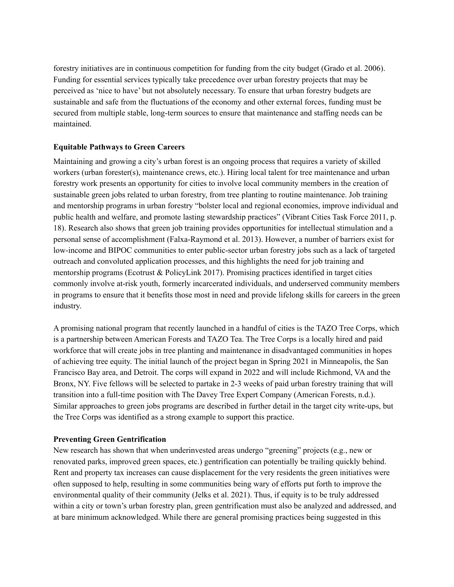forestry initiatives are in continuous competition for funding from the city budget (Grado et al. 2006). Funding for essential services typically take precedence over urban forestry projects that may be perceived as 'nice to have' but not absolutely necessary. To ensure that urban forestry budgets are sustainable and safe from the fluctuations of the economy and other external forces, funding must be secured from multiple stable, long-term sources to ensure that maintenance and staffing needs can be maintained.

## <span id="page-7-0"></span>**Equitable Pathways to Green Careers**

Maintaining and growing a city's urban forest is an ongoing process that requires a variety of skilled workers (urban forester(s), maintenance crews, etc.). Hiring local talent for tree maintenance and urban forestry work presents an opportunity for cities to involve local community members in the creation of sustainable green jobs related to urban forestry, from tree planting to routine maintenance. Job training and mentorship programs in urban forestry "bolster local and regional economies, improve individual and public health and welfare, and promote lasting stewardship practices" (Vibrant Cities Task Force 2011, p. 18). Research also shows that green job training provides opportunities for intellectual stimulation and a personal sense of accomplishment (Falxa-Raymond et al. 2013). However, a number of barriers exist for low-income and BIPOC communities to enter public-sector urban forestry jobs such as a lack of targeted outreach and convoluted application processes, and this highlights the need for job training and mentorship programs (Ecotrust & PolicyLink 2017). Promising practices identified in target cities commonly involve at-risk youth, formerly incarcerated individuals, and underserved community members in programs to ensure that it benefits those most in need and provide lifelong skills for careers in the green industry.

A promising national program that recently launched in a handful of cities is the TAZO Tree Corps, which is a partnership between American Forests and TAZO Tea. The Tree Corps is a locally hired and paid workforce that will create jobs in tree planting and maintenance in disadvantaged communities in hopes of achieving tree equity. The initial launch of the project began in Spring 2021 in Minneapolis, the San Francisco Bay area, and Detroit. The corps will expand in 2022 and will include Richmond, VA and the Bronx, NY. Five fellows will be selected to partake in 2-3 weeks of paid urban forestry training that will transition into a full-time position with The Davey Tree Expert Company (American Forests, n.d.). Similar approaches to green jobs programs are described in further detail in the target city write-ups, but the Tree Corps was identified as a strong example to support this practice.

#### **Preventing Green Gentrification**

New research has shown that when underinvested areas undergo "greening" projects (e.g., new or renovated parks, improved green spaces, etc.) gentrification can potentially be trailing quickly behind. Rent and property tax increases can cause displacement for the very residents the green initiatives were often supposed to help, resulting in some communities being wary of efforts put forth to improve the environmental quality of their community (Jelks et al. 2021). Thus, if equity is to be truly addressed within a city or town's urban forestry plan, green gentrification must also be analyzed and addressed, and at bare minimum acknowledged. While there are general promising practices being suggested in this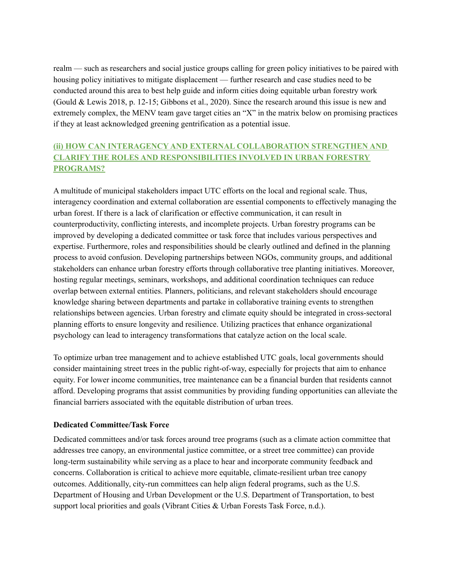realm — such as researchers and social justice groups calling for green policy initiatives to be paired with housing policy initiatives to mitigate displacement — further research and case studies need to be conducted around this area to best help guide and inform cities doing equitable urban forestry work (Gould & Lewis 2018, p. 12-15; Gibbons et al., 2020). Since the research around this issue is new and extremely complex, the MENV team gave target cities an "X" in the matrix below on promising practices if they at least acknowledged greening gentrification as a potential issue.

# **(ii) HOW CAN INTERAGENCY AND EXTERNAL COLLABORATION STRENGTHEN AND CLARIFY THE ROLES AND RESPONSIBILITIES INVOLVED IN URBAN FORESTRY PROGRAMS?**

A multitude of municipal stakeholders impact UTC efforts on the local and regional scale. Thus, interagency coordination and external collaboration are essential components to effectively managing the urban forest. If there is a lack of clarification or effective communication, it can result in counterproductivity, conflicting interests, and incomplete projects. Urban forestry programs can be improved by developing a dedicated committee or task force that includes various perspectives and expertise. Furthermore, roles and responsibilities should be clearly outlined and defined in the planning process to avoid confusion. Developing partnerships between NGOs, community groups, and additional stakeholders can enhance urban forestry efforts through collaborative tree planting initiatives. Moreover, hosting regular meetings, seminars, workshops, and additional coordination techniques can reduce overlap between external entities. Planners, politicians, and relevant stakeholders should encourage knowledge sharing between departments and partake in collaborative training events to strengthen relationships between agencies. Urban forestry and climate equity should be integrated in cross-sectoral planning efforts to ensure longevity and resilience. Utilizing practices that enhance organizational psychology can lead to interagency transformations that catalyze action on the local scale.

To optimize urban tree management and to achieve established UTC goals, local governments should consider maintaining street trees in the public right-of-way, especially for projects that aim to enhance equity. For lower income communities, tree maintenance can be a financial burden that residents cannot afford. Developing programs that assist communities by providing funding opportunities can alleviate the financial barriers associated with the equitable distribution of urban trees.

## <span id="page-8-0"></span>**Dedicated Committee/Task Force**

Dedicated committees and/or task forces around tree programs (such as a climate action committee that addresses tree canopy, an environmental justice committee, or a street tree committee) can provide long-term sustainability while serving as a place to hear and incorporate community feedback and concerns. Collaboration is critical to achieve more equitable, climate-resilient urban tree canopy outcomes. Additionally, city-run committees can help align federal programs, such as the U.S. Department of Housing and Urban Development or the U.S. Department of Transportation, to best support local priorities and goals (Vibrant Cities & Urban Forests Task Force, n.d.).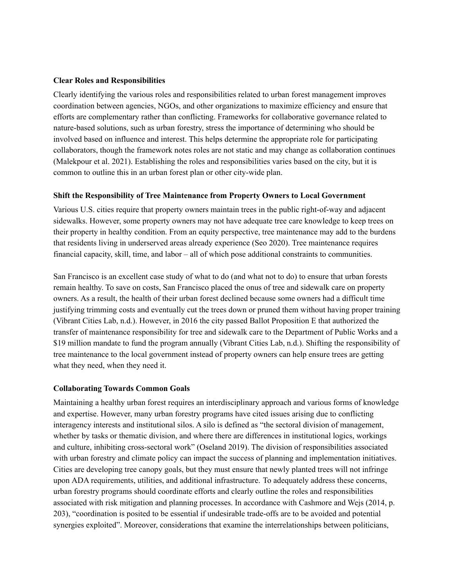#### <span id="page-9-0"></span>**Clear Roles and Responsibilities**

Clearly identifying the various roles and responsibilities related to urban forest management improves coordination between agencies, NGOs, and other organizations to maximize efficiency and ensure that efforts are complementary rather than conflicting. Frameworks for collaborative governance related to nature-based solutions, such as urban forestry, stress the importance of determining who should be involved based on influence and interest. This helps determine the appropriate role for participating collaborators, though the framework notes roles are not static and may change as collaboration continues (Malekpour et al. 2021). Establishing the roles and responsibilities varies based on the city, but it is common to outline this in an urban forest plan or other city-wide plan.

#### <span id="page-9-1"></span>**Shift the Responsibility of Tree Maintenance from Property Owners to Local Government**

Various U.S. cities require that property owners maintain trees in the public right-of-way and adjacent sidewalks. However, some property owners may not have adequate tree care knowledge to keep trees on their property in healthy condition. From an equity perspective, tree maintenance may add to the burdens that residents living in underserved areas already experience (Seo 2020). Tree maintenance requires financial capacity, skill, time, and labor – all of which pose additional constraints to communities.

San Francisco is an excellent case study of what to do (and what not to do) to ensure that urban forests remain healthy. To save on costs, San Francisco placed the onus of tree and sidewalk care on property owners. As a result, the health of their urban forest declined because some owners had a difficult time justifying trimming costs and eventually cut the trees down or pruned them without having proper training (Vibrant Cities Lab, n.d.). However, in 2016 the city passed Ballot Proposition E that authorized the transfer of maintenance responsibility for tree and sidewalk care to the Department of Public Works and a \$19 million mandate to fund the program annually (Vibrant Cities Lab, n.d.). Shifting the responsibility of tree maintenance to the local government instead of property owners can help ensure trees are getting what they need, when they need it.

#### <span id="page-9-2"></span>**Collaborating Towards Common Goals**

Maintaining a healthy urban forest requires an interdisciplinary approach and various forms of knowledge and expertise. However, many urban forestry programs have cited issues arising due to conflicting interagency interests and institutional silos. A silo is defined as "the sectoral division of management, whether by tasks or thematic division, and where there are differences in institutional logics, workings and culture, inhibiting cross-sectoral work" (Oseland 2019). The division of responsibilities associated with urban forestry and climate policy can impact the success of planning and implementation initiatives. Cities are developing tree canopy goals, but they must ensure that newly planted trees will not infringe upon ADA requirements, utilities, and additional infrastructure. To adequately address these concerns, urban forestry programs should coordinate efforts and clearly outline the roles and responsibilities associated with risk mitigation and planning processes. In accordance with Cashmore and Wejs (2014, p. 203), "coordination is posited to be essential if undesirable trade-offs are to be avoided and potential synergies exploited". Moreover, considerations that examine the interrelationships between politicians,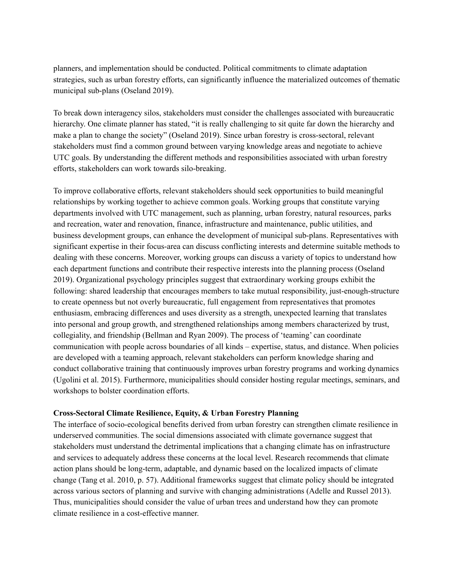planners, and implementation should be conducted. Political commitments to climate adaptation strategies, such as urban forestry efforts, can significantly influence the materialized outcomes of thematic municipal sub-plans (Oseland 2019).

To break down interagency silos, stakeholders must consider the challenges associated with bureaucratic hierarchy. One climate planner has stated, "it is really challenging to sit quite far down the hierarchy and make a plan to change the society" (Oseland 2019). Since urban forestry is cross-sectoral, relevant stakeholders must find a common ground between varying knowledge areas and negotiate to achieve UTC goals. By understanding the different methods and responsibilities associated with urban forestry efforts, stakeholders can work towards silo-breaking.

To improve collaborative efforts, relevant stakeholders should seek opportunities to build meaningful relationships by working together to achieve common goals. Working groups that constitute varying departments involved with UTC management, such as planning, urban forestry, natural resources, parks and recreation, water and renovation, finance, infrastructure and maintenance, public utilities, and business development groups, can enhance the development of municipal sub-plans. Representatives with significant expertise in their focus-area can discuss conflicting interests and determine suitable methods to dealing with these concerns. Moreover, working groups can discuss a variety of topics to understand how each department functions and contribute their respective interests into the planning process (Oseland 2019). Organizational psychology principles suggest that extraordinary working groups exhibit the following: shared leadership that encourages members to take mutual responsibility, just-enough-structure to create openness but not overly bureaucratic, full engagement from representatives that promotes enthusiasm, embracing differences and uses diversity as a strength, unexpected learning that translates into personal and group growth, and strengthened relationships among members characterized by trust, collegiality, and friendship (Bellman and Ryan 2009). The process of 'teaming' can coordinate communication with people across boundaries of all kinds – expertise, status, and distance. When policies are developed with a teaming approach, relevant stakeholders can perform knowledge sharing and conduct collaborative training that continuously improves urban forestry programs and working dynamics (Ugolini et al. 2015). Furthermore, municipalities should consider hosting regular meetings, seminars, and workshops to bolster coordination efforts.

#### **Cross-Sectoral Climate Resilience, Equity, & Urban Forestry Planning**

The interface of socio-ecological benefits derived from urban forestry can strengthen climate resilience in underserved communities. The social dimensions associated with climate governance suggest that stakeholders must understand the detrimental implications that a changing climate has on infrastructure and services to adequately address these concerns at the local level. Research recommends that climate action plans should be long-term, adaptable, and dynamic based on the localized impacts of climate change (Tang et al. [2010](https://www-tandfonline-com.colorado.idm.oclc.org/doi/full/10.1080/1523908X.2019.1623657), p. 57). Additional frameworks suggest that climate policy should be integrated across various sectors of planning and survive with changing administrations (Adelle and Russel 2013). Thus, municipalities should consider the value of urban trees and understand how they can promote climate resilience in a cost-effective manner.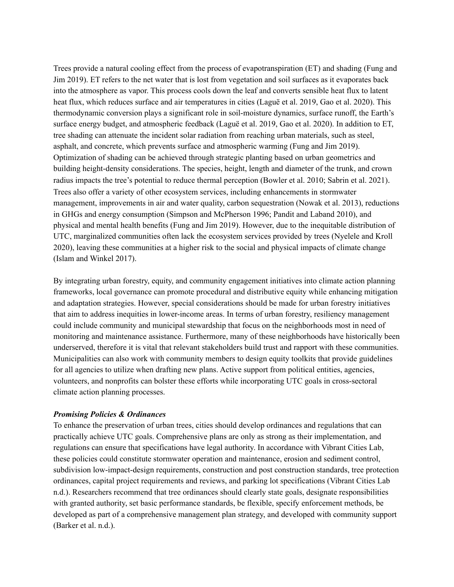Trees provide a natural cooling effect from the process of evapotranspiration (ET) and shading (Fung and Jim 2019). ET refers to the net water that is lost from vegetation and soil surfaces as it evaporates back into the atmosphere as vapor. This process cools down the leaf and converts sensible heat flux to latent heat flux, which reduces surface and air temperatures in cities (Laguë et al. 2019, Gao et al. 2020). This thermodynamic conversion plays a significant role in soil-moisture dynamics, surface runoff, the Earth's surface energy budget, and atmospheric feedback (Laguë et al. 2019, Gao et al. 2020). In addition to ET, tree shading can attenuate the incident solar radiation from reaching urban materials, such as steel, asphalt, and concrete, which prevents surface and atmospheric warming (Fung and Jim 2019). Optimization of shading can be achieved through strategic planting based on urban geometrics and building height-density considerations. The species, height, length and diameter of the trunk, and crown radius impacts the tree's potential to reduce thermal perception (Bowler et al. 2010; Sabrin et al. 2021). Trees also offer a variety of other ecosystem services, including enhancements in stormwater management, improvements in air and water quality, carbon sequestration (Nowak et al. 2013), reductions in GHGs and energy consumption (Simpson and McPherson 1996; Pandit and Laband 2010), and physical and mental health benefits (Fung and Jim 2019). However, due to the inequitable distribution of UTC, marginalized communities often lack the ecosystem services provided by trees (Nyelele and Kroll 2020), leaving these communities at a higher risk to the social and physical impacts of climate change (Islam and Winkel 2017).

By integrating urban forestry, equity, and community engagement initiatives into climate action planning frameworks, local governance can promote procedural and distributive equity while enhancing mitigation and adaptation strategies. However, special considerations should be made for urban forestry initiatives that aim to address inequities in lower-income areas. In terms of urban forestry, resiliency management could include community and municipal stewardship that focus on the neighborhoods most in need of monitoring and maintenance assistance. Furthermore, many of these neighborhoods have historically been underserved, therefore it is vital that relevant stakeholders build trust and rapport with these communities. Municipalities can also work with community members to design equity toolkits that provide guidelines for all agencies to utilize when drafting new plans. Active support from political entities, agencies, volunteers, and nonprofits can bolster these efforts while incorporating UTC goals in cross-sectoral climate action planning processes.

#### *Promising Policies & Ordinances*

To enhance the preservation of urban trees, cities should develop ordinances and regulations that can practically achieve UTC goals. Comprehensive plans are only as strong as their implementation, and regulations can ensure that specifications have legal authority. In accordance with Vibrant Cities Lab, these policies could constitute stormwater operation and maintenance, erosion and sediment control, subdivision low-impact-design requirements, construction and post construction standards, tree protection ordinances, capital project requirements and reviews, and parking lot specifications (Vibrant Cities Lab n.d.). Researchers recommend that tree ordinances should clearly state goals, designate responsibilities with granted authority, set basic performance standards, be flexible, specify enforcement methods, be developed as part of a comprehensive management plan strategy, and developed with community support (Barker et al. n.d.).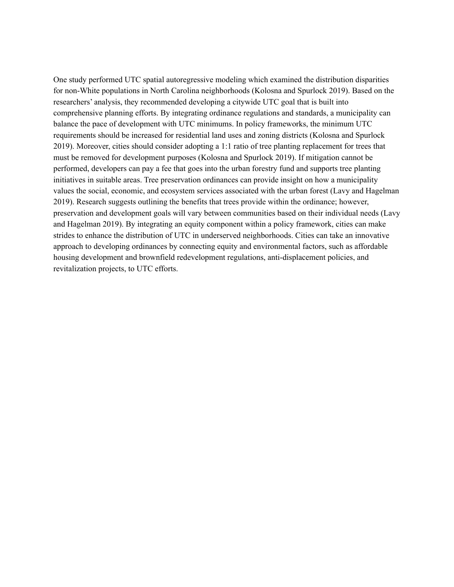One study performed UTC spatial autoregressive modeling which examined the distribution disparities for non-White populations in North Carolina neighborhoods (Kolosna and Spurlock 2019). Based on the researchers' analysis, they recommended developing a citywide UTC goal that is built into comprehensive planning efforts. By integrating ordinance regulations and standards, a municipality can balance the pace of development with UTC minimums. In policy frameworks, the minimum UTC requirements should be increased for residential land uses and zoning districts (Kolosna and Spurlock 2019). Moreover, cities should consider adopting a 1:1 ratio of tree planting replacement for trees that must be removed for development purposes (Kolosna and Spurlock 2019). If mitigation cannot be performed, developers can pay a fee that goes into the urban forestry fund and supports tree planting initiatives in suitable areas. Tree preservation ordinances can provide insight on how a municipality values the social, economic, and ecosystem services associated with the urban forest (Lavy and Hagelman 2019). Research suggests outlining the benefits that trees provide within the ordinance; however, preservation and development goals will vary between communities based on their individual needs (Lavy and Hagelman 2019). By integrating an equity component within a policy framework, cities can make strides to enhance the distribution of UTC in underserved neighborhoods. Cities can take an innovative approach to developing ordinances by connecting equity and environmental factors, such as affordable housing development and brownfield redevelopment regulations, anti-displacement policies, and revitalization projects, to UTC efforts.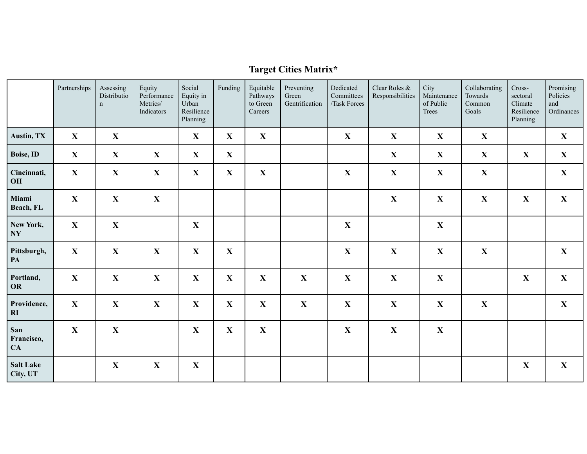# **Target Cities Matrix\***

<span id="page-13-0"></span>

|                              | Partnerships | Assessing<br>Distributio<br>$\mathbf n$ | Equity<br>Performance<br>Metrics/<br>Indicators | Social<br>Equity in<br>Urban<br>Resilience<br>Planning | Funding     | Equitable<br>Pathways<br>to Green<br>Careers | Preventing<br>Green<br>Gentrification | Dedicated<br>Committees<br>/Task Forces | Clear Roles &<br>Responsibilities | City<br>Maintenance<br>of Public<br>Trees | Collaborating<br>Towards<br>Common<br>Goals | Cross-<br>sectoral<br>Climate<br>Resilience<br>Planning | Promising<br>Policies<br>and<br>Ordinances |
|------------------------------|--------------|-----------------------------------------|-------------------------------------------------|--------------------------------------------------------|-------------|----------------------------------------------|---------------------------------------|-----------------------------------------|-----------------------------------|-------------------------------------------|---------------------------------------------|---------------------------------------------------------|--------------------------------------------|
| Austin, TX                   | $\mathbf{X}$ | $\mathbf{X}$                            |                                                 | $\mathbf{X}$                                           | $\mathbf X$ | $\mathbf X$                                  |                                       | $\mathbf{X}$                            | $\mathbf{X}$                      | $\mathbf{X}$                              | $\mathbf{X}$                                |                                                         | $\mathbf{X}$                               |
| Boise, ID                    | $\mathbf{X}$ | $\mathbf{X}$                            | $\mathbf X$                                     | $\mathbf{X}$                                           | $\mathbf X$ |                                              |                                       |                                         | $\mathbf{X}$                      | $\mathbf{X}$                              | $\mathbf{X}$                                | $\mathbf X$                                             | $\mathbf{X}$                               |
| Cincinnati,<br>OH            | $\mathbf{X}$ | $\mathbf{X}$                            | $\mathbf X$                                     | $\mathbf{X}$                                           | $\mathbf X$ | $\mathbf X$                                  |                                       | $\mathbf X$                             | $\mathbf X$                       | $\mathbf X$                               | $\boldsymbol{\mathrm{X}}$                   |                                                         | $\mathbf{X}$                               |
| Miami<br>Beach, FL           | $\mathbf{X}$ | $\mathbf X$                             | $\mathbf X$                                     |                                                        |             |                                              |                                       |                                         | $\mathbf X$                       | $\mathbf X$                               | $\mathbf{X}$                                | $\mathbf X$                                             | $\mathbf{X}$                               |
| New York,<br><b>NY</b>       | X            | $\mathbf{X}$                            |                                                 | $\mathbf X$                                            |             |                                              |                                       | $\mathbf X$                             |                                   | $\mathbf X$                               |                                             |                                                         |                                            |
| Pittsburgh,<br>PA            | $\mathbf{X}$ | $\mathbf X$                             | $\mathbf X$                                     | $\mathbf{X}$                                           | $\mathbf X$ |                                              |                                       | $\mathbf X$                             | $\mathbf X$                       | $\mathbf X$                               | $\mathbf X$                                 |                                                         | $\mathbf{X}$                               |
| Portland,<br><b>OR</b>       | $\mathbf{X}$ | $\mathbf X$                             | $\mathbf X$                                     | $\mathbf X$                                            | $\mathbf X$ | $\mathbf X$                                  | $\mathbf X$                           | $\mathbf X$                             | $\mathbf X$                       | $\mathbf X$                               |                                             | $\mathbf{X}$                                            | $\mathbf{X}$                               |
| Providence,<br>RI            | $\mathbf{X}$ | $\mathbf{X}$                            | $\mathbf X$                                     | $\mathbf X$                                            | $\mathbf X$ | $\mathbf X$                                  | $\mathbf X$                           | $\mathbf X$                             | $\mathbf X$                       | $\mathbf X$                               | $\mathbf{X}$                                |                                                         | $\mathbf{X}$                               |
| San<br>Francisco,<br>CA      | $\mathbf X$  | $\mathbf X$                             |                                                 | $\mathbf X$                                            | $\mathbf X$ | $\mathbf X$                                  |                                       | $\mathbf X$                             | $\mathbf X$                       | $\mathbf X$                               |                                             |                                                         |                                            |
| <b>Salt Lake</b><br>City, UT |              | $\mathbf X$                             | $\mathbf X$                                     | $\mathbf X$                                            |             |                                              |                                       |                                         |                                   |                                           |                                             | $\mathbf X$                                             | $\mathbf{X}$                               |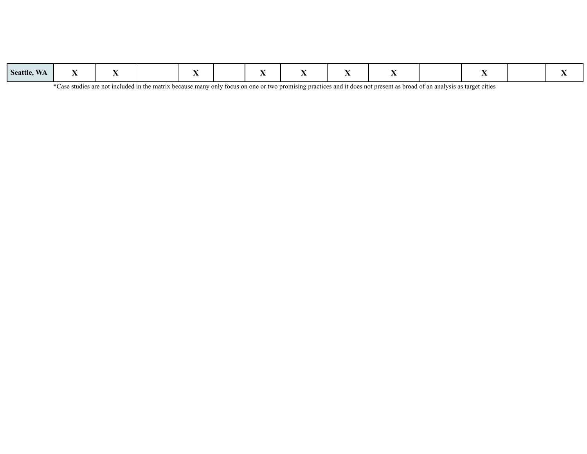| Seattle, WA |  |  |  |  |  |  |  |  |  |  |  |  |  |
|-------------|--|--|--|--|--|--|--|--|--|--|--|--|--|
|-------------|--|--|--|--|--|--|--|--|--|--|--|--|--|

\*Case studies are not included in the matrix because many only focus on one or two promising practices and it does not present as broad of an analysis as target cities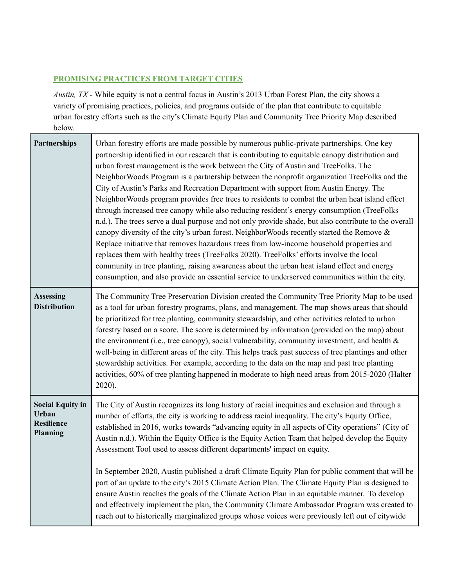# <span id="page-15-0"></span>**PROMISING PRACTICES FROM TARGET CITIES**

*Austin, TX -* While equity is not a central focus in Austin's 2013 Urban Forest Plan, the city shows a variety of promising practices, policies, and programs outside of the plan that contribute to equitable urban forestry efforts such as the city's Climate Equity Plan and Community Tree Priority Map described below.

| <b>Partnerships</b>                                               | Urban forestry efforts are made possible by numerous public-private partnerships. One key<br>partnership identified in our research that is contributing to equitable canopy distribution and<br>urban forest management is the work between the City of Austin and TreeFolks. The<br>NeighborWoods Program is a partnership between the nonprofit organization TreeFolks and the<br>City of Austin's Parks and Recreation Department with support from Austin Energy. The<br>NeighborWoods program provides free trees to residents to combat the urban heat island effect<br>through increased tree canopy while also reducing resident's energy consumption (TreeFolks<br>n.d.). The trees serve a dual purpose and not only provide shade, but also contribute to the overall<br>canopy diversity of the city's urban forest. NeighborWoods recently started the Remove &<br>Replace initiative that removes hazardous trees from low-income household properties and<br>replaces them with healthy trees (TreeFolks 2020). TreeFolks' efforts involve the local<br>community in tree planting, raising awareness about the urban heat island effect and energy<br>consumption, and also provide an essential service to underserved communities within the city. |
|-------------------------------------------------------------------|-----------------------------------------------------------------------------------------------------------------------------------------------------------------------------------------------------------------------------------------------------------------------------------------------------------------------------------------------------------------------------------------------------------------------------------------------------------------------------------------------------------------------------------------------------------------------------------------------------------------------------------------------------------------------------------------------------------------------------------------------------------------------------------------------------------------------------------------------------------------------------------------------------------------------------------------------------------------------------------------------------------------------------------------------------------------------------------------------------------------------------------------------------------------------------------------------------------------------------------------------------------------------|
| <b>Assessing</b><br><b>Distribution</b>                           | The Community Tree Preservation Division created the Community Tree Priority Map to be used<br>as a tool for urban forestry programs, plans, and management. The map shows areas that should<br>be prioritized for tree planting, community stewardship, and other activities related to urban<br>forestry based on a score. The score is determined by information (provided on the map) about<br>the environment (i.e., tree canopy), social vulnerability, community investment, and health $\&$<br>well-being in different areas of the city. This helps track past success of tree plantings and other<br>stewardship activities. For example, according to the data on the map and past tree planting<br>activities, 60% of tree planting happened in moderate to high need areas from 2015-2020 (Halter<br>$2020$ ).                                                                                                                                                                                                                                                                                                                                                                                                                                           |
| <b>Social Equity in</b><br><b>Urban</b><br>Resilience<br>Planning | The City of Austin recognizes its long history of racial inequities and exclusion and through a<br>number of efforts, the city is working to address racial inequality. The city's Equity Office,<br>established in 2016, works towards "advancing equity in all aspects of City operations" (City of<br>Austin n.d.). Within the Equity Office is the Equity Action Team that helped develop the Equity<br>Assessment Tool used to assess different departments' impact on equity.                                                                                                                                                                                                                                                                                                                                                                                                                                                                                                                                                                                                                                                                                                                                                                                   |
|                                                                   | In September 2020, Austin published a draft Climate Equity Plan for public comment that will be<br>part of an update to the city's 2015 Climate Action Plan. The Climate Equity Plan is designed to<br>ensure Austin reaches the goals of the Climate Action Plan in an equitable manner. To develop<br>and effectively implement the plan, the Community Climate Ambassador Program was created to<br>reach out to historically marginalized groups whose voices were previously left out of citywide                                                                                                                                                                                                                                                                                                                                                                                                                                                                                                                                                                                                                                                                                                                                                                |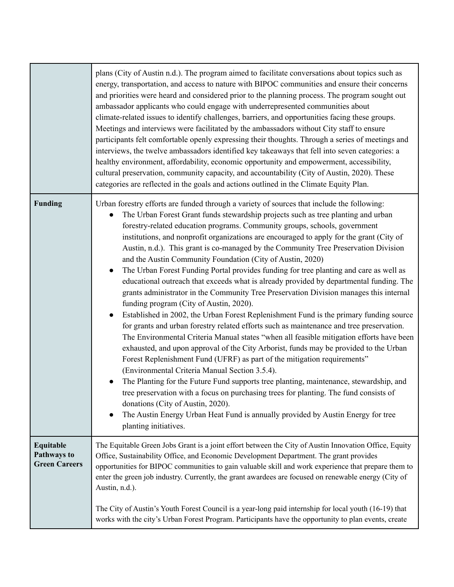|                                                         | plans (City of Austin n.d.). The program aimed to facilitate conversations about topics such as<br>energy, transportation, and access to nature with BIPOC communities and ensure their concerns<br>and priorities were heard and considered prior to the planning process. The program sought out<br>ambassador applicants who could engage with underrepresented communities about<br>climate-related issues to identify challenges, barriers, and opportunities facing these groups.<br>Meetings and interviews were facilitated by the ambassadors without City staff to ensure<br>participants felt comfortable openly expressing their thoughts. Through a series of meetings and<br>interviews, the twelve ambassadors identified key takeaways that fell into seven categories: a<br>healthy environment, affordability, economic opportunity and empowerment, accessibility,<br>cultural preservation, community capacity, and accountability (City of Austin, 2020). These<br>categories are reflected in the goals and actions outlined in the Climate Equity Plan.                                                                                                                                                                                                                                                                                                                                                                                                                                                                                                                                                                                                                                                             |
|---------------------------------------------------------|--------------------------------------------------------------------------------------------------------------------------------------------------------------------------------------------------------------------------------------------------------------------------------------------------------------------------------------------------------------------------------------------------------------------------------------------------------------------------------------------------------------------------------------------------------------------------------------------------------------------------------------------------------------------------------------------------------------------------------------------------------------------------------------------------------------------------------------------------------------------------------------------------------------------------------------------------------------------------------------------------------------------------------------------------------------------------------------------------------------------------------------------------------------------------------------------------------------------------------------------------------------------------------------------------------------------------------------------------------------------------------------------------------------------------------------------------------------------------------------------------------------------------------------------------------------------------------------------------------------------------------------------------------------------------------------------------------------------------------------------|
| <b>Funding</b>                                          | Urban forestry efforts are funded through a variety of sources that include the following:<br>The Urban Forest Grant funds stewardship projects such as tree planting and urban<br>$\bullet$<br>forestry-related education programs. Community groups, schools, government<br>institutions, and nonprofit organizations are encouraged to apply for the grant (City of<br>Austin, n.d.). This grant is co-managed by the Community Tree Preservation Division<br>and the Austin Community Foundation (City of Austin, 2020)<br>The Urban Forest Funding Portal provides funding for tree planting and care as well as<br>$\bullet$<br>educational outreach that exceeds what is already provided by departmental funding. The<br>grants administrator in the Community Tree Preservation Division manages this internal<br>funding program (City of Austin, 2020).<br>Established in 2002, the Urban Forest Replenishment Fund is the primary funding source<br>$\bullet$<br>for grants and urban forestry related efforts such as maintenance and tree preservation.<br>The Environmental Criteria Manual states "when all feasible mitigation efforts have been<br>exhausted, and upon approval of the City Arborist, funds may be provided to the Urban<br>Forest Replenishment Fund (UFRF) as part of the mitigation requirements"<br>(Environmental Criteria Manual Section 3.5.4).<br>The Planting for the Future Fund supports tree planting, maintenance, stewardship, and<br>tree preservation with a focus on purchasing trees for planting. The fund consists of<br>donations (City of Austin, 2020).<br>The Austin Energy Urban Heat Fund is annually provided by Austin Energy for tree<br>$\bullet$<br>planting initiatives. |
| Equitable<br><b>Pathways to</b><br><b>Green Careers</b> | The Equitable Green Jobs Grant is a joint effort between the City of Austin Innovation Office, Equity<br>Office, Sustainability Office, and Economic Development Department. The grant provides<br>opportunities for BIPOC communities to gain valuable skill and work experience that prepare them to<br>enter the green job industry. Currently, the grant awardees are focused on renewable energy (City of<br>Austin, n.d.).<br>The City of Austin's Youth Forest Council is a year-long paid internship for local youth (16-19) that<br>works with the city's Urban Forest Program. Participants have the opportunity to plan events, create                                                                                                                                                                                                                                                                                                                                                                                                                                                                                                                                                                                                                                                                                                                                                                                                                                                                                                                                                                                                                                                                                          |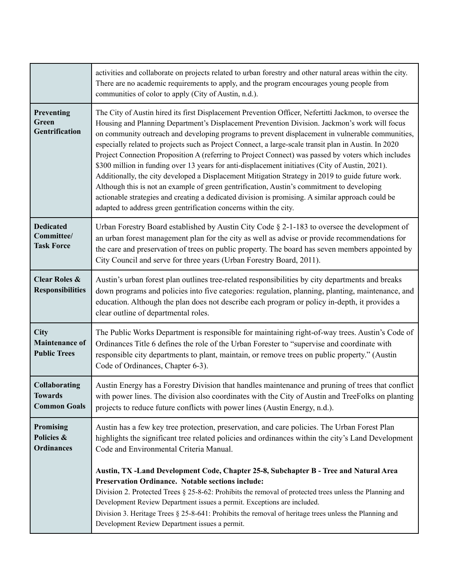|                                                               | activities and collaborate on projects related to urban forestry and other natural areas within the city.<br>There are no academic requirements to apply, and the program encourages young people from<br>communities of color to apply (City of Austin, n.d.).                                                                                                                                                                                                                                                                                                                                                                                                                                                                                                                                                                                                                                                                                                                                              |
|---------------------------------------------------------------|--------------------------------------------------------------------------------------------------------------------------------------------------------------------------------------------------------------------------------------------------------------------------------------------------------------------------------------------------------------------------------------------------------------------------------------------------------------------------------------------------------------------------------------------------------------------------------------------------------------------------------------------------------------------------------------------------------------------------------------------------------------------------------------------------------------------------------------------------------------------------------------------------------------------------------------------------------------------------------------------------------------|
| Preventing<br>Green<br>Gentrification                         | The City of Austin hired its first Displacement Prevention Officer, Nefertitti Jackmon, to oversee the<br>Housing and Planning Department's Displacement Prevention Division. Jackmon's work will focus<br>on community outreach and developing programs to prevent displacement in vulnerable communities,<br>especially related to projects such as Project Connect, a large-scale transit plan in Austin. In 2020<br>Project Connection Proposition A (referring to Project Connect) was passed by voters which includes<br>\$300 million in funding over 13 years for anti-displacement initiatives (City of Austin, 2021).<br>Additionally, the city developed a Displacement Mitigation Strategy in 2019 to guide future work.<br>Although this is not an example of green gentrification, Austin's commitment to developing<br>actionable strategies and creating a dedicated division is promising. A similar approach could be<br>adapted to address green gentrification concerns within the city. |
| <b>Dedicated</b><br>Committee/<br><b>Task Force</b>           | Urban Forestry Board established by Austin City Code § 2-1-183 to oversee the development of<br>an urban forest management plan for the city as well as advise or provide recommendations for<br>the care and preservation of trees on public property. The board has seven members appointed by<br>City Council and serve for three years (Urban Forestry Board, 2011).                                                                                                                                                                                                                                                                                                                                                                                                                                                                                                                                                                                                                                     |
| <b>Clear Roles &amp;</b><br><b>Responsibilities</b>           | Austin's urban forest plan outlines tree-related responsibilities by city departments and breaks<br>down programs and policies into five categories: regulation, planning, planting, maintenance, and<br>education. Although the plan does not describe each program or policy in-depth, it provides a<br>clear outline of departmental roles.                                                                                                                                                                                                                                                                                                                                                                                                                                                                                                                                                                                                                                                               |
| <b>City</b><br><b>Maintenance of</b><br><b>Public Trees</b>   | The Public Works Department is responsible for maintaining right-of-way trees. Austin's Code of<br>Ordinances Title 6 defines the role of the Urban Forester to "supervise and coordinate with<br>responsible city departments to plant, maintain, or remove trees on public property." (Austin<br>Code of Ordinances, Chapter 6-3).                                                                                                                                                                                                                                                                                                                                                                                                                                                                                                                                                                                                                                                                         |
| <b>Collaborating</b><br><b>Towards</b><br><b>Common Goals</b> | Austin Energy has a Forestry Division that handles maintenance and pruning of trees that conflict<br>with power lines. The division also coordinates with the City of Austin and TreeFolks on planting<br>projects to reduce future conflicts with power lines (Austin Energy, n.d.).                                                                                                                                                                                                                                                                                                                                                                                                                                                                                                                                                                                                                                                                                                                        |
| <b>Promising</b><br>Policies &<br><b>Ordinances</b>           | Austin has a few key tree protection, preservation, and care policies. The Urban Forest Plan<br>highlights the significant tree related policies and ordinances within the city's Land Development<br>Code and Environmental Criteria Manual.                                                                                                                                                                                                                                                                                                                                                                                                                                                                                                                                                                                                                                                                                                                                                                |
|                                                               | Austin, TX-Land Development Code, Chapter 25-8, Subchapter B - Tree and Natural Area<br><b>Preservation Ordinance. Notable sections include:</b><br>Division 2. Protected Trees $\S$ 25-8-62: Prohibits the removal of protected trees unless the Planning and<br>Development Review Department issues a permit. Exceptions are included.<br>Division 3. Heritage Trees § 25-8-641: Prohibits the removal of heritage trees unless the Planning and<br>Development Review Department issues a permit.                                                                                                                                                                                                                                                                                                                                                                                                                                                                                                        |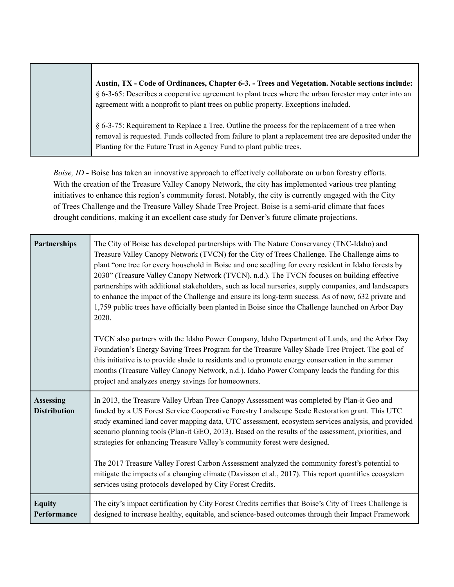**Austin, TX - Code of Ordinances, Chapter 6-3. - Trees and Vegetation. Notable sections include:** § 6-3-65: Describes a cooperative agreement to plant trees where the urban forester may enter into an agreement with a nonprofit to plant trees on public property. Exceptions included.

§ 6-3-75: Requirement to Replace a Tree. Outline the process for the replacement of a tree when removal is requested. Funds collected from failure to plant a replacement tree are deposited under the Planting for the Future Trust in Agency Fund to plant public trees.

*Boise, ID* **-** Boise has taken an innovative approach to effectively collaborate on urban forestry efforts. With the creation of the Treasure Valley Canopy Network, the city has implemented various tree planting initiatives to enhance this region's community forest. Notably, the city is currently engaged with the City of Trees Challenge and the Treasure Valley Shade Tree Project. Boise is a semi-arid climate that faces drought conditions, making it an excellent case study for Denver's future climate projections.

| <b>Partnerships</b>                     | The City of Boise has developed partnerships with The Nature Conservancy (TNC-Idaho) and<br>Treasure Valley Canopy Network (TVCN) for the City of Trees Challenge. The Challenge aims to<br>plant "one tree for every household in Boise and one seedling for every resident in Idaho forests by<br>2030" (Treasure Valley Canopy Network (TVCN), n.d.). The TVCN focuses on building effective<br>partnerships with additional stakeholders, such as local nurseries, supply companies, and landscapers<br>to enhance the impact of the Challenge and ensure its long-term success. As of now, 632 private and<br>1,759 public trees have officially been planted in Boise since the Challenge launched on Arbor Day<br>2020.<br>TVCN also partners with the Idaho Power Company, Idaho Department of Lands, and the Arbor Day |
|-----------------------------------------|---------------------------------------------------------------------------------------------------------------------------------------------------------------------------------------------------------------------------------------------------------------------------------------------------------------------------------------------------------------------------------------------------------------------------------------------------------------------------------------------------------------------------------------------------------------------------------------------------------------------------------------------------------------------------------------------------------------------------------------------------------------------------------------------------------------------------------|
|                                         | Foundation's Energy Saving Trees Program for the Treasure Valley Shade Tree Project. The goal of<br>this initiative is to provide shade to residents and to promote energy conservation in the summer<br>months (Treasure Valley Canopy Network, n.d.). Idaho Power Company leads the funding for this<br>project and analyzes energy savings for homeowners.                                                                                                                                                                                                                                                                                                                                                                                                                                                                   |
| <b>Assessing</b><br><b>Distribution</b> | In 2013, the Treasure Valley Urban Tree Canopy Assessment was completed by Plan-it Geo and<br>funded by a US Forest Service Cooperative Forestry Landscape Scale Restoration grant. This UTC<br>study examined land cover mapping data, UTC assessment, ecosystem services analysis, and provided<br>scenario planning tools (Plan-it GEO, 2013). Based on the results of the assessment, priorities, and<br>strategies for enhancing Treasure Valley's community forest were designed.<br>The 2017 Treasure Valley Forest Carbon Assessment analyzed the community forest's potential to<br>mitigate the impacts of a changing climate (Davisson et al., 2017). This report quantifies ecosystem<br>services using protocols developed by City Forest Credits.                                                                 |
| <b>Equity</b><br>Performance            | The city's impact certification by City Forest Credits certifies that Boise's City of Trees Challenge is<br>designed to increase healthy, equitable, and science-based outcomes through their Impact Framework                                                                                                                                                                                                                                                                                                                                                                                                                                                                                                                                                                                                                  |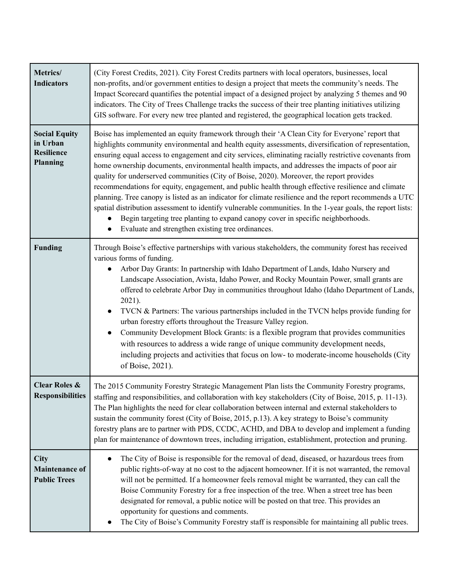| Metrics/<br><b>Indicators</b>                                     | (City Forest Credits, 2021). City Forest Credits partners with local operators, businesses, local<br>non-profits, and/or government entities to design a project that meets the community's needs. The<br>Impact Scorecard quantifies the potential impact of a designed project by analyzing 5 themes and 90<br>indicators. The City of Trees Challenge tracks the success of their tree planting initiatives utilizing<br>GIS software. For every new tree planted and registered, the geographical location gets tracked.                                                                                                                                                                                                                                                                                                                                                                                                                                                         |
|-------------------------------------------------------------------|--------------------------------------------------------------------------------------------------------------------------------------------------------------------------------------------------------------------------------------------------------------------------------------------------------------------------------------------------------------------------------------------------------------------------------------------------------------------------------------------------------------------------------------------------------------------------------------------------------------------------------------------------------------------------------------------------------------------------------------------------------------------------------------------------------------------------------------------------------------------------------------------------------------------------------------------------------------------------------------|
| <b>Social Equity</b><br>in Urban<br><b>Resilience</b><br>Planning | Boise has implemented an equity framework through their 'A Clean City for Everyone' report that<br>highlights community environmental and health equity assessments, diversification of representation,<br>ensuring equal access to engagement and city services, eliminating racially restrictive covenants from<br>home ownership documents, environmental health impacts, and addresses the impacts of poor air<br>quality for underserved communities (City of Boise, 2020). Moreover, the report provides<br>recommendations for equity, engagement, and public health through effective resilience and climate<br>planning. Tree canopy is listed as an indicator for climate resilience and the report recommends a UTC<br>spatial distribution assessment to identify vulnerable communities. In the 1-year goals, the report lists:<br>Begin targeting tree planting to expand canopy cover in specific neighborhoods.<br>Evaluate and strengthen existing tree ordinances. |
| <b>Funding</b>                                                    | Through Boise's effective partnerships with various stakeholders, the community forest has received<br>various forms of funding.<br>Arbor Day Grants: In partnership with Idaho Department of Lands, Idaho Nursery and<br>Landscape Association, Avista, Idaho Power, and Rocky Mountain Power, small grants are<br>offered to celebrate Arbor Day in communities throughout Idaho (Idaho Department of Lands,<br>2021).<br>TVCN & Partners: The various partnerships included in the TVCN helps provide funding for<br>$\bullet$<br>urban forestry efforts throughout the Treasure Valley region.<br>Community Development Block Grants: is a flexible program that provides communities<br>$\bullet$<br>with resources to address a wide range of unique community development needs,<br>including projects and activities that focus on low- to moderate-income households (City<br>of Boise, 2021).                                                                              |
| <b>Clear Roles &amp;</b><br><b>Responsibilities</b>               | The 2015 Community Forestry Strategic Management Plan lists the Community Forestry programs,<br>staffing and responsibilities, and collaboration with key stakeholders (City of Boise, 2015, p. 11-13).<br>The Plan highlights the need for clear collaboration between internal and external stakeholders to<br>sustain the community forest (City of Boise, 2015, p.13). A key strategy to Boise's community<br>forestry plans are to partner with PDS, CCDC, ACHD, and DBA to develop and implement a funding<br>plan for maintenance of downtown trees, including irrigation, establishment, protection and pruning.                                                                                                                                                                                                                                                                                                                                                             |
| City<br><b>Maintenance of</b><br><b>Public Trees</b>              | The City of Boise is responsible for the removal of dead, diseased, or hazardous trees from<br>public rights-of-way at no cost to the adjacent homeowner. If it is not warranted, the removal<br>will not be permitted. If a homeowner feels removal might be warranted, they can call the<br>Boise Community Forestry for a free inspection of the tree. When a street tree has been<br>designated for removal, a public notice will be posted on that tree. This provides an<br>opportunity for questions and comments.<br>The City of Boise's Community Forestry staff is responsible for maintaining all public trees.                                                                                                                                                                                                                                                                                                                                                           |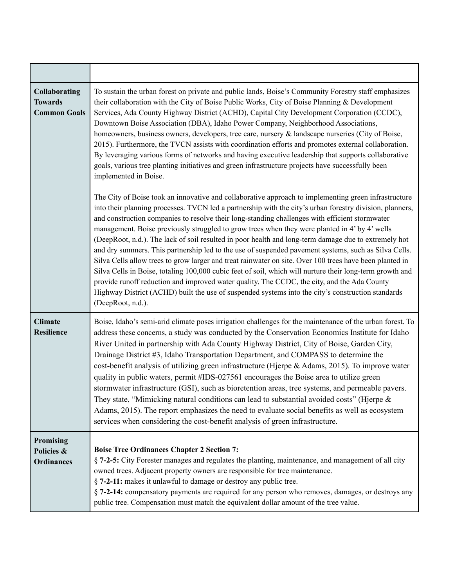| <b>Collaborating</b><br><b>Towards</b><br><b>Common Goals</b> | To sustain the urban forest on private and public lands, Boise's Community Forestry staff emphasizes<br>their collaboration with the City of Boise Public Works, City of Boise Planning & Development<br>Services, Ada County Highway District (ACHD), Capital City Development Corporation (CCDC),<br>Downtown Boise Association (DBA), Idaho Power Company, Neighborhood Associations,<br>homeowners, business owners, developers, tree care, nursery & landscape nurseries (City of Boise,<br>2015). Furthermore, the TVCN assists with coordination efforts and promotes external collaboration.<br>By leveraging various forms of networks and having executive leadership that supports collaborative<br>goals, various tree planting initiatives and green infrastructure projects have successfully been<br>implemented in Boise.<br>The City of Boise took an innovative and collaborative approach to implementing green infrastructure<br>into their planning processes. TVCN led a partnership with the city's urban forestry division, planners,<br>and construction companies to resolve their long-standing challenges with efficient stormwater<br>management. Boise previously struggled to grow trees when they were planted in 4' by 4' wells<br>(DeepRoot, n.d.). The lack of soil resulted in poor health and long-term damage due to extremely hot<br>and dry summers. This partnership led to the use of suspended pavement systems, such as Silva Cells.<br>Silva Cells allow trees to grow larger and treat rainwater on site. Over 100 trees have been planted in<br>Silva Cells in Boise, totaling 100,000 cubic feet of soil, which will nurture their long-term growth and<br>provide runoff reduction and improved water quality. The CCDC, the city, and the Ada County<br>Highway District (ACHD) built the use of suspended systems into the city's construction standards<br>(DeepRoot, n.d.). |
|---------------------------------------------------------------|----------------------------------------------------------------------------------------------------------------------------------------------------------------------------------------------------------------------------------------------------------------------------------------------------------------------------------------------------------------------------------------------------------------------------------------------------------------------------------------------------------------------------------------------------------------------------------------------------------------------------------------------------------------------------------------------------------------------------------------------------------------------------------------------------------------------------------------------------------------------------------------------------------------------------------------------------------------------------------------------------------------------------------------------------------------------------------------------------------------------------------------------------------------------------------------------------------------------------------------------------------------------------------------------------------------------------------------------------------------------------------------------------------------------------------------------------------------------------------------------------------------------------------------------------------------------------------------------------------------------------------------------------------------------------------------------------------------------------------------------------------------------------------------------------------------------------------------------------------------------------------------------------------------------------------|
| <b>Climate</b><br>Resilience                                  | Boise, Idaho's semi-arid climate poses irrigation challenges for the maintenance of the urban forest. To<br>address these concerns, a study was conducted by the Conservation Economics Institute for Idaho<br>River United in partnership with Ada County Highway District, City of Boise, Garden City,<br>Drainage District #3, Idaho Transportation Department, and COMPASS to determine the<br>cost-benefit analysis of utilizing green infrastructure (Hjerpe & Adams, 2015). To improve water<br>quality in public waters, permit #IDS-027561 encourages the Boise area to utilize green<br>stormwater infrastructure (GSI), such as bioretention areas, tree systems, and permeable pavers.<br>They state, "Mimicking natural conditions can lead to substantial avoided costs" (Hjerpe $\&$<br>Adams, 2015). The report emphasizes the need to evaluate social benefits as well as ecosystem<br>services when considering the cost-benefit analysis of green infrastructure.                                                                                                                                                                                                                                                                                                                                                                                                                                                                                                                                                                                                                                                                                                                                                                                                                                                                                                                                             |
| <b>Promising</b><br>Policies &<br><b>Ordinances</b>           | <b>Boise Tree Ordinances Chapter 2 Section 7:</b><br>§ 7-2-5: City Forester manages and regulates the planting, maintenance, and management of all city<br>owned trees. Adjacent property owners are responsible for tree maintenance.<br>§ 7-2-11: makes it unlawful to damage or destroy any public tree.<br>§ 7-2-14: compensatory payments are required for any person who removes, damages, or destroys any<br>public tree. Compensation must match the equivalent dollar amount of the tree value.                                                                                                                                                                                                                                                                                                                                                                                                                                                                                                                                                                                                                                                                                                                                                                                                                                                                                                                                                                                                                                                                                                                                                                                                                                                                                                                                                                                                                         |

п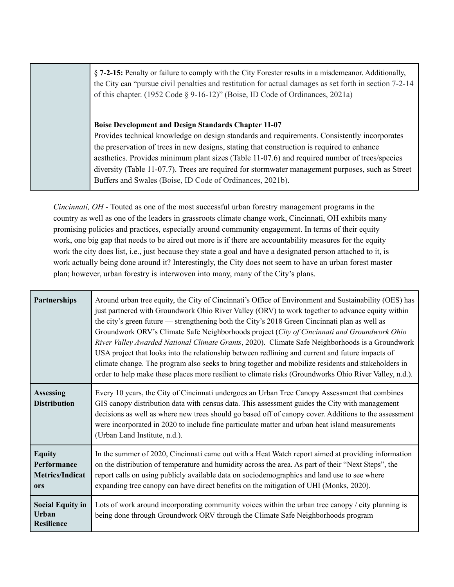§ **7-2-15:** Penalty or failure to comply with the City Forester results in a misdemeanor. Additionally, the City can "pursue civil penalties and restitution for actual damages as set forth in section 7-2-14 of this chapter. (1952 Code § 9-16-12)" (Boise, ID Code of Ordinances, 2021a)

**Boise Development and Design Standards Chapter 11-07**

Provides technical knowledge on design standards and requirements. Consistently incorporates the preservation of trees in new designs, stating that construction is required to enhance aesthetics. Provides minimum plant sizes (Table 11-07.6) and required number of trees/species diversity (Table 11-07.7). Trees are required for stormwater management purposes, such as Street Buffers and Swales (Boise, ID Code of Ordinances, 2021b).

*Cincinnati, OH -* Touted as one of the most successful urban forestry management programs in the country as well as one of the leaders in grassroots climate change work, Cincinnati, OH exhibits many promising policies and practices, especially around community engagement. In terms of their equity work, one big gap that needs to be aired out more is if there are accountability measures for the equity work the city does list, i.e., just because they state a goal and have a designated person attached to it, is work actually being done around it? Interestingly, the City does not seem to have an urban forest master plan; however, urban forestry is interwoven into many, many of the City's plans.

| Partnerships                                                  | Around urban tree equity, the City of Cincinnati's Office of Environment and Sustainability (OES) has<br>just partnered with Groundwork Ohio River Valley (ORV) to work together to advance equity within<br>the city's green future — strengthening both the City's 2018 Green Cincinnati plan as well as<br>Groundwork ORV's Climate Safe Neighborhoods project (City of Cincinnati and Groundwork Ohio<br>River Valley Awarded National Climate Grants, 2020). Climate Safe Neighborhoods is a Groundwork<br>USA project that looks into the relationship between redlining and current and future impacts of<br>climate change. The program also seeks to bring together and mobilize residents and stakeholders in<br>order to help make these places more resilient to climate risks (Groundworks Ohio River Valley, n.d.). |
|---------------------------------------------------------------|-----------------------------------------------------------------------------------------------------------------------------------------------------------------------------------------------------------------------------------------------------------------------------------------------------------------------------------------------------------------------------------------------------------------------------------------------------------------------------------------------------------------------------------------------------------------------------------------------------------------------------------------------------------------------------------------------------------------------------------------------------------------------------------------------------------------------------------|
| <b>Assessing</b><br><b>Distribution</b>                       | Every 10 years, the City of Cincinnati undergoes an Urban Tree Canopy Assessment that combines<br>GIS canopy distribution data with census data. This assessment guides the City with management<br>decisions as well as where new trees should go based off of canopy cover. Additions to the assessment<br>were incorporated in 2020 to include fine particulate matter and urban heat island measurements<br>(Urban Land Institute, n.d.).                                                                                                                                                                                                                                                                                                                                                                                     |
| <b>Equity</b><br>Performance<br><b>Metrics/Indicat</b><br>ors | In the summer of 2020, Cincinnati came out with a Heat Watch report aimed at providing information<br>on the distribution of temperature and humidity across the area. As part of their "Next Steps", the<br>report calls on using publicly available data on sociodemographics and land use to see where<br>expanding tree canopy can have direct benefits on the mitigation of UHI (Monks, 2020).                                                                                                                                                                                                                                                                                                                                                                                                                               |
| <b>Social Equity in</b><br>Urban<br><b>Resilience</b>         | Lots of work around incorporating community voices within the urban tree canopy / city planning is<br>being done through Groundwork ORV through the Climate Safe Neighborhoods program                                                                                                                                                                                                                                                                                                                                                                                                                                                                                                                                                                                                                                            |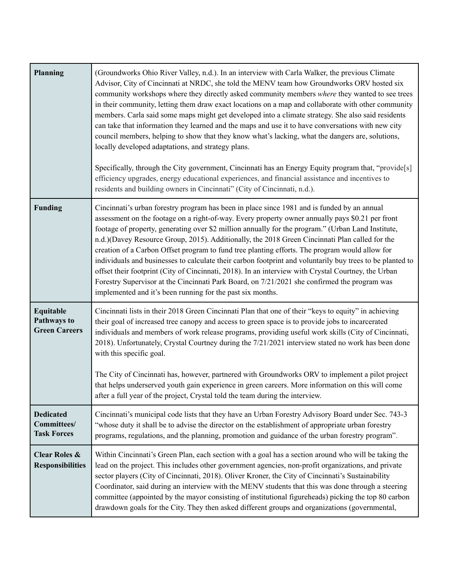| <b>Planning</b>                                       | (Groundworks Ohio River Valley, n.d.). In an interview with Carla Walker, the previous Climate<br>Advisor, City of Cincinnati at NRDC, she told the MENV team how Groundworks ORV hosted six<br>community workshops where they directly asked community members where they wanted to see trees<br>in their community, letting them draw exact locations on a map and collaborate with other community<br>members. Carla said some maps might get developed into a climate strategy. She also said residents<br>can take that information they learned and the maps and use it to have conversations with new city<br>council members, helping to show that they know what's lacking, what the dangers are, solutions,<br>locally developed adaptations, and strategy plans.<br>Specifically, through the City government, Cincinnati has an Energy Equity program that, "provide[s]<br>efficiency upgrades, energy educational experiences, and financial assistance and incentives to<br>residents and building owners in Cincinnati" (City of Cincinnati, n.d.). |
|-------------------------------------------------------|--------------------------------------------------------------------------------------------------------------------------------------------------------------------------------------------------------------------------------------------------------------------------------------------------------------------------------------------------------------------------------------------------------------------------------------------------------------------------------------------------------------------------------------------------------------------------------------------------------------------------------------------------------------------------------------------------------------------------------------------------------------------------------------------------------------------------------------------------------------------------------------------------------------------------------------------------------------------------------------------------------------------------------------------------------------------|
| <b>Funding</b>                                        | Cincinnati's urban forestry program has been in place since 1981 and is funded by an annual<br>assessment on the footage on a right-of-way. Every property owner annually pays \$0.21 per front<br>footage of property, generating over \$2 million annually for the program." (Urban Land Institute,<br>n.d.) (Davey Resource Group, 2015). Additionally, the 2018 Green Cincinnati Plan called for the<br>creation of a Carbon Offset program to fund tree planting efforts. The program would allow for<br>individuals and businesses to calculate their carbon footprint and voluntarily buy trees to be planted to<br>offset their footprint (City of Cincinnati, 2018). In an interview with Crystal Courtney, the Urban<br>Forestry Supervisor at the Cincinnati Park Board, on 7/21/2021 she confirmed the program was<br>implemented and it's been running for the past six months.                                                                                                                                                                       |
| Equitable<br>Pathways to<br><b>Green Careers</b>      | Cincinnati lists in their 2018 Green Cincinnati Plan that one of their "keys to equity" in achieving<br>their goal of increased tree canopy and access to green space is to provide jobs to incarcerated<br>individuals and members of work release programs, providing useful work skills (City of Cincinnati,<br>2018). Unfortunately, Crystal Courtney during the 7/21/2021 interview stated no work has been done<br>with this specific goal.<br>The City of Cincinnati has, however, partnered with Groundworks ORV to implement a pilot project<br>that helps underserved youth gain experience in green careers. More information on this will come<br>after a full year of the project, Crystal told the team during the interview.                                                                                                                                                                                                                                                                                                                        |
| <b>Dedicated</b><br>Committees/<br><b>Task Forces</b> | Cincinnati's municipal code lists that they have an Urban Forestry Advisory Board under Sec. 743-3<br>"whose duty it shall be to advise the director on the establishment of appropriate urban forestry<br>programs, regulations, and the planning, promotion and guidance of the urban forestry program".                                                                                                                                                                                                                                                                                                                                                                                                                                                                                                                                                                                                                                                                                                                                                         |
| <b>Clear Roles &amp;</b><br><b>Responsibilities</b>   | Within Cincinnati's Green Plan, each section with a goal has a section around who will be taking the<br>lead on the project. This includes other government agencies, non-profit organizations, and private<br>sector players (City of Cincinnati, 2018). Oliver Kroner, the City of Cincinnati's Sustainability<br>Coordinator, said during an interview with the MENV students that this was done through a steering<br>committee (appointed by the mayor consisting of institutional figureheads) picking the top 80 carbon<br>drawdown goals for the City. They then asked different groups and organizations (governmental,                                                                                                                                                                                                                                                                                                                                                                                                                                   |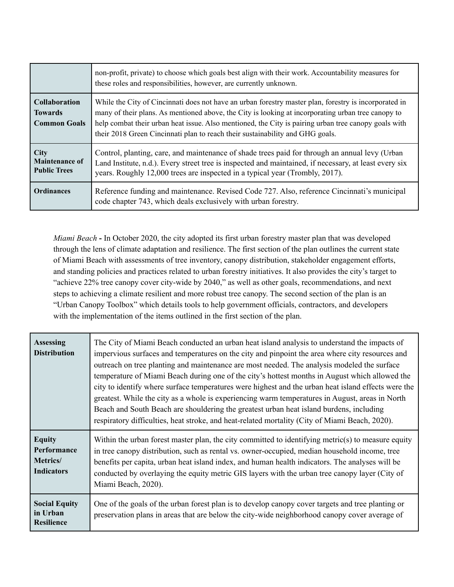|                                                               | non-profit, private) to choose which goals best align with their work. Accountability measures for<br>these roles and responsibilities, however, are currently unknown.                                                                                                                                                                                                                              |
|---------------------------------------------------------------|------------------------------------------------------------------------------------------------------------------------------------------------------------------------------------------------------------------------------------------------------------------------------------------------------------------------------------------------------------------------------------------------------|
| <b>Collaboration</b><br><b>Towards</b><br><b>Common Goals</b> | While the City of Cincinnati does not have an urban forestry master plan, forestry is incorporated in<br>many of their plans. As mentioned above, the City is looking at incorporating urban tree canopy to<br>help combat their urban heat issue. Also mentioned, the City is pairing urban tree canopy goals with<br>their 2018 Green Cincinnati plan to reach their sustainability and GHG goals. |
| <b>City</b><br><b>Maintenance of</b><br><b>Public Trees</b>   | Control, planting, care, and maintenance of shade trees paid for through an annual levy (Urban<br>Land Institute, n.d.). Every street tree is inspected and maintained, if necessary, at least every six<br>years. Roughly 12,000 trees are inspected in a typical year (Trombly, 2017).                                                                                                             |
| <b>Ordinances</b>                                             | Reference funding and maintenance. Revised Code 727. Also, reference Cincinnati's municipal<br>code chapter 743, which deals exclusively with urban forestry.                                                                                                                                                                                                                                        |

*Miami Beach* **-** In October 2020, the city adopted its first urban forestry master plan that was developed through the lens of climate adaptation and resilience. The first section of the plan outlines the current state of Miami Beach with assessments of tree inventory, canopy distribution, stakeholder engagement efforts, and standing policies and practices related to urban forestry initiatives. It also provides the city's target to "achieve 22% tree canopy cover city-wide by 2040," as well as other goals, recommendations, and next steps to achieving a climate resilient and more robust tree canopy. The second section of the plan is an "Urban Canopy Toolbox" which details tools to help government officials, contractors, and developers with the implementation of the items outlined in the first section of the plan.

| <b>Assessing</b><br><b>Distribution</b>                       | The City of Miami Beach conducted an urban heat island analysis to understand the impacts of<br>impervious surfaces and temperatures on the city and pinpoint the area where city resources and<br>outreach on tree planting and maintenance are most needed. The analysis modeled the surface<br>temperature of Miami Beach during one of the city's hottest months in August which allowed the<br>city to identify where surface temperatures were highest and the urban heat island effects were the<br>greatest. While the city as a whole is experiencing warm temperatures in August, areas in North<br>Beach and South Beach are shouldering the greatest urban heat island burdens, including<br>respiratory difficulties, heat stroke, and heat-related mortality (City of Miami Beach, 2020). |
|---------------------------------------------------------------|---------------------------------------------------------------------------------------------------------------------------------------------------------------------------------------------------------------------------------------------------------------------------------------------------------------------------------------------------------------------------------------------------------------------------------------------------------------------------------------------------------------------------------------------------------------------------------------------------------------------------------------------------------------------------------------------------------------------------------------------------------------------------------------------------------|
| <b>Equity</b><br>Performance<br>Metrics/<br><b>Indicators</b> | Within the urban forest master plan, the city committed to identifying metric(s) to measure equity<br>in tree canopy distribution, such as rental vs. owner-occupied, median household income, tree<br>benefits per capita, urban heat island index, and human health indicators. The analyses will be<br>conducted by overlaying the equity metric GIS layers with the urban tree canopy layer (City of<br>Miami Beach, 2020).                                                                                                                                                                                                                                                                                                                                                                         |
| <b>Social Equity</b><br>in Urban<br><b>Resilience</b>         | One of the goals of the urban forest plan is to develop canopy cover targets and tree planting or<br>preservation plans in areas that are below the city-wide neighborhood can opy cover average of                                                                                                                                                                                                                                                                                                                                                                                                                                                                                                                                                                                                     |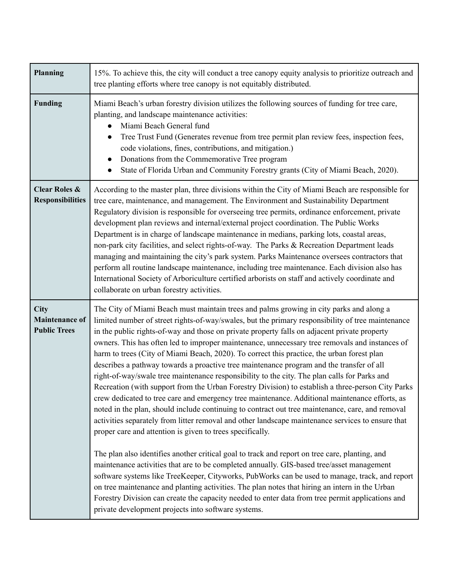| <b>Planning</b>                                             | 15%. To achieve this, the city will conduct a tree canopy equity analysis to prioritize outreach and<br>tree planting efforts where tree canopy is not equitably distributed.                                                                                                                                                                                                                                                                                                                                                                                                                                                                                                                                                                                                                                                                                                                                                                                                                                                                                                                                                                                                                                                                                                                                                                                                                                                                                                                                                                                                                                                                                                                                                       |
|-------------------------------------------------------------|-------------------------------------------------------------------------------------------------------------------------------------------------------------------------------------------------------------------------------------------------------------------------------------------------------------------------------------------------------------------------------------------------------------------------------------------------------------------------------------------------------------------------------------------------------------------------------------------------------------------------------------------------------------------------------------------------------------------------------------------------------------------------------------------------------------------------------------------------------------------------------------------------------------------------------------------------------------------------------------------------------------------------------------------------------------------------------------------------------------------------------------------------------------------------------------------------------------------------------------------------------------------------------------------------------------------------------------------------------------------------------------------------------------------------------------------------------------------------------------------------------------------------------------------------------------------------------------------------------------------------------------------------------------------------------------------------------------------------------------|
| Funding                                                     | Miami Beach's urban forestry division utilizes the following sources of funding for tree care,<br>planting, and landscape maintenance activities:<br>Miami Beach General fund<br>Tree Trust Fund (Generates revenue from tree permit plan review fees, inspection fees,<br>code violations, fines, contributions, and mitigation.)<br>Donations from the Commemorative Tree program<br>State of Florida Urban and Community Forestry grants (City of Miami Beach, 2020).                                                                                                                                                                                                                                                                                                                                                                                                                                                                                                                                                                                                                                                                                                                                                                                                                                                                                                                                                                                                                                                                                                                                                                                                                                                            |
| <b>Clear Roles &amp;</b><br><b>Responsibilities</b>         | According to the master plan, three divisions within the City of Miami Beach are responsible for<br>tree care, maintenance, and management. The Environment and Sustainability Department<br>Regulatory division is responsible for overseeing tree permits, ordinance enforcement, private<br>development plan reviews and internal/external project coordination. The Public Works<br>Department is in charge of landscape maintenance in medians, parking lots, coastal areas,<br>non-park city facilities, and select rights-of-way. The Parks & Recreation Department leads<br>managing and maintaining the city's park system. Parks Maintenance oversees contractors that<br>perform all routine landscape maintenance, including tree maintenance. Each division also has<br>International Society of Arboriculture certified arborists on staff and actively coordinate and<br>collaborate on urban forestry activities.                                                                                                                                                                                                                                                                                                                                                                                                                                                                                                                                                                                                                                                                                                                                                                                                   |
| <b>City</b><br><b>Maintenance of</b><br><b>Public Trees</b> | The City of Miami Beach must maintain trees and palms growing in city parks and along a<br>limited number of street rights-of-way/swales, but the primary responsibility of tree maintenance<br>in the public rights-of-way and those on private property falls on adjacent private property<br>owners. This has often led to improper maintenance, unnecessary tree removals and instances of<br>harm to trees (City of Miami Beach, 2020). To correct this practice, the urban forest plan<br>describes a pathway towards a proactive tree maintenance program and the transfer of all<br>right-of-way/swale tree maintenance responsibility to the city. The plan calls for Parks and<br>Recreation (with support from the Urban Forestry Division) to establish a three-person City Parks<br>crew dedicated to tree care and emergency tree maintenance. Additional maintenance efforts, as<br>noted in the plan, should include continuing to contract out tree maintenance, care, and removal<br>activities separately from litter removal and other landscape maintenance services to ensure that<br>proper care and attention is given to trees specifically.<br>The plan also identifies another critical goal to track and report on tree care, planting, and<br>maintenance activities that are to be completed annually. GIS-based tree/asset management<br>software systems like TreeKeeper, Cityworks, PubWorks can be used to manage, track, and report<br>on tree maintenance and planting activities. The plan notes that hiring an intern in the Urban<br>Forestry Division can create the capacity needed to enter data from tree permit applications and<br>private development projects into software systems. |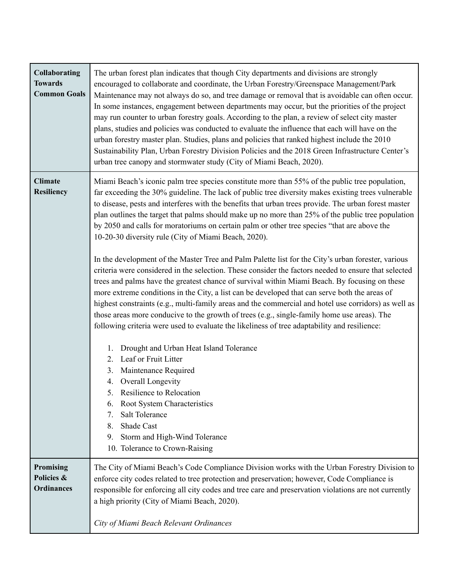| Collaborating<br><b>Towards</b><br><b>Common Goals</b> | The urban forest plan indicates that though City departments and divisions are strongly<br>encouraged to collaborate and coordinate, the Urban Forestry/Greenspace Management/Park<br>Maintenance may not always do so, and tree damage or removal that is avoidable can often occur.<br>In some instances, engagement between departments may occur, but the priorities of the project<br>may run counter to urban forestry goals. According to the plan, a review of select city master<br>plans, studies and policies was conducted to evaluate the influence that each will have on the<br>urban forestry master plan. Studies, plans and policies that ranked highest include the 2010<br>Sustainability Plan, Urban Forestry Division Policies and the 2018 Green Infrastructure Center's<br>urban tree canopy and stormwater study (City of Miami Beach, 2020).                                                                                                                                                                                                                                                                                                                                                                                                                                                                                                                                                                                                                                                                                                                                                      |
|--------------------------------------------------------|-----------------------------------------------------------------------------------------------------------------------------------------------------------------------------------------------------------------------------------------------------------------------------------------------------------------------------------------------------------------------------------------------------------------------------------------------------------------------------------------------------------------------------------------------------------------------------------------------------------------------------------------------------------------------------------------------------------------------------------------------------------------------------------------------------------------------------------------------------------------------------------------------------------------------------------------------------------------------------------------------------------------------------------------------------------------------------------------------------------------------------------------------------------------------------------------------------------------------------------------------------------------------------------------------------------------------------------------------------------------------------------------------------------------------------------------------------------------------------------------------------------------------------------------------------------------------------------------------------------------------------|
| <b>Climate</b><br><b>Resiliency</b>                    | Miami Beach's iconic palm tree species constitute more than 55% of the public tree population,<br>far exceeding the 30% guideline. The lack of public tree diversity makes existing trees vulnerable<br>to disease, pests and interferes with the benefits that urban trees provide. The urban forest master<br>plan outlines the target that palms should make up no more than 25% of the public tree population<br>by 2050 and calls for moratoriums on certain palm or other tree species "that are above the<br>10-20-30 diversity rule (City of Miami Beach, 2020).<br>In the development of the Master Tree and Palm Palette list for the City's urban forester, various<br>criteria were considered in the selection. These consider the factors needed to ensure that selected<br>trees and palms have the greatest chance of survival within Miami Beach. By focusing on these<br>more extreme conditions in the City, a list can be developed that can serve both the areas of<br>highest constraints (e.g., multi-family areas and the commercial and hotel use corridors) as well as<br>those areas more conducive to the growth of trees (e.g., single-family home use areas). The<br>following criteria were used to evaluate the likeliness of tree adaptability and resilience:<br>1. Drought and Urban Heat Island Tolerance<br>2. Leaf or Fruit Litter<br>3. Maintenance Required<br>4. Overall Longevity<br>5. Resilience to Relocation<br>Root System Characteristics<br>6.<br><b>Salt Tolerance</b><br>7.<br>Shade Cast<br>8.<br>Storm and High-Wind Tolerance<br>9.<br>10. Tolerance to Crown-Raising |
| <b>Promising</b><br>Policies &<br><b>Ordinances</b>    | The City of Miami Beach's Code Compliance Division works with the Urban Forestry Division to<br>enforce city codes related to tree protection and preservation; however, Code Compliance is<br>responsible for enforcing all city codes and tree care and preservation violations are not currently<br>a high priority (City of Miami Beach, 2020).<br>City of Miami Beach Relevant Ordinances                                                                                                                                                                                                                                                                                                                                                                                                                                                                                                                                                                                                                                                                                                                                                                                                                                                                                                                                                                                                                                                                                                                                                                                                                              |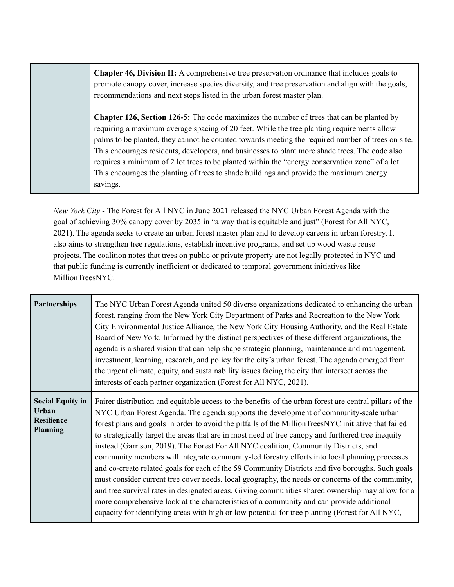**Chapter 46, Division II:** A comprehensive tree preservation ordinance that includes goals to promote canopy cover, increase species diversity, and tree preservation and align with the goals, recommendations and next steps listed in the urban forest master plan.

**Chapter 126, Section 126-5:** The code maximizes the number of trees that can be planted by requiring a maximum average spacing of 20 feet. While the tree planting requirements allow palms to be planted, they cannot be counted towards meeting the required number of trees on site. This encourages residents, developers, and businesses to plant more shade trees. The code also requires a minimum of 2 lot trees to be planted within the "energy conservation zone" of a lot. This encourages the planting of trees to shade buildings and provide the maximum energy savings.

*New York City* - The Forest for All NYC in June 2021 released the NYC Urban Forest Agenda with the goal of achieving 30% canopy cover by 2035 in "a way that is equitable and just" (Forest for All NYC, 2021). The agenda seeks to create an urban forest master plan and to develop careers in urban forestry. It also aims to strengthen tree regulations, establish incentive programs, and set up wood waste reuse projects. The coalition notes that trees on public or private property are not legally protected in NYC and that public funding is currently inefficient or dedicated to temporal government initiatives like MillionTreesNYC.

| Partnerships                                                                    | The NYC Urban Forest Agenda united 50 diverse organizations dedicated to enhancing the urban<br>forest, ranging from the New York City Department of Parks and Recreation to the New York<br>City Environmental Justice Alliance, the New York City Housing Authority, and the Real Estate<br>Board of New York. Informed by the distinct perspectives of these different organizations, the<br>agenda is a shared vision that can help shape strategic planning, maintenance and management,<br>investment, learning, research, and policy for the city's urban forest. The agenda emerged from<br>the urgent climate, equity, and sustainability issues facing the city that intersect across the<br>interests of each partner organization (Forest for All NYC, 2021).                                                                                                                                                                                                                                                                                                                                          |
|---------------------------------------------------------------------------------|--------------------------------------------------------------------------------------------------------------------------------------------------------------------------------------------------------------------------------------------------------------------------------------------------------------------------------------------------------------------------------------------------------------------------------------------------------------------------------------------------------------------------------------------------------------------------------------------------------------------------------------------------------------------------------------------------------------------------------------------------------------------------------------------------------------------------------------------------------------------------------------------------------------------------------------------------------------------------------------------------------------------------------------------------------------------------------------------------------------------|
| <b>Social Equity in</b><br><b>Urban</b><br><b>Resilience</b><br><b>Planning</b> | Fairer distribution and equitable access to the benefits of the urban forest are central pillars of the<br>NYC Urban Forest Agenda. The agenda supports the development of community-scale urban<br>forest plans and goals in order to avoid the pitfalls of the MillionTreesNYC initiative that failed<br>to strategically target the areas that are in most need of tree canopy and furthered tree inequity<br>instead (Garrison, 2019). The Forest For All NYC coalition, Community Districts, and<br>community members will integrate community-led forestry efforts into local planning processes<br>and co-create related goals for each of the 59 Community Districts and five boroughs. Such goals<br>must consider current tree cover needs, local geography, the needs or concerns of the community,<br>and tree survival rates in designated areas. Giving communities shared ownership may allow for a<br>more comprehensive look at the characteristics of a community and can provide additional<br>capacity for identifying areas with high or low potential for tree planting (Forest for All NYC, |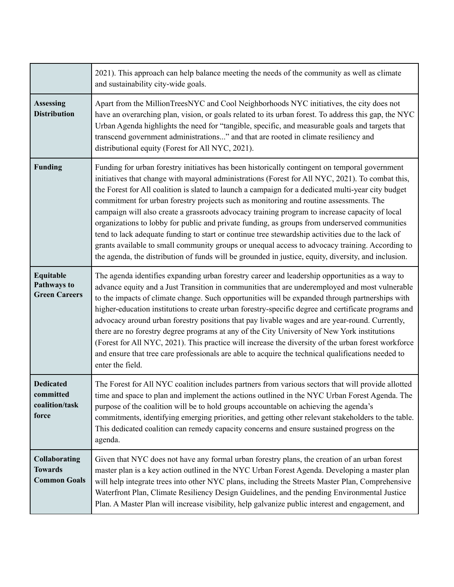|                                                               | 2021). This approach can help balance meeting the needs of the community as well as climate<br>and sustainability city-wide goals.                                                                                                                                                                                                                                                                                                                                                                                                                                                                                                                                                                                                                                                                                                                                                                                    |
|---------------------------------------------------------------|-----------------------------------------------------------------------------------------------------------------------------------------------------------------------------------------------------------------------------------------------------------------------------------------------------------------------------------------------------------------------------------------------------------------------------------------------------------------------------------------------------------------------------------------------------------------------------------------------------------------------------------------------------------------------------------------------------------------------------------------------------------------------------------------------------------------------------------------------------------------------------------------------------------------------|
| <b>Assessing</b><br><b>Distribution</b>                       | Apart from the MillionTreesNYC and Cool Neighborhoods NYC initiatives, the city does not<br>have an overarching plan, vision, or goals related to its urban forest. To address this gap, the NYC<br>Urban Agenda highlights the need for "tangible, specific, and measurable goals and targets that<br>transcend government administrations" and that are rooted in climate resiliency and<br>distributional equity (Forest for All NYC, 2021).                                                                                                                                                                                                                                                                                                                                                                                                                                                                       |
| <b>Funding</b>                                                | Funding for urban forestry initiatives has been historically contingent on temporal government<br>initiatives that change with mayoral administrations (Forest for All NYC, 2021). To combat this,<br>the Forest for All coalition is slated to launch a campaign for a dedicated multi-year city budget<br>commitment for urban forestry projects such as monitoring and routine assessments. The<br>campaign will also create a grassroots advocacy training program to increase capacity of local<br>organizations to lobby for public and private funding, as groups from underserved communities<br>tend to lack adequate funding to start or continue tree stewardship activities due to the lack of<br>grants available to small community groups or unequal access to advocacy training. According to<br>the agenda, the distribution of funds will be grounded in justice, equity, diversity, and inclusion. |
| Equitable<br>Pathways to<br><b>Green Careers</b>              | The agenda identifies expanding urban forestry career and leadership opportunities as a way to<br>advance equity and a Just Transition in communities that are underemployed and most vulnerable<br>to the impacts of climate change. Such opportunities will be expanded through partnerships with<br>higher-education institutions to create urban forestry-specific degree and certificate programs and<br>advocacy around urban forestry positions that pay livable wages and are year-round. Currently,<br>there are no forestry degree programs at any of the City University of New York institutions<br>(Forest for All NYC, 2021). This practice will increase the diversity of the urban forest workforce<br>and ensure that tree care professionals are able to acquire the technical qualifications needed to<br>enter the field.                                                                         |
| <b>Dedicated</b><br>committed<br>coalition/task<br>force      | The Forest for All NYC coalition includes partners from various sectors that will provide allotted<br>time and space to plan and implement the actions outlined in the NYC Urban Forest Agenda. The<br>purpose of the coalition will be to hold groups accountable on achieving the agenda's<br>commitments, identifying emerging priorities, and getting other relevant stakeholders to the table.<br>This dedicated coalition can remedy capacity concerns and ensure sustained progress on the<br>agenda.                                                                                                                                                                                                                                                                                                                                                                                                          |
| <b>Collaborating</b><br><b>Towards</b><br><b>Common Goals</b> | Given that NYC does not have any formal urban forestry plans, the creation of an urban forest<br>master plan is a key action outlined in the NYC Urban Forest Agenda. Developing a master plan<br>will help integrate trees into other NYC plans, including the Streets Master Plan, Comprehensive<br>Waterfront Plan, Climate Resiliency Design Guidelines, and the pending Environmental Justice<br>Plan. A Master Plan will increase visibility, help galvanize public interest and engagement, and                                                                                                                                                                                                                                                                                                                                                                                                                |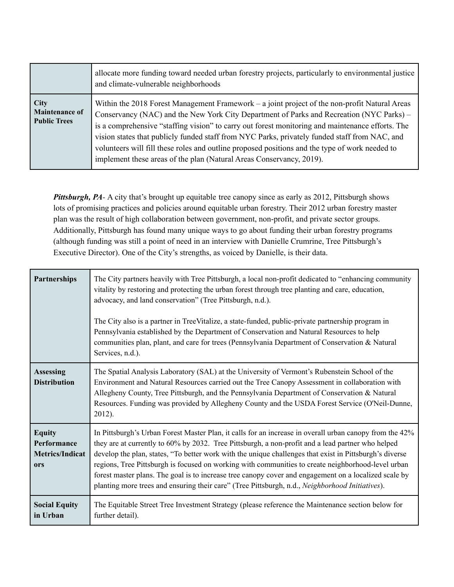|                                                             | allocate more funding toward needed urban forestry projects, particularly to environmental justice<br>and climate-vulnerable neighborhoods                                                                                                                                                                                                                                                                                                                                                                                                                                 |
|-------------------------------------------------------------|----------------------------------------------------------------------------------------------------------------------------------------------------------------------------------------------------------------------------------------------------------------------------------------------------------------------------------------------------------------------------------------------------------------------------------------------------------------------------------------------------------------------------------------------------------------------------|
| <b>City</b><br><b>Maintenance of</b><br><b>Public Trees</b> | Within the 2018 Forest Management Framework $-$ a joint project of the non-profit Natural Areas<br>Conservancy (NAC) and the New York City Department of Parks and Recreation (NYC Parks) –<br>is a comprehensive "staffing vision" to carry out forest monitoring and maintenance efforts. The<br>vision states that publicly funded staff from NYC Parks, privately funded staff from NAC, and<br>volunteers will fill these roles and outline proposed positions and the type of work needed to<br>implement these areas of the plan (Natural Areas Conservancy, 2019). |

*Pittsburgh, PA*- A city that's brought up equitable tree canopy since as early as 2012, Pittsburgh shows lots of promising practices and policies around equitable urban forestry. Their 2012 urban forestry master plan was the result of high collaboration between government, non-profit, and private sector groups. Additionally, Pittsburgh has found many unique ways to go about funding their urban forestry programs (although funding was still a point of need in an interview with Danielle Crumrine, Tree Pittsburgh's Executive Director). One of the City's strengths, as voiced by Danielle, is their data.

| <b>Partnerships</b>                                           | The City partners heavily with Tree Pittsburgh, a local non-profit dedicated to "enhancing community"<br>vitality by restoring and protecting the urban forest through tree planting and care, education,<br>advocacy, and land conservation" (Tree Pittsburgh, n.d.).<br>The City also is a partner in TreeVitalize, a state-funded, public-private partnership program in<br>Pennsylvania established by the Department of Conservation and Natural Resources to help<br>communities plan, plant, and care for trees (Pennsylvania Department of Conservation & Natural<br>Services, n.d.).                                             |
|---------------------------------------------------------------|-------------------------------------------------------------------------------------------------------------------------------------------------------------------------------------------------------------------------------------------------------------------------------------------------------------------------------------------------------------------------------------------------------------------------------------------------------------------------------------------------------------------------------------------------------------------------------------------------------------------------------------------|
| <b>Assessing</b><br><b>Distribution</b>                       | The Spatial Analysis Laboratory (SAL) at the University of Vermont's Rubenstein School of the<br>Environment and Natural Resources carried out the Tree Canopy Assessment in collaboration with<br>Allegheny County, Tree Pittsburgh, and the Pennsylvania Department of Conservation & Natural<br>Resources. Funding was provided by Allegheny County and the USDA Forest Service (O'Neil-Dunne,<br>2012).                                                                                                                                                                                                                               |
| <b>Equity</b><br>Performance<br><b>Metrics/Indicat</b><br>ors | In Pittsburgh's Urban Forest Master Plan, it calls for an increase in overall urban canopy from the 42%<br>they are at currently to 60% by 2032. Tree Pittsburgh, a non-profit and a lead partner who helped<br>develop the plan, states, "To better work with the unique challenges that exist in Pittsburgh's diverse<br>regions, Tree Pittsburgh is focused on working with communities to create neighborhood-level urban<br>forest master plans. The goal is to increase tree canopy cover and engagement on a localized scale by<br>planting more trees and ensuring their care" (Tree Pittsburgh, n.d., Neighborhood Initiatives). |
| <b>Social Equity</b><br>in Urban                              | The Equitable Street Tree Investment Strategy (please reference the Maintenance section below for<br>further detail).                                                                                                                                                                                                                                                                                                                                                                                                                                                                                                                     |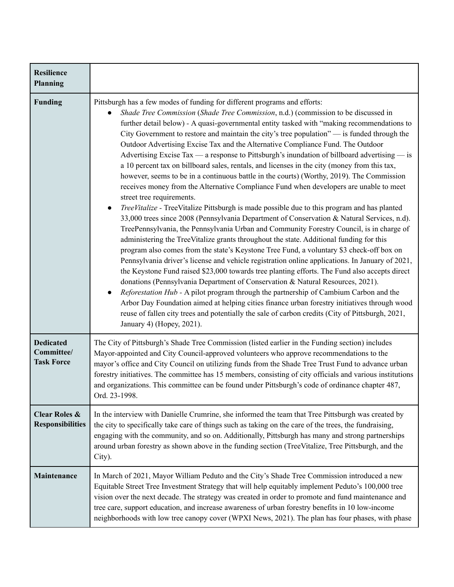| <b>Resilience</b><br><b>Planning</b>                |                                                                                                                                                                                                                                                                                                                                                                                                                                                                                                                                                                                                                                                                                                                                                                                                                                                                                                                                                                                                                                                                                                                                                                                                                                                                                                                                                                                                                                                                                                                                                                                                                                                                                                                                                                                                                                                                                                                                                                                               |
|-----------------------------------------------------|-----------------------------------------------------------------------------------------------------------------------------------------------------------------------------------------------------------------------------------------------------------------------------------------------------------------------------------------------------------------------------------------------------------------------------------------------------------------------------------------------------------------------------------------------------------------------------------------------------------------------------------------------------------------------------------------------------------------------------------------------------------------------------------------------------------------------------------------------------------------------------------------------------------------------------------------------------------------------------------------------------------------------------------------------------------------------------------------------------------------------------------------------------------------------------------------------------------------------------------------------------------------------------------------------------------------------------------------------------------------------------------------------------------------------------------------------------------------------------------------------------------------------------------------------------------------------------------------------------------------------------------------------------------------------------------------------------------------------------------------------------------------------------------------------------------------------------------------------------------------------------------------------------------------------------------------------------------------------------------------------|
| <b>Funding</b>                                      | Pittsburgh has a few modes of funding for different programs and efforts:<br>Shade Tree Commission (Shade Tree Commission, n.d.) (commission to be discussed in<br>further detail below) - A quasi-governmental entity tasked with "making recommendations to<br>City Government to restore and maintain the city's tree population" — is funded through the<br>Outdoor Advertising Excise Tax and the Alternative Compliance Fund. The Outdoor<br>Advertising Excise Tax — a response to Pittsburgh's inundation of billboard advertising — is<br>a 10 percent tax on billboard sales, rentals, and licenses in the city (money from this tax,<br>however, seems to be in a continuous battle in the courts) (Worthy, 2019). The Commission<br>receives money from the Alternative Compliance Fund when developers are unable to meet<br>street tree requirements.<br>TreeVitalize - TreeVitalize Pittsburgh is made possible due to this program and has planted<br>$\bullet$<br>33,000 trees since 2008 (Pennsylvania Department of Conservation & Natural Services, n.d).<br>TreePennsylvania, the Pennsylvania Urban and Community Forestry Council, is in charge of<br>administering the TreeVitalize grants throughout the state. Additional funding for this<br>program also comes from the state's Keystone Tree Fund, a voluntary \$3 check-off box on<br>Pennsylvania driver's license and vehicle registration online applications. In January of 2021,<br>the Keystone Fund raised \$23,000 towards tree planting efforts. The Fund also accepts direct<br>donations (Pennsylvania Department of Conservation & Natural Resources, 2021).<br>Reforestation Hub - A pilot program through the partnership of Cambium Carbon and the<br>$\bullet$<br>Arbor Day Foundation aimed at helping cities finance urban forestry initiatives through wood<br>reuse of fallen city trees and potentially the sale of carbon credits (City of Pittsburgh, 2021,<br>January 4) (Hopey, 2021). |
| <b>Dedicated</b><br>Committee/<br><b>Task Force</b> | The City of Pittsburgh's Shade Tree Commission (listed earlier in the Funding section) includes<br>Mayor-appointed and City Council-approved volunteers who approve recommendations to the<br>mayor's office and City Council on utilizing funds from the Shade Tree Trust Fund to advance urban<br>forestry initiatives. The committee has 15 members, consisting of city officials and various institutions<br>and organizations. This committee can be found under Pittsburgh's code of ordinance chapter 487,<br>Ord. 23-1998.                                                                                                                                                                                                                                                                                                                                                                                                                                                                                                                                                                                                                                                                                                                                                                                                                                                                                                                                                                                                                                                                                                                                                                                                                                                                                                                                                                                                                                                            |
| <b>Clear Roles &amp;</b><br><b>Responsibilities</b> | In the interview with Danielle Crumrine, she informed the team that Tree Pittsburgh was created by<br>the city to specifically take care of things such as taking on the care of the trees, the fundraising,<br>engaging with the community, and so on. Additionally, Pittsburgh has many and strong partnerships<br>around urban forestry as shown above in the funding section (TreeVitalize, Tree Pittsburgh, and the<br>City).                                                                                                                                                                                                                                                                                                                                                                                                                                                                                                                                                                                                                                                                                                                                                                                                                                                                                                                                                                                                                                                                                                                                                                                                                                                                                                                                                                                                                                                                                                                                                            |
| Maintenance                                         | In March of 2021, Mayor William Peduto and the City's Shade Tree Commission introduced a new<br>Equitable Street Tree Investment Strategy that will help equitably implement Peduto's 100,000 tree<br>vision over the next decade. The strategy was created in order to promote and fund maintenance and<br>tree care, support education, and increase awareness of urban forestry benefits in 10 low-income<br>neighborhoods with low tree canopy cover (WPXI News, 2021). The plan has four phases, with phase                                                                                                                                                                                                                                                                                                                                                                                                                                                                                                                                                                                                                                                                                                                                                                                                                                                                                                                                                                                                                                                                                                                                                                                                                                                                                                                                                                                                                                                                              |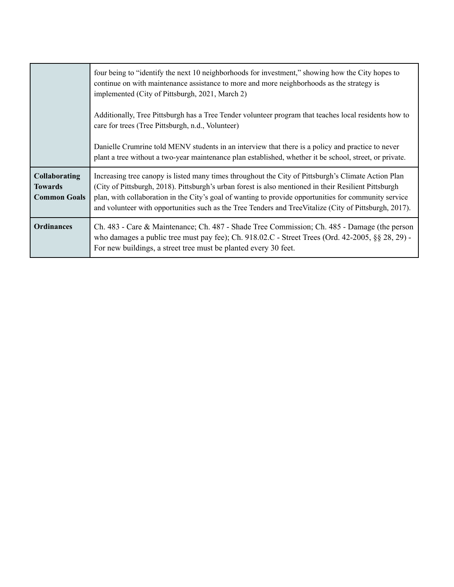|                                                               | four being to "identify the next 10 neighborhoods for investment," showing how the City hopes to<br>continue on with maintenance assistance to more and more neighborhoods as the strategy is<br>implemented (City of Pittsburgh, 2021, March 2)                                                                                                                                                                                |
|---------------------------------------------------------------|---------------------------------------------------------------------------------------------------------------------------------------------------------------------------------------------------------------------------------------------------------------------------------------------------------------------------------------------------------------------------------------------------------------------------------|
|                                                               | Additionally, Tree Pittsburgh has a Tree Tender volunteer program that teaches local residents how to<br>care for trees (Tree Pittsburgh, n.d., Volunteer)                                                                                                                                                                                                                                                                      |
|                                                               | Danielle Crumrine told MENV students in an interview that there is a policy and practice to never<br>plant a tree without a two-year maintenance plan established, whether it be school, street, or private.                                                                                                                                                                                                                    |
| <b>Collaborating</b><br><b>Towards</b><br><b>Common Goals</b> | Increasing tree canopy is listed many times throughout the City of Pittsburgh's Climate Action Plan<br>(City of Pittsburgh, 2018). Pittsburgh's urban forest is also mentioned in their Resilient Pittsburgh<br>plan, with collaboration in the City's goal of wanting to provide opportunities for community service<br>and volunteer with opportunities such as the Tree Tenders and TreeVitalize (City of Pittsburgh, 2017). |
| <b>Ordinances</b>                                             | Ch. 483 - Care & Maintenance; Ch. 487 - Shade Tree Commission; Ch. 485 - Damage (the person<br>who damages a public tree must pay fee); Ch. $918.02.C$ - Street Trees (Ord. 42-2005, §§ 28, 29) -<br>For new buildings, a street tree must be planted every 30 feet.                                                                                                                                                            |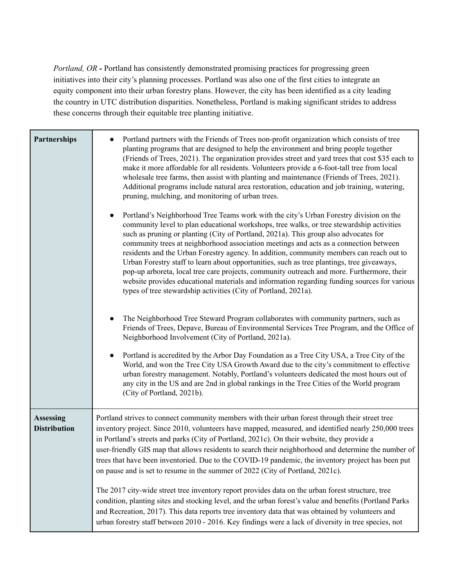*Portland, OR -* Portland has consistently demonstrated promising practices for progressing green initiatives into their city's planning processes. Portland was also one of the first cities to integrate an equity component into their urban forestry plans. However, the city has been identified as a city leading the country in UTC distribution disparities. Nonetheless, Portland is making significant strides to address these concerns through their equitable tree planting initiative.

| <b>Partnerships</b>                     | Portland partners with the Friends of Trees non-profit organization which consists of tree<br>planting programs that are designed to help the environment and bring people together<br>(Friends of Trees, 2021). The organization provides street and yard trees that cost \$35 each to<br>make it more affordable for all residents. Volunteers provide a 6-foot-tall tree from local<br>wholesale tree farms, then assist with planting and maintenance (Friends of Trees, 2021).<br>Additional programs include natural area restoration, education and job training, watering,<br>pruning, mulching, and monitoring of urban trees.<br>Portland's Neighborhood Tree Teams work with the city's Urban Forestry division on the<br>$\bullet$<br>community level to plan educational workshops, tree walks, or tree stewardship activities<br>such as pruning or planting (City of Portland, 2021a). This group also advocates for<br>community trees at neighborhood association meetings and acts as a connection between<br>residents and the Urban Forestry agency. In addition, community members can reach out to<br>Urban Forestry staff to learn about opportunities, such as tree plantings, tree giveaways,<br>pop-up arboreta, local tree care projects, community outreach and more. Furthermore, their<br>website provides educational materials and information regarding funding sources for various<br>types of tree stewardship activities (City of Portland, 2021a). |
|-----------------------------------------|-----------------------------------------------------------------------------------------------------------------------------------------------------------------------------------------------------------------------------------------------------------------------------------------------------------------------------------------------------------------------------------------------------------------------------------------------------------------------------------------------------------------------------------------------------------------------------------------------------------------------------------------------------------------------------------------------------------------------------------------------------------------------------------------------------------------------------------------------------------------------------------------------------------------------------------------------------------------------------------------------------------------------------------------------------------------------------------------------------------------------------------------------------------------------------------------------------------------------------------------------------------------------------------------------------------------------------------------------------------------------------------------------------------------------------------------------------------------------------------------|
|                                         | The Neighborhood Tree Steward Program collaborates with community partners, such as<br>Friends of Trees, Depave, Bureau of Environmental Services Tree Program, and the Office of<br>Neighborhood Involvement (City of Portland, 2021a).<br>Portland is accredited by the Arbor Day Foundation as a Tree City USA, a Tree City of the<br>World, and won the Tree City USA Growth Award due to the city's commitment to effective<br>urban forestry management. Notably, Portland's volunteers dedicated the most hours out of<br>any city in the US and are 2nd in global rankings in the Tree Cities of the World program<br>(City of Portland, 2021b).                                                                                                                                                                                                                                                                                                                                                                                                                                                                                                                                                                                                                                                                                                                                                                                                                                |
| <b>Assessing</b><br><b>Distribution</b> | Portland strives to connect community members with their urban forest through their street tree<br>inventory project. Since 2010, volunteers have mapped, measured, and identified nearly 250,000 trees<br>in Portland's streets and parks (City of Portland, 2021c). On their website, they provide a<br>user-friendly GIS map that allows residents to search their neighborhood and determine the number of<br>trees that have been inventoried. Due to the COVID-19 pandemic, the inventory project has been put<br>on pause and is set to resume in the summer of 2022 (City of Portland, 2021c).<br>The 2017 city-wide street tree inventory report provides data on the urban forest structure, tree<br>condition, planting sites and stocking level, and the urban forest's value and benefits (Portland Parks<br>and Recreation, 2017). This data reports tree inventory data that was obtained by volunteers and<br>urban forestry staff between 2010 - 2016. Key findings were a lack of diversity in tree species, not                                                                                                                                                                                                                                                                                                                                                                                                                                                      |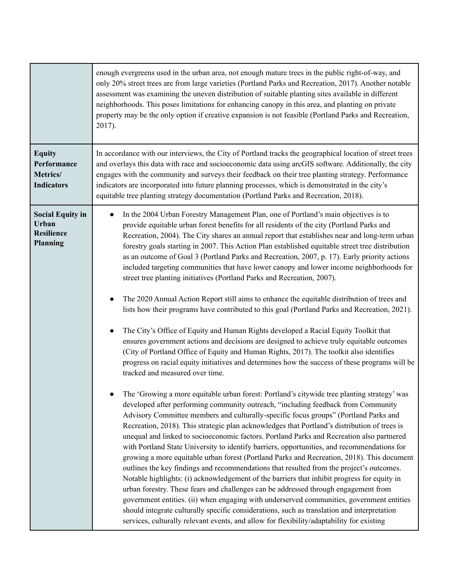|                                                                          | enough evergreens used in the urban area, not enough mature trees in the public right-of-way, and<br>only 20% street trees are from large varieties (Portland Parks and Recreation, 2017). Another notable<br>assessment was examining the uneven distribution of suitable planting sites available in different<br>neighborhoods. This poses limitations for enhancing canopy in this area, and planting on private<br>property may be the only option if creative expansion is not feasible (Portland Parks and Recreation,<br>2017).                                                                                                                                                                                                                                                                                                                                                                                                                                                                                                                                                                                                                                                                                                                                                                                                                                                                                                                                                                                                                                                                                                                                                                                                                                                                                                                                                                                                                                                                                                                                                                                                                                                                                                                                                                                                                                                                                                                                                                                                        |
|--------------------------------------------------------------------------|------------------------------------------------------------------------------------------------------------------------------------------------------------------------------------------------------------------------------------------------------------------------------------------------------------------------------------------------------------------------------------------------------------------------------------------------------------------------------------------------------------------------------------------------------------------------------------------------------------------------------------------------------------------------------------------------------------------------------------------------------------------------------------------------------------------------------------------------------------------------------------------------------------------------------------------------------------------------------------------------------------------------------------------------------------------------------------------------------------------------------------------------------------------------------------------------------------------------------------------------------------------------------------------------------------------------------------------------------------------------------------------------------------------------------------------------------------------------------------------------------------------------------------------------------------------------------------------------------------------------------------------------------------------------------------------------------------------------------------------------------------------------------------------------------------------------------------------------------------------------------------------------------------------------------------------------------------------------------------------------------------------------------------------------------------------------------------------------------------------------------------------------------------------------------------------------------------------------------------------------------------------------------------------------------------------------------------------------------------------------------------------------------------------------------------------------------------------------------------------------------------------------------------------------|
| <b>Equity</b><br>Performance<br>Metrics/<br><b>Indicators</b>            | In accordance with our interviews, the City of Portland tracks the geographical location of street trees<br>and overlays this data with race and socioeconomic data using arcGIS software. Additionally, the city<br>engages with the community and surveys their feedback on their tree planting strategy. Performance<br>indicators are incorporated into future planning processes, which is demonstrated in the city's<br>equitable tree planting strategy documentation (Portland Parks and Recreation, 2018).                                                                                                                                                                                                                                                                                                                                                                                                                                                                                                                                                                                                                                                                                                                                                                                                                                                                                                                                                                                                                                                                                                                                                                                                                                                                                                                                                                                                                                                                                                                                                                                                                                                                                                                                                                                                                                                                                                                                                                                                                            |
| <b>Social Equity in</b><br>Urban<br><b>Resilience</b><br><b>Planning</b> | In the 2004 Urban Forestry Management Plan, one of Portland's main objectives is to<br>provide equitable urban forest benefits for all residents of the city (Portland Parks and<br>Recreation, 2004). The City shares an annual report that establishes near and long-term urban<br>forestry goals starting in 2007. This Action Plan established equitable street tree distribution<br>as an outcome of Goal 3 (Portland Parks and Recreation, 2007, p. 17). Early priority actions<br>included targeting communities that have lower canopy and lower income neighborhoods for<br>street tree planting initiatives (Portland Parks and Recreation, 2007).<br>The 2020 Annual Action Report still aims to enhance the equitable distribution of trees and<br>$\bullet$<br>lists how their programs have contributed to this goal (Portland Parks and Recreation, 2021).<br>The City's Office of Equity and Human Rights developed a Racial Equity Toolkit that<br>ensures government actions and decisions are designed to achieve truly equitable outcomes<br>(City of Portland Office of Equity and Human Rights, 2017). The toolkit also identifies<br>progress on racial equity initiatives and determines how the success of these programs will be<br>tracked and measured over time.<br>The 'Growing a more equitable urban forest: Portland's citywide tree planting strategy' was<br>developed after performing community outreach, "including feedback from Community<br>Advisory Committee members and culturally-specific focus groups" (Portland Parks and<br>Recreation, 2018). This strategic plan acknowledges that Portland's distribution of trees is<br>unequal and linked to socioeconomic factors. Portland Parks and Recreation also partnered<br>with Portland State University to identify barriers, opportunities, and recommendations for<br>growing a more equitable urban forest (Portland Parks and Recreation, 2018). This document<br>outlines the key findings and recommendations that resulted from the project's outcomes.<br>Notable highlights: (i) acknowledgement of the barriers that inhibit progress for equity in<br>urban forestry. These fears and challenges can be addressed through engagement from<br>government entities. (ii) when engaging with underserved communities, government entities<br>should integrate culturally specific considerations, such as translation and interpretation<br>services, culturally relevant events, and allow for flexibility/adaptability for existing |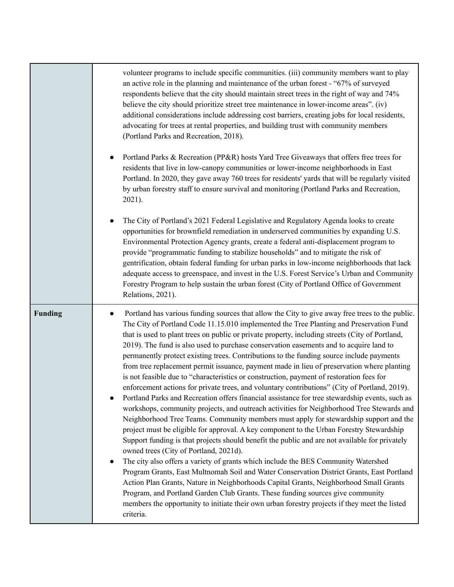|                | volunteer programs to include specific communities. (iii) community members want to play<br>an active role in the planning and maintenance of the urban forest - "67% of surveyed<br>respondents believe that the city should maintain street trees in the right of way and 74%<br>believe the city should prioritize street tree maintenance in lower-income areas". (iv)<br>additional considerations include addressing cost barriers, creating jobs for local residents,<br>advocating for trees at rental properties, and building trust with community members<br>(Portland Parks and Recreation, 2018).<br>Portland Parks & Recreation (PP&R) hosts Yard Tree Giveaways that offers free trees for<br>$\bullet$<br>residents that live in low-canopy communities or lower-income neighborhoods in East<br>Portland. In 2020, they gave away 760 trees for residents' yards that will be regularly visited<br>by urban forestry staff to ensure survival and monitoring (Portland Parks and Recreation,<br>2021).<br>The City of Portland's 2021 Federal Legislative and Regulatory Agenda looks to create<br>$\bullet$<br>opportunities for brownfield remediation in underserved communities by expanding U.S.<br>Environmental Protection Agency grants, create a federal anti-displacement program to<br>provide "programmatic funding to stabilize households" and to mitigate the risk of<br>gentrification, obtain federal funding for urban parks in low-income neighborhoods that lack<br>adequate access to greenspace, and invest in the U.S. Forest Service's Urban and Community<br>Forestry Program to help sustain the urban forest (City of Portland Office of Government<br>Relations, 2021).                                                                                    |
|----------------|---------------------------------------------------------------------------------------------------------------------------------------------------------------------------------------------------------------------------------------------------------------------------------------------------------------------------------------------------------------------------------------------------------------------------------------------------------------------------------------------------------------------------------------------------------------------------------------------------------------------------------------------------------------------------------------------------------------------------------------------------------------------------------------------------------------------------------------------------------------------------------------------------------------------------------------------------------------------------------------------------------------------------------------------------------------------------------------------------------------------------------------------------------------------------------------------------------------------------------------------------------------------------------------------------------------------------------------------------------------------------------------------------------------------------------------------------------------------------------------------------------------------------------------------------------------------------------------------------------------------------------------------------------------------------------------------------------------------------------------------------------------------------------------------------------|
| <b>Funding</b> | Portland has various funding sources that allow the City to give away free trees to the public.<br>The City of Portland Code 11.15.010 implemented the Tree Planting and Preservation Fund<br>that is used to plant trees on public or private property, including streets (City of Portland,<br>2019). The fund is also used to purchase conservation easements and to acquire land to<br>permanently protect existing trees. Contributions to the funding source include payments<br>from tree replacement permit issuance, payment made in lieu of preservation where planting<br>is not feasible due to "characteristics or construction, payment of restoration fees for<br>enforcement actions for private trees, and voluntary contributions" (City of Portland, 2019).<br>Portland Parks and Recreation offers financial assistance for tree stewardship events, such as<br>workshops, community projects, and outreach activities for Neighborhood Tree Stewards and<br>Neighborhood Tree Teams. Community members must apply for stewardship support and the<br>project must be eligible for approval. A key component to the Urban Forestry Stewardship<br>Support funding is that projects should benefit the public and are not available for privately<br>owned trees (City of Portland, 2021d).<br>The city also offers a variety of grants which include the BES Community Watershed<br>$\bullet$<br>Program Grants, East Multnomah Soil and Water Conservation District Grants, East Portland<br>Action Plan Grants, Nature in Neighborhoods Capital Grants, Neighborhood Small Grants<br>Program, and Portland Garden Club Grants. These funding sources give community<br>members the opportunity to initiate their own urban forestry projects if they meet the listed<br>criteria. |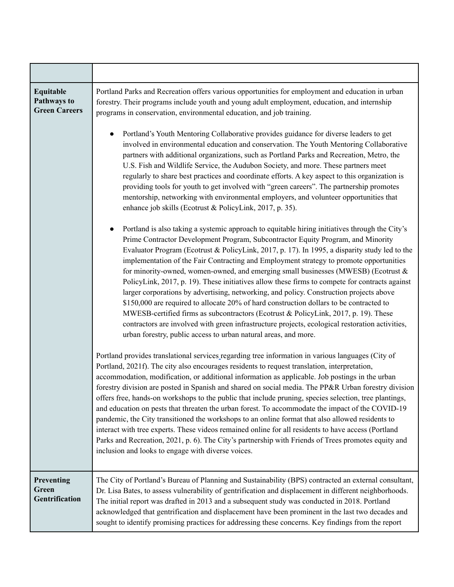| Equitable<br>Pathways to<br><b>Green Careers</b> | Portland Parks and Recreation offers various opportunities for employment and education in urban<br>forestry. Their programs include youth and young adult employment, education, and internship<br>programs in conservation, environmental education, and job training.<br>Portland's Youth Mentoring Collaborative provides guidance for diverse leaders to get<br>involved in environmental education and conservation. The Youth Mentoring Collaborative<br>partners with additional organizations, such as Portland Parks and Recreation, Metro, the<br>U.S. Fish and Wildlife Service, the Audubon Society, and more. These partners meet<br>regularly to share best practices and coordinate efforts. A key aspect to this organization is<br>providing tools for youth to get involved with "green careers". The partnership promotes<br>mentorship, networking with environmental employers, and volunteer opportunities that<br>enhance job skills (Ecotrust & PolicyLink, 2017, p. 35).<br>Portland is also taking a systemic approach to equitable hiring initiatives through the City's<br>$\bullet$<br>Prime Contractor Development Program, Subcontractor Equity Program, and Minority<br>Evaluator Program (Ecotrust & PolicyLink, 2017, p. 17). In 1995, a disparity study led to the<br>implementation of the Fair Contracting and Employment strategy to promote opportunities<br>for minority-owned, women-owned, and emerging small businesses (MWESB) (Ecotrust $\&$<br>PolicyLink, 2017, p. 19). These initiatives allow these firms to compete for contracts against<br>larger corporations by advertising, networking, and policy. Construction projects above<br>\$150,000 are required to allocate 20% of hard construction dollars to be contracted to<br>MWESB-certified firms as subcontractors (Ecotrust & PolicyLink, 2017, p. 19). These<br>contractors are involved with green infrastructure projects, ecological restoration activities,<br>urban forestry, public access to urban natural areas, and more.<br>Portland provides translational services regarding tree information in various languages (City of<br>Portland, 2021f). The city also encourages residents to request translation, interpretation,<br>accommodation, modification, or additional information as applicable. Job postings in the urban<br>forestry division are posted in Spanish and shared on social media. The PP&R Urban forestry division<br>offers free, hands-on workshops to the public that include pruning, species selection, tree plantings,<br>and education on pests that threaten the urban forest. To accommodate the impact of the COVID-19<br>pandemic, the City transitioned the workshops to an online format that also allowed residents to<br>interact with tree experts. These videos remained online for all residents to have access (Portland<br>Parks and Recreation, 2021, p. 6). The City's partnership with Friends of Trees promotes equity and<br>inclusion and looks to engage with diverse voices. |
|--------------------------------------------------|-------------------------------------------------------------------------------------------------------------------------------------------------------------------------------------------------------------------------------------------------------------------------------------------------------------------------------------------------------------------------------------------------------------------------------------------------------------------------------------------------------------------------------------------------------------------------------------------------------------------------------------------------------------------------------------------------------------------------------------------------------------------------------------------------------------------------------------------------------------------------------------------------------------------------------------------------------------------------------------------------------------------------------------------------------------------------------------------------------------------------------------------------------------------------------------------------------------------------------------------------------------------------------------------------------------------------------------------------------------------------------------------------------------------------------------------------------------------------------------------------------------------------------------------------------------------------------------------------------------------------------------------------------------------------------------------------------------------------------------------------------------------------------------------------------------------------------------------------------------------------------------------------------------------------------------------------------------------------------------------------------------------------------------------------------------------------------------------------------------------------------------------------------------------------------------------------------------------------------------------------------------------------------------------------------------------------------------------------------------------------------------------------------------------------------------------------------------------------------------------------------------------------------------------------------------------------------------------------------------------------------------------------------------------------------------------------------------------------------------------------------------------------------------------------------------------------------------------------------------------------------------------------------------------------------------------------------------------------------------------------------------------------------------------------------|
| Preventing<br>Green<br>Gentrification            | The City of Portland's Bureau of Planning and Sustainability (BPS) contracted an external consultant,<br>Dr. Lisa Bates, to assess vulnerability of gentrification and displacement in different neighborhoods.<br>The initial report was drafted in 2013 and a subsequent study was conducted in 2018. Portland<br>acknowledged that gentrification and displacement have been prominent in the last two decades and<br>sought to identify promising practices for addressing these concerns. Key findings from the report                                                                                                                                                                                                                                                                                                                                                                                                                                                                                                                                                                                                                                                                                                                                                                                                                                                                                                                                                                                                                                                                                                                                                                                                                                                                                                                                                                                                                                                                                                                                                                                                                                                                                                                                                                                                                                                                                                                                                                                                                                                                                                                                                                                                                                                                                                                                                                                                                                                                                                                           |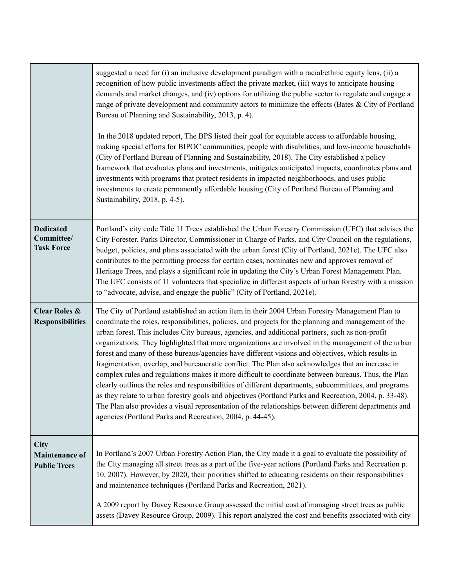|                                                      | suggested a need for (i) an inclusive development paradigm with a racial/ethnic equity lens, (ii) a<br>recognition of how public investments affect the private market, (iii) ways to anticipate housing<br>demands and market changes, and (iv) options for utilizing the public sector to regulate and engage a<br>range of private development and community actors to minimize the effects (Bates & City of Portland<br>Bureau of Planning and Sustainability, 2013, p. 4).<br>In the 2018 updated report, The BPS listed their goal for equitable access to affordable housing,<br>making special efforts for BIPOC communities, people with disabilities, and low-income households<br>(City of Portland Bureau of Planning and Sustainability, 2018). The City established a policy<br>framework that evaluates plans and investments, mitigates anticipated impacts, coordinates plans and<br>investments with programs that protect residents in impacted neighborhoods, and uses public<br>investments to create permanently affordable housing (City of Portland Bureau of Planning and<br>Sustainability, 2018, p. 4-5). |
|------------------------------------------------------|--------------------------------------------------------------------------------------------------------------------------------------------------------------------------------------------------------------------------------------------------------------------------------------------------------------------------------------------------------------------------------------------------------------------------------------------------------------------------------------------------------------------------------------------------------------------------------------------------------------------------------------------------------------------------------------------------------------------------------------------------------------------------------------------------------------------------------------------------------------------------------------------------------------------------------------------------------------------------------------------------------------------------------------------------------------------------------------------------------------------------------------|
| <b>Dedicated</b><br>Committee/<br><b>Task Force</b>  | Portland's city code Title 11 Trees established the Urban Forestry Commission (UFC) that advises the<br>City Forester, Parks Director, Commissioner in Charge of Parks, and City Council on the regulations,<br>budget, policies, and plans associated with the urban forest (City of Portland, 2021e). The UFC also<br>contributes to the permitting process for certain cases, nominates new and approves removal of<br>Heritage Trees, and plays a significant role in updating the City's Urban Forest Management Plan.<br>The UFC consists of 11 volunteers that specialize in different aspects of urban forestry with a mission<br>to "advocate, advise, and engage the public" (City of Portland, 2021e).                                                                                                                                                                                                                                                                                                                                                                                                                    |
| <b>Clear Roles &amp;</b><br><b>Responsibilities</b>  | The City of Portland established an action item in their 2004 Urban Forestry Management Plan to<br>coordinate the roles, responsibilities, policies, and projects for the planning and management of the<br>urban forest. This includes City bureaus, agencies, and additional partners, such as non-profit<br>organizations. They highlighted that more organizations are involved in the management of the urban<br>forest and many of these bureaus/agencies have different visions and objectives, which results in<br>fragmentation, overlap, and bureaucratic conflict. The Plan also acknowledges that an increase in<br>complex rules and regulations makes it more difficult to coordinate between bureaus. Thus, the Plan<br>clearly outlines the roles and responsibilities of different departments, subcommittees, and programs<br>as they relate to urban forestry goals and objectives (Portland Parks and Recreation, 2004, p. 33-48).<br>The Plan also provides a visual representation of the relationships between different departments and<br>agencies (Portland Parks and Recreation, 2004, p. 44-45).         |
| City<br><b>Maintenance of</b><br><b>Public Trees</b> | In Portland's 2007 Urban Forestry Action Plan, the City made it a goal to evaluate the possibility of<br>the City managing all street trees as a part of the five-year actions (Portland Parks and Recreation p.<br>10, 2007). However, by 2020, their priorities shifted to educating residents on their responsibilities<br>and maintenance techniques (Portland Parks and Recreation, 2021).<br>A 2009 report by Davey Resource Group assessed the initial cost of managing street trees as public<br>assets (Davey Resource Group, 2009). This report analyzed the cost and benefits associated with city                                                                                                                                                                                                                                                                                                                                                                                                                                                                                                                        |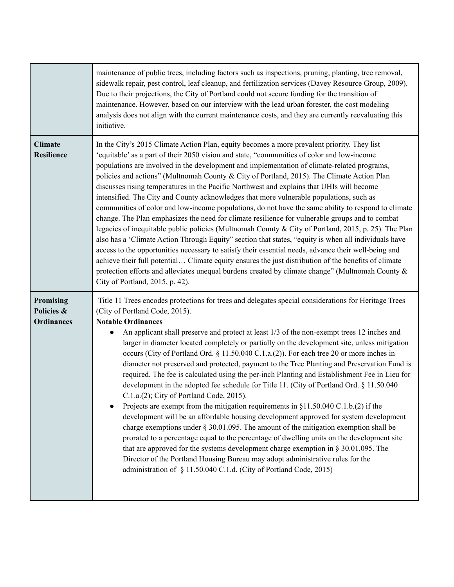|                                              | maintenance of public trees, including factors such as inspections, pruning, planting, tree removal,<br>sidewalk repair, pest control, leaf cleanup, and fertilization services (Davey Resource Group, 2009).<br>Due to their projections, the City of Portland could not secure funding for the transition of<br>maintenance. However, based on our interview with the lead urban forester, the cost modeling<br>analysis does not align with the current maintenance costs, and they are currently reevaluating this<br>initiative.                                                                                                                                                                                                                                                                                                                                                                                                                                                                                                                                                                                                                                                                                                                                                                                                                                                                                                  |
|----------------------------------------------|----------------------------------------------------------------------------------------------------------------------------------------------------------------------------------------------------------------------------------------------------------------------------------------------------------------------------------------------------------------------------------------------------------------------------------------------------------------------------------------------------------------------------------------------------------------------------------------------------------------------------------------------------------------------------------------------------------------------------------------------------------------------------------------------------------------------------------------------------------------------------------------------------------------------------------------------------------------------------------------------------------------------------------------------------------------------------------------------------------------------------------------------------------------------------------------------------------------------------------------------------------------------------------------------------------------------------------------------------------------------------------------------------------------------------------------|
| <b>Climate</b><br><b>Resilience</b>          | In the City's 2015 Climate Action Plan, equity becomes a more prevalent priority. They list<br>'equitable' as a part of their 2050 vision and state, "communities of color and low-income<br>populations are involved in the development and implementation of climate-related programs,<br>policies and actions" (Multnomah County & City of Portland, 2015). The Climate Action Plan<br>discusses rising temperatures in the Pacific Northwest and explains that UHIs will become<br>intensified. The City and County acknowledges that more vulnerable populations, such as<br>communities of color and low-income populations, do not have the same ability to respond to climate<br>change. The Plan emphasizes the need for climate resilience for vulnerable groups and to combat<br>legacies of inequitable public policies (Multnomah County & City of Portland, 2015, p. 25). The Plan<br>also has a 'Climate Action Through Equity" section that states, "equity is when all individuals have<br>access to the opportunities necessary to satisfy their essential needs, advance their well-being and<br>achieve their full potential Climate equity ensures the just distribution of the benefits of climate<br>protection efforts and alleviates unequal burdens created by climate change" (Multnomah County &<br>City of Portland, 2015, p. 42).                                                                        |
| Promising<br>Policies &<br><b>Ordinances</b> | Title 11 Trees encodes protections for trees and delegates special considerations for Heritage Trees<br>(City of Portland Code, 2015).<br><b>Notable Ordinances</b><br>An applicant shall preserve and protect at least 1/3 of the non-exempt trees 12 inches and<br>larger in diameter located completely or partially on the development site, unless mitigation<br>occurs (City of Portland Ord. § 11.50.040 C.1.a.(2)). For each tree 20 or more inches in<br>diameter not preserved and protected, payment to the Tree Planting and Preservation Fund is<br>required. The fee is calculated using the per-inch Planting and Establishment Fee in Lieu for<br>development in the adopted fee schedule for Title 11. (City of Portland Ord. § 11.50.040<br>$C.1.a.(2)$ ; City of Portland Code, 2015).<br>Projects are exempt from the mitigation requirements in $$11.50.040$ C.1.b.(2) if the<br>development will be an affordable housing development approved for system development<br>charge exemptions under $\S 30.01.095$ . The amount of the mitigation exemption shall be<br>prorated to a percentage equal to the percentage of dwelling units on the development site<br>that are approved for the systems development charge exemption in $\S$ 30.01.095. The<br>Director of the Portland Housing Bureau may adopt administrative rules for the<br>administration of § 11.50.040 C.1.d. (City of Portland Code, 2015) |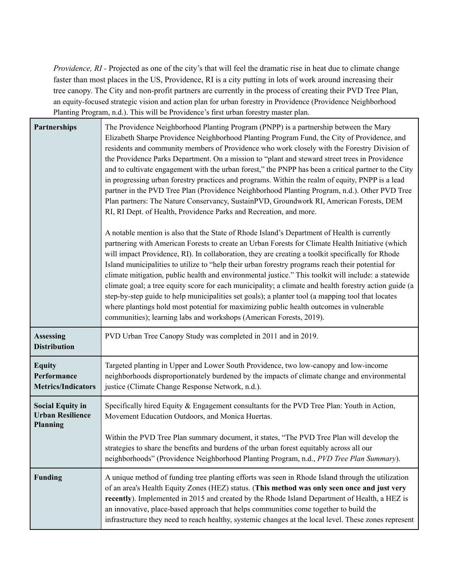*Providence, RI -* Projected as one of the city's that will feel the dramatic rise in heat due to climate change faster than most places in the US, Providence, RI is a city putting in lots of work around increasing their tree canopy. The City and non-profit partners are currently in the process of creating their PVD Tree Plan, an equity-focused strategic vision and action plan for urban forestry in Providence (Providence Neighborhood Planting Program, n.d.). This will be Providence's first urban forestry master plan.

| <b>Partnerships</b>                                                   | The Providence Neighborhood Planting Program (PNPP) is a partnership between the Mary<br>Elizabeth Sharpe Providence Neighborhood Planting Program Fund, the City of Providence, and<br>residents and community members of Providence who work closely with the Forestry Division of<br>the Providence Parks Department. On a mission to "plant and steward street trees in Providence<br>and to cultivate engagement with the urban forest," the PNPP has been a critical partner to the City<br>in progressing urban forestry practices and programs. Within the realm of equity, PNPP is a lead<br>partner in the PVD Tree Plan (Providence Neighborhood Planting Program, n.d.). Other PVD Tree<br>Plan partners: The Nature Conservancy, SustainPVD, Groundwork RI, American Forests, DEM<br>RI, RI Dept. of Health, Providence Parks and Recreation, and more.<br>A notable mention is also that the State of Rhode Island's Department of Health is currently<br>partnering with American Forests to create an Urban Forests for Climate Health Initiative (which<br>will impact Providence, RI). In collaboration, they are creating a toolkit specifically for Rhode<br>Island municipalities to utilize to "help their urban forestry programs reach their potential for<br>climate mitigation, public health and environmental justice." This toolkit will include: a statewide<br>climate goal; a tree equity score for each municipality; a climate and health forestry action guide (a<br>step-by-step guide to help municipalities set goals); a planter tool (a mapping tool that locates<br>where plantings hold most potential for maximizing public health outcomes in vulnerable |
|-----------------------------------------------------------------------|------------------------------------------------------------------------------------------------------------------------------------------------------------------------------------------------------------------------------------------------------------------------------------------------------------------------------------------------------------------------------------------------------------------------------------------------------------------------------------------------------------------------------------------------------------------------------------------------------------------------------------------------------------------------------------------------------------------------------------------------------------------------------------------------------------------------------------------------------------------------------------------------------------------------------------------------------------------------------------------------------------------------------------------------------------------------------------------------------------------------------------------------------------------------------------------------------------------------------------------------------------------------------------------------------------------------------------------------------------------------------------------------------------------------------------------------------------------------------------------------------------------------------------------------------------------------------------------------------------------------------------------------------------------------------------------------------|
|                                                                       | communities); learning labs and workshops (American Forests, 2019).                                                                                                                                                                                                                                                                                                                                                                                                                                                                                                                                                                                                                                                                                                                                                                                                                                                                                                                                                                                                                                                                                                                                                                                                                                                                                                                                                                                                                                                                                                                                                                                                                                  |
| <b>Assessing</b><br><b>Distribution</b>                               | PVD Urban Tree Canopy Study was completed in 2011 and in 2019.                                                                                                                                                                                                                                                                                                                                                                                                                                                                                                                                                                                                                                                                                                                                                                                                                                                                                                                                                                                                                                                                                                                                                                                                                                                                                                                                                                                                                                                                                                                                                                                                                                       |
| <b>Equity</b><br>Performance<br><b>Metrics/Indicators</b>             | Targeted planting in Upper and Lower South Providence, two low-canopy and low-income<br>neighborhoods disproportionately burdened by the impacts of climate change and environmental<br>justice (Climate Change Response Network, n.d.).                                                                                                                                                                                                                                                                                                                                                                                                                                                                                                                                                                                                                                                                                                                                                                                                                                                                                                                                                                                                                                                                                                                                                                                                                                                                                                                                                                                                                                                             |
| <b>Social Equity in</b><br><b>Urban Resilience</b><br><b>Planning</b> | Specifically hired Equity & Engagement consultants for the PVD Tree Plan: Youth in Action,<br>Movement Education Outdoors, and Monica Huertas.                                                                                                                                                                                                                                                                                                                                                                                                                                                                                                                                                                                                                                                                                                                                                                                                                                                                                                                                                                                                                                                                                                                                                                                                                                                                                                                                                                                                                                                                                                                                                       |
|                                                                       | Within the PVD Tree Plan summary document, it states, "The PVD Tree Plan will develop the<br>strategies to share the benefits and burdens of the urban forest equitably across all our<br>neighborhoods" (Providence Neighborhood Planting Program, n.d., PVD Tree Plan Summary).                                                                                                                                                                                                                                                                                                                                                                                                                                                                                                                                                                                                                                                                                                                                                                                                                                                                                                                                                                                                                                                                                                                                                                                                                                                                                                                                                                                                                    |
| <b>Funding</b>                                                        | A unique method of funding tree planting efforts was seen in Rhode Island through the utilization<br>of an area's Health Equity Zones (HEZ) status. (This method was only seen once and just very<br>recently). Implemented in 2015 and created by the Rhode Island Department of Health, a HEZ is<br>an innovative, place-based approach that helps communities come together to build the<br>infrastructure they need to reach healthy, systemic changes at the local level. These zones represent                                                                                                                                                                                                                                                                                                                                                                                                                                                                                                                                                                                                                                                                                                                                                                                                                                                                                                                                                                                                                                                                                                                                                                                                 |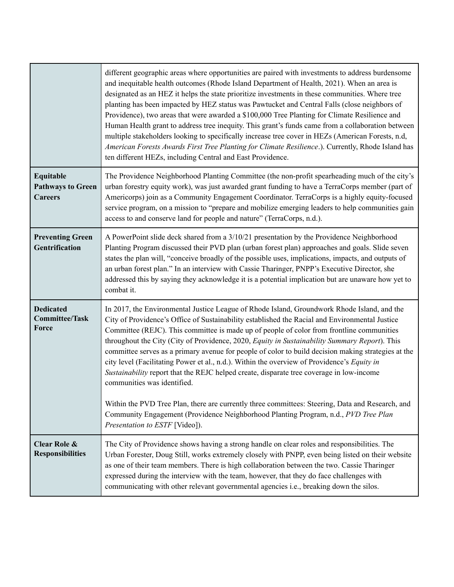|                                                         | different geographic areas where opportunities are paired with investments to address burdensome<br>and inequitable health outcomes (Rhode Island Department of Health, 2021). When an area is<br>designated as an HEZ it helps the state prioritize investments in these communities. Where tree<br>planting has been impacted by HEZ status was Pawtucket and Central Falls (close neighbors of<br>Providence), two areas that were awarded a \$100,000 Tree Planting for Climate Resilience and<br>Human Health grant to address tree inequity. This grant's funds came from a collaboration between<br>multiple stakeholders looking to specifically increase tree cover in HEZs (American Forests, n.d,<br>American Forests Awards First Tree Planting for Climate Resilience.). Currently, Rhode Island has<br>ten different HEZs, including Central and East Providence.                                                                           |
|---------------------------------------------------------|-----------------------------------------------------------------------------------------------------------------------------------------------------------------------------------------------------------------------------------------------------------------------------------------------------------------------------------------------------------------------------------------------------------------------------------------------------------------------------------------------------------------------------------------------------------------------------------------------------------------------------------------------------------------------------------------------------------------------------------------------------------------------------------------------------------------------------------------------------------------------------------------------------------------------------------------------------------|
| Equitable<br><b>Pathways to Green</b><br><b>Careers</b> | The Providence Neighborhood Planting Committee (the non-profit spearheading much of the city's<br>urban forestry equity work), was just awarded grant funding to have a TerraCorps member (part of<br>Americorps) join as a Community Engagement Coordinator. TerraCorps is a highly equity-focused<br>service program, on a mission to "prepare and mobilize emerging leaders to help communities gain<br>access to and conserve land for people and nature" (TerraCorps, n.d.).                                                                                                                                                                                                                                                                                                                                                                                                                                                                         |
| <b>Preventing Green</b><br>Gentrification               | A PowerPoint slide deck shared from a 3/10/21 presentation by the Providence Neighborhood<br>Planting Program discussed their PVD plan (urban forest plan) approaches and goals. Slide seven<br>states the plan will, "conceive broadly of the possible uses, implications, impacts, and outputs of<br>an urban forest plan." In an interview with Cassie Tharinger, PNPP's Executive Director, she<br>addressed this by saying they acknowledge it is a potential implication but are unaware how yet to<br>combat it.                                                                                                                                                                                                                                                                                                                                                                                                                                   |
| <b>Dedicated</b><br><b>Committee/Task</b><br>Force      | In 2017, the Environmental Justice League of Rhode Island, Groundwork Rhode Island, and the<br>City of Providence's Office of Sustainability established the Racial and Environmental Justice<br>Committee (REJC). This committee is made up of people of color from frontline communities<br>throughout the City (City of Providence, 2020, Equity in Sustainability Summary Report). This<br>committee serves as a primary avenue for people of color to build decision making strategies at the<br>city level (Facilitating Power et al., n.d.). Within the overview of Providence's Equity in<br>Sustainability report that the REJC helped create, disparate tree coverage in low-income<br>communities was identified.<br>Within the PVD Tree Plan, there are currently three committees: Steering, Data and Research, and<br>Community Engagement (Providence Neighborhood Planting Program, n.d., PVD Tree Plan<br>Presentation to ESTF [Video]). |
| Clear Role &<br><b>Responsibilities</b>                 | The City of Providence shows having a strong handle on clear roles and responsibilities. The<br>Urban Forester, Doug Still, works extremely closely with PNPP, even being listed on their website<br>as one of their team members. There is high collaboration between the two. Cassie Tharinger<br>expressed during the interview with the team, however, that they do face challenges with<br>communicating with other relevant governmental agencies i.e., breaking down the silos.                                                                                                                                                                                                                                                                                                                                                                                                                                                                    |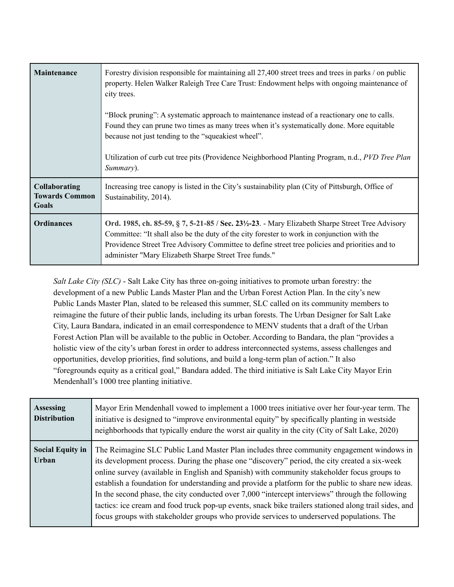| Maintenance                                            | Forestry division responsible for maintaining all 27,400 street trees and trees in parks / on public<br>property. Helen Walker Raleigh Tree Care Trust: Endowment helps with ongoing maintenance of<br>city trees.                                                                                                                                                                  |
|--------------------------------------------------------|-------------------------------------------------------------------------------------------------------------------------------------------------------------------------------------------------------------------------------------------------------------------------------------------------------------------------------------------------------------------------------------|
|                                                        | "Block pruning": A systematic approach to maintenance instead of a reactionary one to calls.<br>Found they can prune two times as many trees when it's systematically done. More equitable<br>because not just tending to the "squeakiest wheel".                                                                                                                                   |
|                                                        | Utilization of curb cut tree pits (Providence Neighborhood Planting Program, n.d., <i>PVD Tree Plan</i><br>Summary).                                                                                                                                                                                                                                                                |
| <b>Collaborating</b><br><b>Towards Common</b><br>Goals | Increasing tree canopy is listed in the City's sustainability plan (City of Pittsburgh, Office of<br>Sustainability, 2014).                                                                                                                                                                                                                                                         |
| <b>Ordinances</b>                                      | Ord. 1985, ch. 85-59, § 7, 5-21-85 / Sec. 23 <sup>1</sup> / <sub>2</sub> -23. - Mary Elizabeth Sharpe Street Tree Advisory<br>Committee: "It shall also be the duty of the city forester to work in conjunction with the<br>Providence Street Tree Advisory Committee to define street tree policies and priorities and to<br>administer "Mary Elizabeth Sharpe Street Tree funds." |

*Salt Lake City (SLC)* - Salt Lake City has three on-going initiatives to promote urban forestry: the development of a new Public Lands Master Plan and the Urban Forest Action Plan. In the city's new Public Lands Master Plan, slated to be released this summer, SLC called on its community members to reimagine the future of their public lands, including its urban forests. The Urban Designer for Salt Lake City, Laura Bandara, indicated in an email correspondence to MENV students that a draft of the Urban Forest Action Plan will be available to the public in October. According to Bandara, the plan "provides a holistic view of the city's urban forest in order to address interconnected systems, assess challenges and opportunities, develop priorities, find solutions, and build a long-term plan of action." It also "foregrounds equity as a critical goal," Bandara added. The third initiative is Salt Lake City Mayor Erin Mendenhall's 1000 tree planting initiative.

| <b>Assessing</b><br><b>Distribution</b> | Mayor Erin Mendenhall vowed to implement a 1000 trees initiative over her four-year term. The<br>initiative is designed to "improve environmental equity" by specifically planting in westside<br>neighborhoods that typically endure the worst air quality in the city (City of Salt Lake, 2020)                                                                                                                                                                                                                                                                                                                                                                                                       |
|-----------------------------------------|---------------------------------------------------------------------------------------------------------------------------------------------------------------------------------------------------------------------------------------------------------------------------------------------------------------------------------------------------------------------------------------------------------------------------------------------------------------------------------------------------------------------------------------------------------------------------------------------------------------------------------------------------------------------------------------------------------|
| <b>Social Equity in</b><br>Urban        | The Reimagine SLC Public Land Master Plan includes three community engagement windows in<br>its development process. During the phase one "discovery" period, the city created a six-week<br>online survey (available in English and Spanish) with community stakeholder focus groups to<br>establish a foundation for understanding and provide a platform for the public to share new ideas.<br>In the second phase, the city conducted over 7,000 "intercept interviews" through the following<br>tactics: ice cream and food truck pop-up events, snack bike trailers stationed along trail sides, and<br>focus groups with stakeholder groups who provide services to underserved populations. The |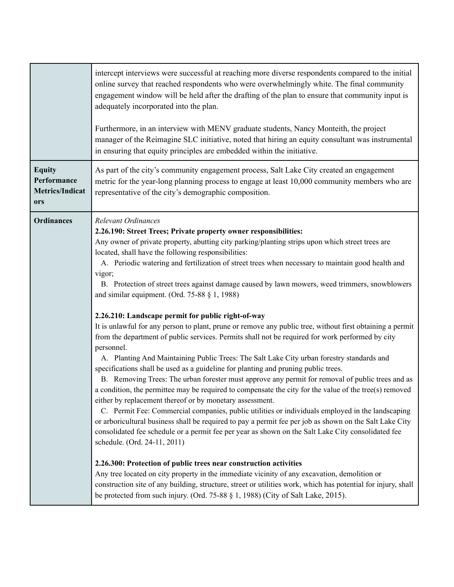|                                                               | intercept interviews were successful at reaching more diverse respondents compared to the initial<br>online survey that reached respondents who were overwhelmingly white. The final community<br>engagement window will be held after the drafting of the plan to ensure that community input is<br>adequately incorporated into the plan.<br>Furthermore, in an interview with MENV graduate students, Nancy Monteith, the project<br>manager of the Reimagine SLC initiative, noted that hiring an equity consultant was instrumental<br>in ensuring that equity principles are embedded within the initiative.                                                                                                                                                                                                                                                                                                                                                                                                                                                                                                                                                                                                                                                                                                                                                                                                                                                                                                                                                                                                                                                                                                                                                                                                                                                                                                                                                                                             |
|---------------------------------------------------------------|----------------------------------------------------------------------------------------------------------------------------------------------------------------------------------------------------------------------------------------------------------------------------------------------------------------------------------------------------------------------------------------------------------------------------------------------------------------------------------------------------------------------------------------------------------------------------------------------------------------------------------------------------------------------------------------------------------------------------------------------------------------------------------------------------------------------------------------------------------------------------------------------------------------------------------------------------------------------------------------------------------------------------------------------------------------------------------------------------------------------------------------------------------------------------------------------------------------------------------------------------------------------------------------------------------------------------------------------------------------------------------------------------------------------------------------------------------------------------------------------------------------------------------------------------------------------------------------------------------------------------------------------------------------------------------------------------------------------------------------------------------------------------------------------------------------------------------------------------------------------------------------------------------------------------------------------------------------------------------------------------------------|
| <b>Equity</b><br>Performance<br><b>Metrics/Indicat</b><br>ors | As part of the city's community engagement process, Salt Lake City created an engagement<br>metric for the year-long planning process to engage at least 10,000 community members who are<br>representative of the city's demographic composition.                                                                                                                                                                                                                                                                                                                                                                                                                                                                                                                                                                                                                                                                                                                                                                                                                                                                                                                                                                                                                                                                                                                                                                                                                                                                                                                                                                                                                                                                                                                                                                                                                                                                                                                                                             |
| <b>Ordinances</b>                                             | <b>Relevant Ordinances</b><br>2.26.190: Street Trees; Private property owner responsibilities:<br>Any owner of private property, abutting city parking/planting strips upon which street trees are<br>located, shall have the following responsibilities:<br>A. Periodic watering and fertilization of street trees when necessary to maintain good health and<br>vigor;<br>B. Protection of street trees against damage caused by lawn mowers, weed trimmers, snowblowers<br>and similar equipment. (Ord. $75-88$ § 1, 1988)<br>2.26.210: Landscape permit for public right-of-way<br>It is unlawful for any person to plant, prune or remove any public tree, without first obtaining a permit<br>from the department of public services. Permits shall not be required for work performed by city<br>personnel.<br>A. Planting And Maintaining Public Trees: The Salt Lake City urban forestry standards and<br>specifications shall be used as a guideline for planting and pruning public trees.<br>B. Removing Trees: The urban forester must approve any permit for removal of public trees and as<br>a condition, the permittee may be required to compensate the city for the value of the tree(s) removed<br>either by replacement thereof or by monetary assessment.<br>C. Permit Fee: Commercial companies, public utilities or individuals employed in the landscaping<br>or arboricultural business shall be required to pay a permit fee per job as shown on the Salt Lake City<br>consolidated fee schedule or a permit fee per year as shown on the Salt Lake City consolidated fee<br>schedule. (Ord. 24-11, 2011)<br>2.26.300: Protection of public trees near construction activities<br>Any tree located on city property in the immediate vicinity of any excavation, demolition or<br>construction site of any building, structure, street or utilities work, which has potential for injury, shall<br>be protected from such injury. (Ord. 75-88 § 1, 1988) (City of Salt Lake, 2015). |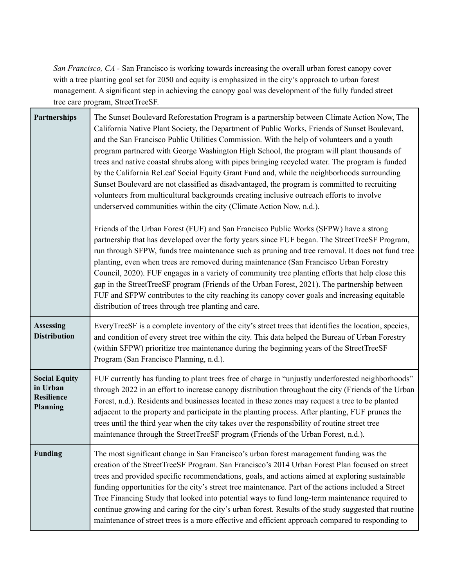*San Francisco, CA -* San Francisco is working towards increasing the overall urban forest canopy cover with a tree planting goal set for 2050 and equity is emphasized in the city's approach to urban forest management. A significant step in achieving the canopy goal was development of the fully funded street tree care program, StreetTreeSF.

| Partnerships                                                             | The Sunset Boulevard Reforestation Program is a partnership between Climate Action Now, The<br>California Native Plant Society, the Department of Public Works, Friends of Sunset Boulevard,<br>and the San Francisco Public Utilities Commission. With the help of volunteers and a youth<br>program partnered with George Washington High School, the program will plant thousands of<br>trees and native coastal shrubs along with pipes bringing recycled water. The program is funded<br>by the California ReLeaf Social Equity Grant Fund and, while the neighborhoods surrounding<br>Sunset Boulevard are not classified as disadvantaged, the program is committed to recruiting<br>volunteers from multicultural backgrounds creating inclusive outreach efforts to involve<br>underserved communities within the city (Climate Action Now, n.d.).<br>Friends of the Urban Forest (FUF) and San Francisco Public Works (SFPW) have a strong<br>partnership that has developed over the forty years since FUF began. The StreetTreeSF Program, |
|--------------------------------------------------------------------------|--------------------------------------------------------------------------------------------------------------------------------------------------------------------------------------------------------------------------------------------------------------------------------------------------------------------------------------------------------------------------------------------------------------------------------------------------------------------------------------------------------------------------------------------------------------------------------------------------------------------------------------------------------------------------------------------------------------------------------------------------------------------------------------------------------------------------------------------------------------------------------------------------------------------------------------------------------------------------------------------------------------------------------------------------------|
|                                                                          | run through SFPW, funds tree maintenance such as pruning and tree removal. It does not fund tree<br>planting, even when trees are removed during maintenance (San Francisco Urban Forestry<br>Council, 2020). FUF engages in a variety of community tree planting efforts that help close this<br>gap in the StreetTreeSF program (Friends of the Urban Forest, 2021). The partnership between<br>FUF and SFPW contributes to the city reaching its canopy cover goals and increasing equitable<br>distribution of trees through tree planting and care.                                                                                                                                                                                                                                                                                                                                                                                                                                                                                               |
| <b>Assessing</b><br><b>Distribution</b>                                  | EveryTreeSF is a complete inventory of the city's street trees that identifies the location, species,<br>and condition of every street tree within the city. This data helped the Bureau of Urban Forestry<br>(within SFPW) prioritize tree maintenance during the beginning years of the StreetTreeSF<br>Program (San Francisco Planning, n.d.).                                                                                                                                                                                                                                                                                                                                                                                                                                                                                                                                                                                                                                                                                                      |
| <b>Social Equity</b><br>in Urban<br><b>Resilience</b><br><b>Planning</b> | FUF currently has funding to plant trees free of charge in "unjustly underforested neighborhoods"<br>through 2022 in an effort to increase canopy distribution throughout the city (Friends of the Urban<br>Forest, n.d.). Residents and businesses located in these zones may request a tree to be planted<br>adjacent to the property and participate in the planting process. After planting, FUF prunes the<br>trees until the third year when the city takes over the responsibility of routine street tree<br>maintenance through the StreetTreeSF program (Friends of the Urban Forest, n.d.).                                                                                                                                                                                                                                                                                                                                                                                                                                                  |
| <b>Funding</b>                                                           | The most significant change in San Francisco's urban forest management funding was the<br>creation of the StreetTreeSF Program. San Francisco's 2014 Urban Forest Plan focused on street<br>trees and provided specific recommendations, goals, and actions aimed at exploring sustainable<br>funding opportunities for the city's street tree maintenance. Part of the actions included a Street<br>Tree Financing Study that looked into potential ways to fund long-term maintenance required to<br>continue growing and caring for the city's urban forest. Results of the study suggested that routine<br>maintenance of street trees is a more effective and efficient approach compared to responding to                                                                                                                                                                                                                                                                                                                                        |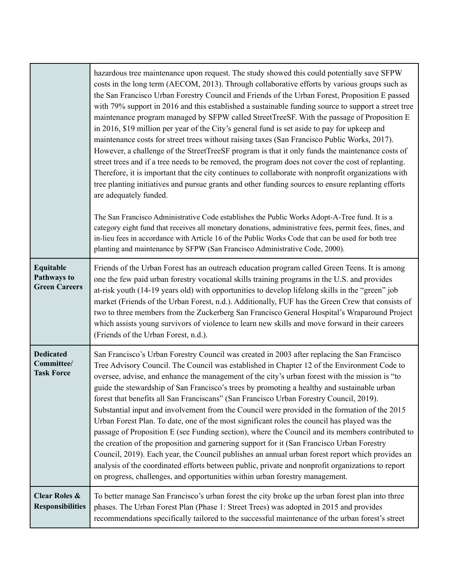|                                                     | hazardous tree maintenance upon request. The study showed this could potentially save SFPW<br>costs in the long term (AECOM, 2013). Through collaborative efforts by various groups such as<br>the San Francisco Urban Forestry Council and Friends of the Urban Forest, Proposition E passed<br>with 79% support in 2016 and this established a sustainable funding source to support a street tree<br>maintenance program managed by SFPW called StreetTreeSF. With the passage of Proposition E<br>in 2016, \$19 million per year of the City's general fund is set aside to pay for upkeep and<br>maintenance costs for street trees without raising taxes (San Francisco Public Works, 2017).<br>However, a challenge of the StreetTreeSF program is that it only funds the maintenance costs of<br>street trees and if a tree needs to be removed, the program does not cover the cost of replanting.<br>Therefore, it is important that the city continues to collaborate with nonprofit organizations with<br>tree planting initiatives and pursue grants and other funding sources to ensure replanting efforts<br>are adequately funded.<br>The San Francisco Administrative Code establishes the Public Works Adopt-A-Tree fund. It is a |
|-----------------------------------------------------|-----------------------------------------------------------------------------------------------------------------------------------------------------------------------------------------------------------------------------------------------------------------------------------------------------------------------------------------------------------------------------------------------------------------------------------------------------------------------------------------------------------------------------------------------------------------------------------------------------------------------------------------------------------------------------------------------------------------------------------------------------------------------------------------------------------------------------------------------------------------------------------------------------------------------------------------------------------------------------------------------------------------------------------------------------------------------------------------------------------------------------------------------------------------------------------------------------------------------------------------------------|
|                                                     | category eight fund that receives all monetary donations, administrative fees, permit fees, fines, and<br>in-lieu fees in accordance with Article 16 of the Public Works Code that can be used for both tree<br>planting and maintenance by SFPW (San Francisco Administrative Code, 2000).                                                                                                                                                                                                                                                                                                                                                                                                                                                                                                                                                                                                                                                                                                                                                                                                                                                                                                                                                         |
| Equitable<br>Pathways to<br><b>Green Careers</b>    | Friends of the Urban Forest has an outreach education program called Green Teens. It is among<br>one the few paid urban forestry vocational skills training programs in the U.S. and provides<br>at-risk youth (14-19 years old) with opportunities to develop lifelong skills in the "green" job<br>market (Friends of the Urban Forest, n.d.). Additionally, FUF has the Green Crew that consists of<br>two to three members from the Zuckerberg San Francisco General Hospital's Wraparound Project<br>which assists young survivors of violence to learn new skills and move forward in their careers<br>(Friends of the Urban Forest, n.d.).                                                                                                                                                                                                                                                                                                                                                                                                                                                                                                                                                                                                   |
| <b>Dedicated</b><br>Committee/<br><b>Task Force</b> | San Francisco's Urban Forestry Council was created in 2003 after replacing the San Francisco<br>Tree Advisory Council. The Council was established in Chapter 12 of the Environment Code to<br>oversee, advise, and enhance the management of the city's urban forest with the mission is "to<br>guide the stewardship of San Francisco's trees by promoting a healthy and sustainable urban<br>forest that benefits all San Franciscans" (San Francisco Urban Forestry Council, 2019).<br>Substantial input and involvement from the Council were provided in the formation of the 2015<br>Urban Forest Plan. To date, one of the most significant roles the council has played was the<br>passage of Proposition E (see Funding section), where the Council and its members contributed to<br>the creation of the proposition and garnering support for it (San Francisco Urban Forestry<br>Council, 2019). Each year, the Council publishes an annual urban forest report which provides an<br>analysis of the coordinated efforts between public, private and nonprofit organizations to report<br>on progress, challenges, and opportunities within urban forestry management.                                                                 |
| <b>Clear Roles &amp;</b><br><b>Responsibilities</b> | To better manage San Francisco's urban forest the city broke up the urban forest plan into three<br>phases. The Urban Forest Plan (Phase 1: Street Trees) was adopted in 2015 and provides<br>recommendations specifically tailored to the successful maintenance of the urban forest's street                                                                                                                                                                                                                                                                                                                                                                                                                                                                                                                                                                                                                                                                                                                                                                                                                                                                                                                                                      |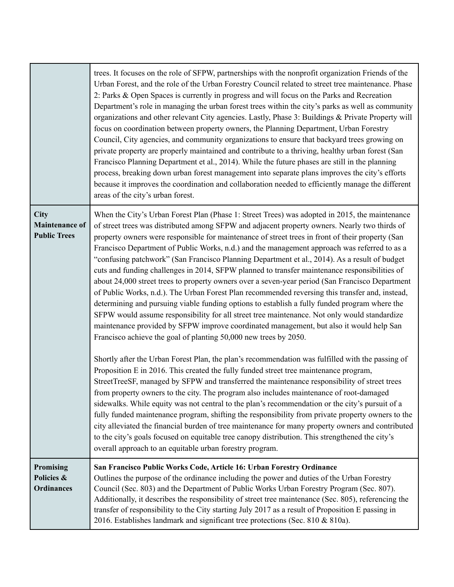|                                                      | trees. It focuses on the role of SFPW, partnerships with the nonprofit organization Friends of the<br>Urban Forest, and the role of the Urban Forestry Council related to street tree maintenance. Phase<br>2: Parks & Open Spaces is currently in progress and will focus on the Parks and Recreation<br>Department's role in managing the urban forest trees within the city's parks as well as community<br>organizations and other relevant City agencies. Lastly, Phase 3: Buildings & Private Property will<br>focus on coordination between property owners, the Planning Department, Urban Forestry<br>Council, City agencies, and community organizations to ensure that backyard trees growing on<br>private property are properly maintained and contribute to a thriving, healthy urban forest (San<br>Francisco Planning Department et al., 2014). While the future phases are still in the planning<br>process, breaking down urban forest management into separate plans improves the city's efforts<br>because it improves the coordination and collaboration needed to efficiently manage the different<br>areas of the city's urban forest.               |
|------------------------------------------------------|-----------------------------------------------------------------------------------------------------------------------------------------------------------------------------------------------------------------------------------------------------------------------------------------------------------------------------------------------------------------------------------------------------------------------------------------------------------------------------------------------------------------------------------------------------------------------------------------------------------------------------------------------------------------------------------------------------------------------------------------------------------------------------------------------------------------------------------------------------------------------------------------------------------------------------------------------------------------------------------------------------------------------------------------------------------------------------------------------------------------------------------------------------------------------------|
| City<br><b>Maintenance of</b><br><b>Public Trees</b> | When the City's Urban Forest Plan (Phase 1: Street Trees) was adopted in 2015, the maintenance<br>of street trees was distributed among SFPW and adjacent property owners. Nearly two thirds of<br>property owners were responsible for maintenance of street trees in front of their property (San<br>Francisco Department of Public Works, n.d.) and the management approach was referred to as a<br>"confusing patchwork" (San Francisco Planning Department et al., 2014). As a result of budget<br>cuts and funding challenges in 2014, SFPW planned to transfer maintenance responsibilities of<br>about 24,000 street trees to property owners over a seven-year period (San Francisco Department<br>of Public Works, n.d.). The Urban Forest Plan recommended reversing this transfer and, instead,<br>determining and pursuing viable funding options to establish a fully funded program where the<br>SFPW would assume responsibility for all street tree maintenance. Not only would standardize<br>maintenance provided by SFPW improve coordinated management, but also it would help San<br>Francisco achieve the goal of planting 50,000 new trees by 2050. |
|                                                      | Shortly after the Urban Forest Plan, the plan's recommendation was fulfilled with the passing of<br>Proposition E in 2016. This created the fully funded street tree maintenance program,<br>StreetTreeSF, managed by SFPW and transferred the maintenance responsibility of street trees<br>from property owners to the city. The program also includes maintenance of root-damaged<br>sidewalks. While equity was not central to the plan's recommendation or the city's pursuit of a<br>fully funded maintenance program, shifting the responsibility from private property owners to the<br>city alleviated the financial burden of tree maintenance for many property owners and contributed<br>to the city's goals focused on equitable tree canopy distribution. This strengthened the city's<br>overall approach to an equitable urban forestry program.                                                                                                                                                                                                                                                                                                            |
| <b>Promising</b><br>Policies &<br><b>Ordinances</b>  | San Francisco Public Works Code, Article 16: Urban Forestry Ordinance<br>Outlines the purpose of the ordinance including the power and duties of the Urban Forestry<br>Council (Sec. 803) and the Department of Public Works Urban Forestry Program (Sec. 807).<br>Additionally, it describes the responsibility of street tree maintenance (Sec. 805), referencing the<br>transfer of responsibility to the City starting July 2017 as a result of Proposition E passing in<br>2016. Establishes landmark and significant tree protections (Sec. 810 & 810a).                                                                                                                                                                                                                                                                                                                                                                                                                                                                                                                                                                                                              |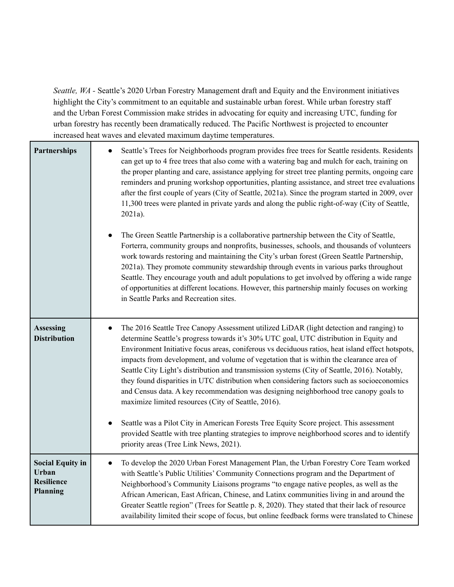*Seattle, WA -* Seattle's 2020 Urban Forestry Management draft and Equity and the Environment initiatives highlight the City's commitment to an equitable and sustainable urban forest. While urban forestry staff and the Urban Forest Commission make strides in advocating for equity and increasing UTC, funding for urban forestry has recently been dramatically reduced. The Pacific Northwest is projected to encounter increased heat waves and elevated maximum daytime temperatures.

| <b>Partnerships</b>                                               | Seattle's Trees for Neighborhoods program provides free trees for Seattle residents. Residents<br>can get up to 4 free trees that also come with a watering bag and mulch for each, training on<br>the proper planting and care, assistance applying for street tree planting permits, ongoing care<br>reminders and pruning workshop opportunities, planting assistance, and street tree evaluations<br>after the first couple of years (City of Seattle, 2021a). Since the program started in 2009, over<br>11,300 trees were planted in private yards and along the public right-of-way (City of Seattle,<br>2021a).<br>The Green Seattle Partnership is a collaborative partnership between the City of Seattle,<br>Forterra, community groups and nonprofits, businesses, schools, and thousands of volunteers<br>work towards restoring and maintaining the City's urban forest (Green Seattle Partnership,<br>2021a). They promote community stewardship through events in various parks throughout<br>Seattle. They encourage youth and adult populations to get involved by offering a wide range<br>of opportunities at different locations. However, this partnership mainly focuses on working<br>in Seattle Parks and Recreation sites. |
|-------------------------------------------------------------------|------------------------------------------------------------------------------------------------------------------------------------------------------------------------------------------------------------------------------------------------------------------------------------------------------------------------------------------------------------------------------------------------------------------------------------------------------------------------------------------------------------------------------------------------------------------------------------------------------------------------------------------------------------------------------------------------------------------------------------------------------------------------------------------------------------------------------------------------------------------------------------------------------------------------------------------------------------------------------------------------------------------------------------------------------------------------------------------------------------------------------------------------------------------------------------------------------------------------------------------------------|
| <b>Assessing</b><br><b>Distribution</b>                           | The 2016 Seattle Tree Canopy Assessment utilized LiDAR (light detection and ranging) to<br>determine Seattle's progress towards it's 30% UTC goal, UTC distribution in Equity and<br>Environment Initiative focus areas, coniferous vs deciduous ratios, heat island effect hotspots,<br>impacts from development, and volume of vegetation that is within the clearance area of<br>Seattle City Light's distribution and transmission systems (City of Seattle, 2016). Notably,<br>they found disparities in UTC distribution when considering factors such as socioeconomics<br>and Census data. A key recommendation was designing neighborhood tree canopy goals to<br>maximize limited resources (City of Seattle, 2016).<br>Seattle was a Pilot City in American Forests Tree Equity Score project. This assessment<br>provided Seattle with tree planting strategies to improve neighborhood scores and to identify<br>priority areas (Tree Link News, 2021).                                                                                                                                                                                                                                                                                 |
| <b>Social Equity in</b><br>Urban<br><b>Resilience</b><br>Planning | To develop the 2020 Urban Forest Management Plan, the Urban Forestry Core Team worked<br>$\bullet$<br>with Seattle's Public Utilities' Community Connections program and the Department of<br>Neighborhood's Community Liaisons programs "to engage native peoples, as well as the<br>African American, East African, Chinese, and Latinx communities living in and around the<br>Greater Seattle region" (Trees for Seattle p. 8, 2020). They stated that their lack of resource<br>availability limited their scope of focus, but online feedback forms were translated to Chinese                                                                                                                                                                                                                                                                                                                                                                                                                                                                                                                                                                                                                                                                 |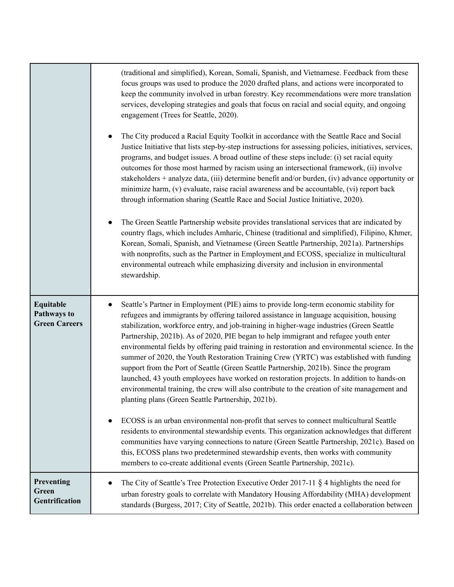|                                                  | (traditional and simplified), Korean, Somali, Spanish, and Vietnamese. Feedback from these<br>focus groups was used to produce the 2020 drafted plans, and actions were incorporated to<br>keep the community involved in urban forestry. Key recommendations were more translation<br>services, developing strategies and goals that focus on racial and social equity, and ongoing<br>engagement (Trees for Seattle, 2020).<br>The City produced a Racial Equity Toolkit in accordance with the Seattle Race and Social<br>Justice Initiative that lists step-by-step instructions for assessing policies, initiatives, services,<br>programs, and budget issues. A broad outline of these steps include: (i) set racial equity<br>outcomes for those most harmed by racism using an intersectional framework, (ii) involve<br>stakeholders + analyze data, (iii) determine benefit and/or burden, (iv) advance opportunity or<br>minimize harm, (v) evaluate, raise racial awareness and be accountable, (vi) report back<br>through information sharing (Seattle Race and Social Justice Initiative, 2020).<br>The Green Seattle Partnership website provides translational services that are indicated by<br>$\bullet$<br>country flags, which includes Amharic, Chinese (traditional and simplified), Filipino, Khmer,<br>Korean, Somali, Spanish, and Vietnamese (Green Seattle Partnership, 2021a). Partnerships<br>with nonprofits, such as the Partner in Employment and ECOSS, specialize in multicultural<br>environmental outreach while emphasizing diversity and inclusion in environmental<br>stewardship. |
|--------------------------------------------------|----------------------------------------------------------------------------------------------------------------------------------------------------------------------------------------------------------------------------------------------------------------------------------------------------------------------------------------------------------------------------------------------------------------------------------------------------------------------------------------------------------------------------------------------------------------------------------------------------------------------------------------------------------------------------------------------------------------------------------------------------------------------------------------------------------------------------------------------------------------------------------------------------------------------------------------------------------------------------------------------------------------------------------------------------------------------------------------------------------------------------------------------------------------------------------------------------------------------------------------------------------------------------------------------------------------------------------------------------------------------------------------------------------------------------------------------------------------------------------------------------------------------------------------------------------------------------------------------------------------------------|
| Equitable<br>Pathways to<br><b>Green Careers</b> | Seattle's Partner in Employment (PIE) aims to provide long-term economic stability for<br>$\bullet$<br>refugees and immigrants by offering tailored assistance in language acquisition, housing<br>stabilization, workforce entry, and job-training in higher-wage industries (Green Seattle<br>Partnership, 2021b). As of 2020, PIE began to help immigrant and refugee youth enter<br>environmental fields by offering paid training in restoration and environmental science. In the<br>summer of 2020, the Youth Restoration Training Crew (YRTC) was established with funding<br>support from the Port of Seattle (Green Seattle Partnership, 2021b). Since the program<br>launched, 43 youth employees have worked on restoration projects. In addition to hands-on<br>environmental training, the crew will also contribute to the creation of site management and<br>planting plans (Green Seattle Partnership, 2021b).<br>ECOSS is an urban environmental non-profit that serves to connect multicultural Seattle<br>residents to environmental stewardship events. This organization acknowledges that different<br>communities have varying connections to nature (Green Seattle Partnership, 2021c). Based on<br>this, ECOSS plans two predetermined stewardship events, then works with community<br>members to co-create additional events (Green Seattle Partnership, 2021c).                                                                                                                                                                                                                               |
| Preventing<br>Green<br>Gentrification            | The City of Seattle's Tree Protection Executive Order 2017-11 $\S$ 4 highlights the need for<br>urban forestry goals to correlate with Mandatory Housing Affordability (MHA) development<br>standards (Burgess, 2017; City of Seattle, 2021b). This order enacted a collaboration between                                                                                                                                                                                                                                                                                                                                                                                                                                                                                                                                                                                                                                                                                                                                                                                                                                                                                                                                                                                                                                                                                                                                                                                                                                                                                                                                  |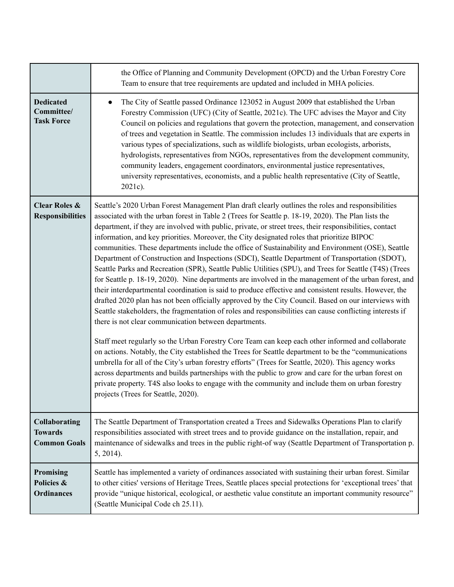|                                                               | the Office of Planning and Community Development (OPCD) and the Urban Forestry Core<br>Team to ensure that tree requirements are updated and included in MHA policies.                                                                                                                                                                                                                                                                                                                                                                                                                                                                                                                                                                                                                                                                                                                                                                                                                                                                                                                                                                                                                                                                                                                                                                                                                                                                                                                                                                                                                                                                                                                                                                                                                                    |
|---------------------------------------------------------------|-----------------------------------------------------------------------------------------------------------------------------------------------------------------------------------------------------------------------------------------------------------------------------------------------------------------------------------------------------------------------------------------------------------------------------------------------------------------------------------------------------------------------------------------------------------------------------------------------------------------------------------------------------------------------------------------------------------------------------------------------------------------------------------------------------------------------------------------------------------------------------------------------------------------------------------------------------------------------------------------------------------------------------------------------------------------------------------------------------------------------------------------------------------------------------------------------------------------------------------------------------------------------------------------------------------------------------------------------------------------------------------------------------------------------------------------------------------------------------------------------------------------------------------------------------------------------------------------------------------------------------------------------------------------------------------------------------------------------------------------------------------------------------------------------------------|
| <b>Dedicated</b><br>Committee/<br><b>Task Force</b>           | The City of Seattle passed Ordinance 123052 in August 2009 that established the Urban<br>$\bullet$<br>Forestry Commission (UFC) (City of Seattle, 2021c). The UFC advises the Mayor and City<br>Council on policies and regulations that govern the protection, management, and conservation<br>of trees and vegetation in Seattle. The commission includes 13 individuals that are experts in<br>various types of specializations, such as wildlife biologists, urban ecologists, arborists,<br>hydrologists, representatives from NGOs, representatives from the development community,<br>community leaders, engagement coordinators, environmental justice representatives,<br>university representatives, economists, and a public health representative (City of Seattle,<br>2021c).                                                                                                                                                                                                                                                                                                                                                                                                                                                                                                                                                                                                                                                                                                                                                                                                                                                                                                                                                                                                                |
| <b>Clear Roles &amp;</b><br><b>Responsibilities</b>           | Seattle's 2020 Urban Forest Management Plan draft clearly outlines the roles and responsibilities<br>associated with the urban forest in Table 2 (Trees for Seattle p. 18-19, 2020). The Plan lists the<br>department, if they are involved with public, private, or street trees, their responsibilities, contact<br>information, and key priorities. Moreover, the City designated roles that prioritize BIPOC<br>communities. These departments include the office of Sustainability and Environment (OSE), Seattle<br>Department of Construction and Inspections (SDCI), Seattle Department of Transportation (SDOT),<br>Seattle Parks and Recreation (SPR), Seattle Public Utilities (SPU), and Trees for Seattle (T4S) (Trees<br>for Seattle p. 18-19, 2020). Nine departments are involved in the management of the urban forest, and<br>their interdepartmental coordination is said to produce effective and consistent results. However, the<br>drafted 2020 plan has not been officially approved by the City Council. Based on our interviews with<br>Seattle stakeholders, the fragmentation of roles and responsibilities can cause conflicting interests if<br>there is not clear communication between departments.<br>Staff meet regularly so the Urban Forestry Core Team can keep each other informed and collaborate<br>on actions. Notably, the City established the Trees for Seattle department to be the "communications<br>umbrella for all of the City's urban forestry efforts" (Trees for Seattle, 2020). This agency works<br>across departments and builds partnerships with the public to grow and care for the urban forest on<br>private property. T4S also looks to engage with the community and include them on urban forestry<br>projects (Trees for Seattle, 2020). |
| <b>Collaborating</b><br><b>Towards</b><br><b>Common Goals</b> | The Seattle Department of Transportation created a Trees and Sidewalks Operations Plan to clarify<br>responsibilities associated with street trees and to provide guidance on the installation, repair, and<br>maintenance of sidewalks and trees in the public right-of way (Seattle Department of Transportation p.<br>$5, 2014$ ).                                                                                                                                                                                                                                                                                                                                                                                                                                                                                                                                                                                                                                                                                                                                                                                                                                                                                                                                                                                                                                                                                                                                                                                                                                                                                                                                                                                                                                                                     |
| Promising<br>Policies &<br><b>Ordinances</b>                  | Seattle has implemented a variety of ordinances associated with sustaining their urban forest. Similar<br>to other cities' versions of Heritage Trees, Seattle places special protections for 'exceptional trees' that<br>provide "unique historical, ecological, or aesthetic value constitute an important community resource"<br>(Seattle Municipal Code ch 25.11).                                                                                                                                                                                                                                                                                                                                                                                                                                                                                                                                                                                                                                                                                                                                                                                                                                                                                                                                                                                                                                                                                                                                                                                                                                                                                                                                                                                                                                    |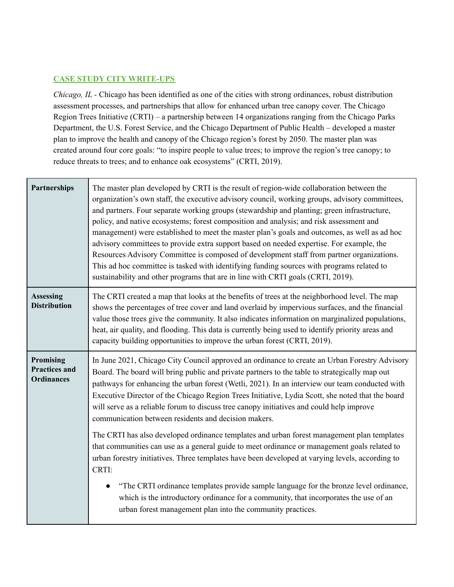# **CASE STUDY CITY WRITE-UPS**

*Chicago, IL -* Chicago has been identified as one of the cities with strong ordinances, robust distribution assessment processes, and partnerships that allow for enhanced urban tree canopy cover. The Chicago Region Trees Initiative (CRTI) – a partnership between 14 organizations ranging from the Chicago Parks Department, the U.S. Forest Service, and the Chicago Department of Public Health – developed a master plan to improve the health and canopy of the Chicago region's forest by 2050. The master plan was created around four core goals: "to inspire people to value trees; to improve the region's tree canopy; to reduce threats to trees; and to enhance oak ecosystems" (CRTI, 2019).

| Partnerships                                                  | The master plan developed by CRTI is the result of region-wide collaboration between the<br>organization's own staff, the executive advisory council, working groups, advisory committees,<br>and partners. Four separate working groups (stewardship and planting; green infrastructure,<br>policy, and native ecosystems; forest composition and analysis; and risk assessment and<br>management) were established to meet the master plan's goals and outcomes, as well as ad hoc<br>advisory committees to provide extra support based on needed expertise. For example, the<br>Resources Advisory Committee is composed of development staff from partner organizations.<br>This ad hoc committee is tasked with identifying funding sources with programs related to<br>sustainability and other programs that are in line with CRTI goals (CRTI, 2019). |
|---------------------------------------------------------------|----------------------------------------------------------------------------------------------------------------------------------------------------------------------------------------------------------------------------------------------------------------------------------------------------------------------------------------------------------------------------------------------------------------------------------------------------------------------------------------------------------------------------------------------------------------------------------------------------------------------------------------------------------------------------------------------------------------------------------------------------------------------------------------------------------------------------------------------------------------|
| <b>Assessing</b><br><b>Distribution</b>                       | The CRTI created a map that looks at the benefits of trees at the neighborhood level. The map<br>shows the percentages of tree cover and land overlaid by impervious surfaces, and the financial<br>value those trees give the community. It also indicates information on marginalized populations,<br>heat, air quality, and flooding. This data is currently being used to identify priority areas and<br>capacity building opportunities to improve the urban forest (CRTI, 2019).                                                                                                                                                                                                                                                                                                                                                                         |
| <b>Promising</b><br><b>Practices and</b><br><b>Ordinances</b> | In June 2021, Chicago City Council approved an ordinance to create an Urban Forestry Advisory<br>Board. The board will bring public and private partners to the table to strategically map out<br>pathways for enhancing the urban forest (Wetli, 2021). In an interview our team conducted with<br>Executive Director of the Chicago Region Trees Initiative, Lydia Scott, she noted that the board<br>will serve as a reliable forum to discuss tree canopy initiatives and could help improve                                                                                                                                                                                                                                                                                                                                                               |
|                                                               | communication between residents and decision makers.                                                                                                                                                                                                                                                                                                                                                                                                                                                                                                                                                                                                                                                                                                                                                                                                           |
|                                                               | The CRTI has also developed ordinance templates and urban forest management plan templates<br>that communities can use as a general guide to meet ordinance or management goals related to<br>urban forestry initiatives. Three templates have been developed at varying levels, according to<br>CRTI:                                                                                                                                                                                                                                                                                                                                                                                                                                                                                                                                                         |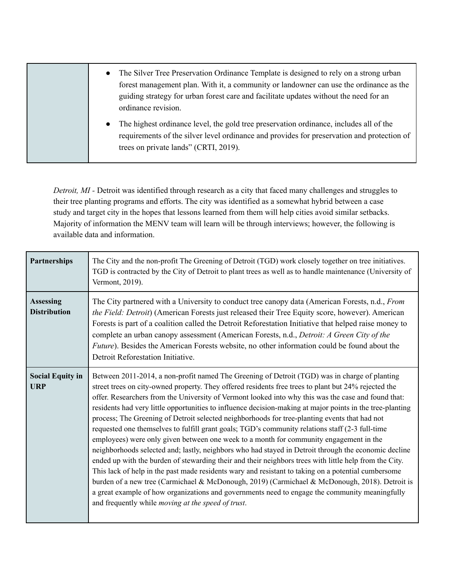| The Silver Tree Preservation Ordinance Template is designed to rely on a strong urban<br>$\bullet$<br>forest management plan. With it, a community or landowner can use the ordinance as the<br>guiding strategy for urban forest care and facilitate updates without the need for an<br>ordinance revision. |
|--------------------------------------------------------------------------------------------------------------------------------------------------------------------------------------------------------------------------------------------------------------------------------------------------------------|
| • The highest ordinance level, the gold tree preservation ordinance, includes all of the<br>requirements of the silver level ordinance and provides for preservation and protection of<br>trees on private lands" (CRTI, 2019).                                                                              |

*Detroit, MI -* Detroit was identified through research as a city that faced many challenges and struggles to their tree planting programs and efforts. The city was identified as a somewhat hybrid between a case study and target city in the hopes that lessons learned from them will help cities avoid similar setbacks. Majority of information the MENV team will learn will be through interviews; however, the following is available data and information.

| <b>Partnerships</b>                     | The City and the non-profit The Greening of Detroit (TGD) work closely together on tree initiatives.<br>TGD is contracted by the City of Detroit to plant trees as well as to handle maintenance (University of<br>Vermont, 2019).                                                                                                                                                                                                                                                                                                                                                                                                                                                                                                                                                                                                                                                                                                                                                                                                                                                                                                                                                                                                                                                                                 |
|-----------------------------------------|--------------------------------------------------------------------------------------------------------------------------------------------------------------------------------------------------------------------------------------------------------------------------------------------------------------------------------------------------------------------------------------------------------------------------------------------------------------------------------------------------------------------------------------------------------------------------------------------------------------------------------------------------------------------------------------------------------------------------------------------------------------------------------------------------------------------------------------------------------------------------------------------------------------------------------------------------------------------------------------------------------------------------------------------------------------------------------------------------------------------------------------------------------------------------------------------------------------------------------------------------------------------------------------------------------------------|
| <b>Assessing</b><br><b>Distribution</b> | The City partnered with a University to conduct tree canopy data (American Forests, n.d., From<br>the Field: Detroit) (American Forests just released their Tree Equity score, however). American<br>Forests is part of a coalition called the Detroit Reforestation Initiative that helped raise money to<br>complete an urban canopy assessment (American Forests, n.d., Detroit: A Green City of the<br><i>Future</i> ). Besides the American Forests website, no other information could be found about the<br>Detroit Reforestation Initiative.                                                                                                                                                                                                                                                                                                                                                                                                                                                                                                                                                                                                                                                                                                                                                               |
| <b>Social Equity in</b><br><b>URP</b>   | Between 2011-2014, a non-profit named The Greening of Detroit (TGD) was in charge of planting<br>street trees on city-owned property. They offered residents free trees to plant but 24% rejected the<br>offer. Researchers from the University of Vermont looked into why this was the case and found that:<br>residents had very little opportunities to influence decision-making at major points in the tree-planting<br>process; The Greening of Detroit selected neighborhoods for tree-planting events that had not<br>requested one themselves to fulfill grant goals; TGD's community relations staff (2-3 full-time<br>employees) were only given between one week to a month for community engagement in the<br>neighborhoods selected and; lastly, neighbors who had stayed in Detroit through the economic decline<br>ended up with the burden of stewarding their and their neighbors trees with little help from the City.<br>This lack of help in the past made residents wary and resistant to taking on a potential cumbersome<br>burden of a new tree (Carmichael & McDonough, 2019) (Carmichael & McDonough, 2018). Detroit is<br>a great example of how organizations and governments need to engage the community meaningfully<br>and frequently while <i>moving at the speed of trust</i> . |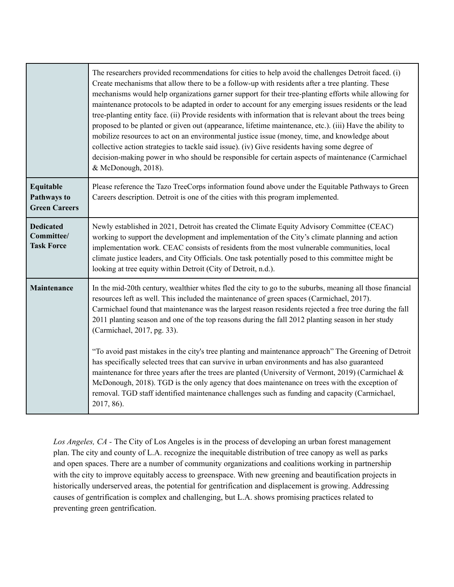|                                                         | The researchers provided recommendations for cities to help avoid the challenges Detroit faced. (i)<br>Create mechanisms that allow there to be a follow-up with residents after a tree planting. These<br>mechanisms would help organizations garner support for their tree-planting efforts while allowing for<br>maintenance protocols to be adapted in order to account for any emerging issues residents or the lead<br>tree-planting entity face. (ii) Provide residents with information that is relevant about the trees being<br>proposed to be planted or given out (appearance, lifetime maintenance, etc.). (iii) Have the ability to<br>mobilize resources to act on an environmental justice issue (money, time, and knowledge about<br>collective action strategies to tackle said issue). (iv) Give residents having some degree of<br>decision-making power in who should be responsible for certain aspects of maintenance (Carmichael<br>& McDonough, 2018). |
|---------------------------------------------------------|---------------------------------------------------------------------------------------------------------------------------------------------------------------------------------------------------------------------------------------------------------------------------------------------------------------------------------------------------------------------------------------------------------------------------------------------------------------------------------------------------------------------------------------------------------------------------------------------------------------------------------------------------------------------------------------------------------------------------------------------------------------------------------------------------------------------------------------------------------------------------------------------------------------------------------------------------------------------------------|
| Equitable<br><b>Pathways to</b><br><b>Green Careers</b> | Please reference the Tazo TreeCorps information found above under the Equitable Pathways to Green<br>Careers description. Detroit is one of the cities with this program implemented.                                                                                                                                                                                                                                                                                                                                                                                                                                                                                                                                                                                                                                                                                                                                                                                           |
| <b>Dedicated</b><br>Committee/<br><b>Task Force</b>     | Newly established in 2021, Detroit has created the Climate Equity Advisory Committee (CEAC)<br>working to support the development and implementation of the City's climate planning and action<br>implementation work. CEAC consists of residents from the most vulnerable communities, local<br>climate justice leaders, and City Officials. One task potentially posed to this committee might be<br>looking at tree equity within Detroit (City of Detroit, n.d.).                                                                                                                                                                                                                                                                                                                                                                                                                                                                                                           |
| Maintenance                                             | In the mid-20th century, wealthier whites fled the city to go to the suburbs, meaning all those financial<br>resources left as well. This included the maintenance of green spaces (Carmichael, 2017).<br>Carmichael found that maintenance was the largest reason residents rejected a free tree during the fall<br>2011 planting season and one of the top reasons during the fall 2012 planting season in her study<br>(Carmichael, 2017, pg. 33).<br>"To avoid past mistakes in the city's tree planting and maintenance approach" The Greening of Detroit<br>has specifically selected trees that can survive in urban environments and has also guaranteed<br>maintenance for three years after the trees are planted (University of Vermont, 2019) (Carmichael &<br>McDonough, 2018). TGD is the only agency that does maintenance on trees with the exception of<br>removal. TGD staff identified maintenance challenges such as funding and capacity (Carmichael,      |
|                                                         | 2017, 86).                                                                                                                                                                                                                                                                                                                                                                                                                                                                                                                                                                                                                                                                                                                                                                                                                                                                                                                                                                      |

*Los Angeles, CA -* The City of Los Angeles is in the process of developing an urban forest management plan. The city and county of L.A. recognize the inequitable distribution of tree canopy as well as parks and open spaces. There are a number of community organizations and coalitions working in partnership with the city to improve equitably access to greenspace. With new greening and beautification projects in historically underserved areas, the potential for gentrification and displacement is growing. Addressing causes of gentrification is complex and challenging, but L.A. shows promising practices related to preventing green gentrification.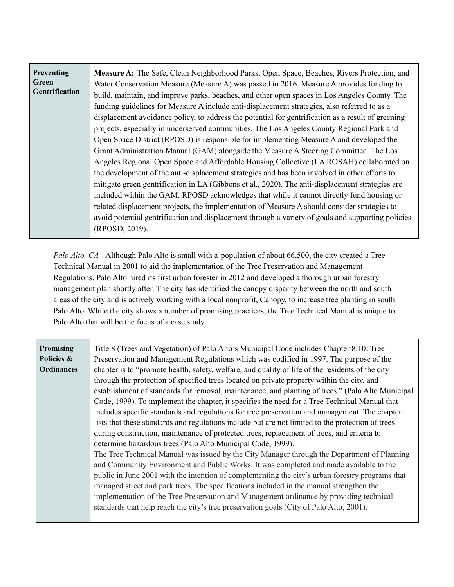| Preventing<br>Green<br>Gentrification | Measure A: The Safe, Clean Neighborhood Parks, Open Space, Beaches, Rivers Protection, and<br>Water Conservation Measure (Measure A) was passed in 2016. Measure A provides funding to<br>build, maintain, and improve parks, beaches, and other open spaces in Los Angeles County. The<br>funding guidelines for Measure A include anti-displacement strategies, also referred to as a<br>displacement avoidance policy, to address the potential for gentrification as a result of greening<br>projects, especially in underserved communities. The Los Angeles County Regional Park and<br>Open Space District (RPOSD) is responsible for implementing Measure A and developed the<br>Grant Administration Manual (GAM) alongside the Measure A Steering Committee. The Los<br>Angeles Regional Open Space and Affordable Housing Collective (LA ROSAH) collaborated on<br>the development of the anti-displacement strategies and has been involved in other efforts to<br>mitigate green gentrification in LA (Gibbons et al., 2020). The anti-displacement strategies are<br>included within the GAM. RPOSD acknowledges that while it cannot directly fund housing or<br>related displacement projects, the implementation of Measure A should consider strategies to |
|---------------------------------------|------------------------------------------------------------------------------------------------------------------------------------------------------------------------------------------------------------------------------------------------------------------------------------------------------------------------------------------------------------------------------------------------------------------------------------------------------------------------------------------------------------------------------------------------------------------------------------------------------------------------------------------------------------------------------------------------------------------------------------------------------------------------------------------------------------------------------------------------------------------------------------------------------------------------------------------------------------------------------------------------------------------------------------------------------------------------------------------------------------------------------------------------------------------------------------------------------------------------------------------------------------------------------|
|                                       | avoid potential gentrification and displacement through a variety of goals and supporting policies<br>(RPOSD, 2019).                                                                                                                                                                                                                                                                                                                                                                                                                                                                                                                                                                                                                                                                                                                                                                                                                                                                                                                                                                                                                                                                                                                                                         |

*Palo Alto, CA* - Although Palo Alto is small with a population of about 66,500, the city created a Tree Technical Manual in 2001 to aid the implementation of the Tree Preservation and Management Regulations. Palo Alto hired its first urban forester in 2012 and developed a thorough urban forestry management plan shortly after. The city has identified the canopy disparity between the north and south areas of the city and is actively working with a local nonprofit, Canopy, to increase tree planting in south Palo Alto. While the city shows a number of promising practices, the Tree Technical Manual is unique to Palo Alto that will be the focus of a case study.

| Promising         | Title 8 (Trees and Vegetation) of Palo Alto's Municipal Code includes Chapter 8.10: Tree          |
|-------------------|---------------------------------------------------------------------------------------------------|
| Policies &        | Preservation and Management Regulations which was codified in 1997. The purpose of the            |
| <b>Ordinances</b> | chapter is to "promote health, safety, welfare, and quality of life of the residents of the city  |
|                   | through the protection of specified trees located on private property within the city, and        |
|                   | establishment of standards for removal, maintenance, and planting of trees." (Palo Alto Municipal |
|                   | Code, 1999). To implement the chapter, it specifies the need for a Tree Technical Manual that     |
|                   | includes specific standards and regulations for tree preservation and management. The chapter     |
|                   | lists that these standards and regulations include but are not limited to the protection of trees |
|                   | during construction, maintenance of protected trees, replacement of trees, and criteria to        |
|                   | determine hazardous trees (Palo Alto Municipal Code, 1999).                                       |
|                   | The Tree Technical Manual was issued by the City Manager through the Department of Planning       |
|                   | and Community Environment and Public Works. It was completed and made available to the            |
|                   | public in June 2001 with the intention of complementing the city's urban forestry programs that   |
|                   | managed street and park trees. The specifications included in the manual strengthen the           |
|                   | implementation of the Tree Preservation and Management ordinance by providing technical           |
|                   | standards that help reach the city's tree preservation goals (City of Palo Alto, 2001).           |
|                   |                                                                                                   |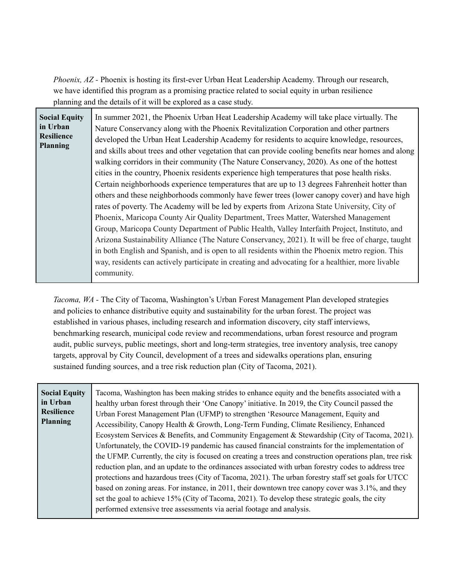*Phoenix, AZ -* Phoenix is hosting its first-ever Urban Heat Leadership Academy. Through our research, we have identified this program as a promising practice related to social equity in urban resilience planning and the details of it will be explored as a case study.

| <b>Social Equity</b><br>in Urban<br>Resilience<br><b>Planning</b> | In summer 2021, the Phoenix Urban Heat Leadership Academy will take place virtually. The<br>Nature Conservancy along with the Phoenix Revitalization Corporation and other partners<br>developed the Urban Heat Leadership Academy for residents to acquire knowledge, resources,<br>and skills about trees and other vegetation that can provide cooling benefits near homes and along<br>walking corridors in their community (The Nature Conservancy, 2020). As one of the hottest<br>cities in the country, Phoenix residents experience high temperatures that pose health risks.<br>Certain neighborhoods experience temperatures that are up to 13 degrees Fahrenheit hotter than<br>others and these neighborhoods commonly have fewer trees (lower canopy cover) and have high<br>rates of poverty. The Academy will be led by experts from Arizona State University, City of<br>Phoenix, Maricopa County Air Quality Department, Trees Matter, Watershed Management<br>Group, Maricopa County Department of Public Health, Valley Interfaith Project, Instituto, and<br>Arizona Sustainability Alliance (The Nature Conservancy, 2021). It will be free of charge, taught<br>in both English and Spanish, and is open to all residents within the Phoenix metro region. This |
|-------------------------------------------------------------------|----------------------------------------------------------------------------------------------------------------------------------------------------------------------------------------------------------------------------------------------------------------------------------------------------------------------------------------------------------------------------------------------------------------------------------------------------------------------------------------------------------------------------------------------------------------------------------------------------------------------------------------------------------------------------------------------------------------------------------------------------------------------------------------------------------------------------------------------------------------------------------------------------------------------------------------------------------------------------------------------------------------------------------------------------------------------------------------------------------------------------------------------------------------------------------------------------------------------------------------------------------------------------------------|
|                                                                   | way, residents can actively participate in creating and advocating for a healthier, more livable<br>community.                                                                                                                                                                                                                                                                                                                                                                                                                                                                                                                                                                                                                                                                                                                                                                                                                                                                                                                                                                                                                                                                                                                                                                         |

*Tacoma, WA -* The City of Tacoma, Washington's Urban Forest Management Plan developed strategies and policies to enhance distributive equity and sustainability for the urban forest. The project was established in various phases, including research and information discovery, city staff interviews, benchmarking research, municipal code review and recommendations, urban forest resource and program audit, public surveys, public meetings, short and long-term strategies, tree inventory analysis, tree canopy targets, approval by City Council, development of a trees and sidewalks operations plan, ensuring sustained funding sources, and a tree risk reduction plan (City of Tacoma, 2021).

| Tacoma, Washington has been making strides to enhance equity and the benefits associated with a          |
|----------------------------------------------------------------------------------------------------------|
| healthy urban forest through their 'One Canopy' initiative. In 2019, the City Council passed the         |
| Urban Forest Management Plan (UFMP) to strengthen 'Resource Management, Equity and                       |
| Accessibility, Canopy Health & Growth, Long-Term Funding, Climate Resiliency, Enhanced                   |
| Ecosystem Services & Benefits, and Community Engagement & Stewardship (City of Tacoma, 2021).            |
| Unfortunately, the COVID-19 pandemic has caused financial constraints for the implementation of          |
| the UFMP. Currently, the city is focused on creating a trees and construction operations plan, tree risk |
| reduction plan, and an update to the ordinances associated with urban forestry codes to address tree     |
| protections and hazardous trees (City of Tacoma, 2021). The urban forestry staff set goals for UTCC      |
| based on zoning areas. For instance, in 2011, their downtown tree canopy cover was 3.1%, and they        |
| set the goal to achieve 15% (City of Tacoma, 2021). To develop these strategic goals, the city           |
|                                                                                                          |
|                                                                                                          |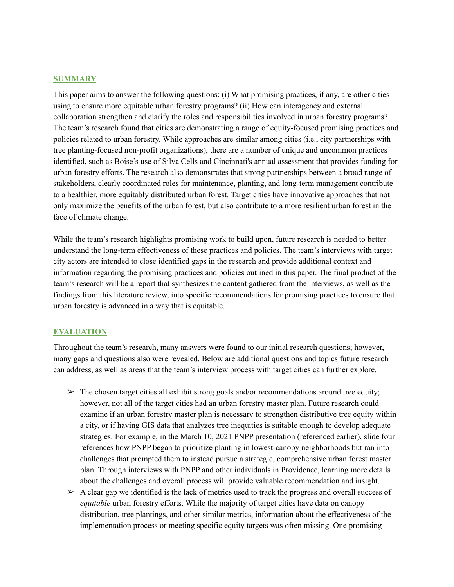## **SUMMARY**

This paper aims to answer the following questions: (i) What promising practices, if any, are other cities using to ensure more equitable urban forestry programs? (ii) How can interagency and external collaboration strengthen and clarify the roles and responsibilities involved in urban forestry programs? The team's research found that cities are demonstrating a range of equity-focused promising practices and policies related to urban forestry. While approaches are similar among cities (i.e., city partnerships with tree planting-focused non-profit organizations), there are a number of unique and uncommon practices identified, such as Boise's use of Silva Cells and Cincinnati's annual assessment that provides funding for urban forestry efforts. The research also demonstrates that strong partnerships between a broad range of stakeholders, clearly coordinated roles for maintenance, planting, and long-term management contribute to a healthier, more equitably distributed urban forest. Target cities have innovative approaches that not only maximize the benefits of the urban forest, but also contribute to a more resilient urban forest in the face of climate change.

While the team's research highlights promising work to build upon, future research is needed to better understand the long-term effectiveness of these practices and policies. The team's interviews with target city actors are intended to close identified gaps in the research and provide additional context and information regarding the promising practices and policies outlined in this paper. The final product of the team's research will be a report that synthesizes the content gathered from the interviews, as well as the findings from this literature review, into specific recommendations for promising practices to ensure that urban forestry is advanced in a way that is equitable.

### **EVALUATION**

Throughout the team's research, many answers were found to our initial research questions; however, many gaps and questions also were revealed. Below are additional questions and topics future research can address, as well as areas that the team's interview process with target cities can further explore.

- $\triangleright$  The chosen target cities all exhibit strong goals and/or recommendations around tree equity; however, not all of the target cities had an urban forestry master plan. Future research could examine if an urban forestry master plan is necessary to strengthen distributive tree equity within a city, or if having GIS data that analyzes tree inequities is suitable enough to develop adequate strategies. For example, in the March 10, 2021 PNPP presentation (referenced earlier), slide four references how PNPP began to prioritize planting in lowest-canopy neighborhoods but ran into challenges that prompted them to instead pursue a strategic, comprehensive urban forest master plan. Through interviews with PNPP and other individuals in Providence, learning more details about the challenges and overall process will provide valuable recommendation and insight.
- $\triangleright$  A clear gap we identified is the lack of metrics used to track the progress and overall success of *equitable* urban forestry efforts. While the majority of target cities have data on canopy distribution, tree plantings, and other similar metrics, information about the effectiveness of the implementation process or meeting specific equity targets was often missing. One promising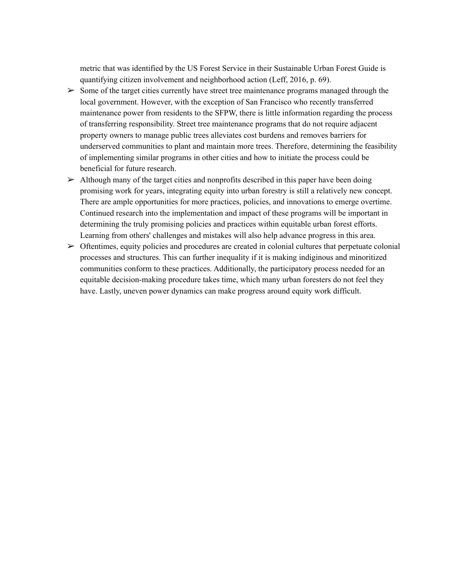metric that was identified by the US Forest Service in their Sustainable Urban Forest Guide is quantifying citizen involvement and neighborhood action (Leff, 2016, p. 69).

- $\geq$  Some of the target cities currently have street tree maintenance programs managed through the local government. However, with the exception of San Francisco who recently transferred maintenance power from residents to the SFPW, there is little information regarding the process of transferring responsibility. Street tree maintenance programs that do not require adjacent property owners to manage public trees alleviates cost burdens and removes barriers for underserved communities to plant and maintain more trees. Therefore, determining the feasibility of implementing similar programs in other cities and how to initiate the process could be beneficial for future research.
- $\triangleright$  Although many of the target cities and nonprofits described in this paper have been doing promising work for years, integrating equity into urban forestry is still a relatively new concept. There are ample opportunities for more practices, policies, and innovations to emerge overtime. Continued research into the implementation and impact of these programs will be important in determining the truly promising policies and practices within equitable urban forest efforts. Learning from others' challenges and mistakes will also help advance progress in this area.
- $\triangleright$  Oftentimes, equity policies and procedures are created in colonial cultures that perpetuate colonial processes and structures. This can further inequality if it is making indiginous and minoritized communities conform to these practices. Additionally, the participatory process needed for an equitable decision-making procedure takes time, which many urban foresters do not feel they have. Lastly, uneven power dynamics can make progress around equity work difficult.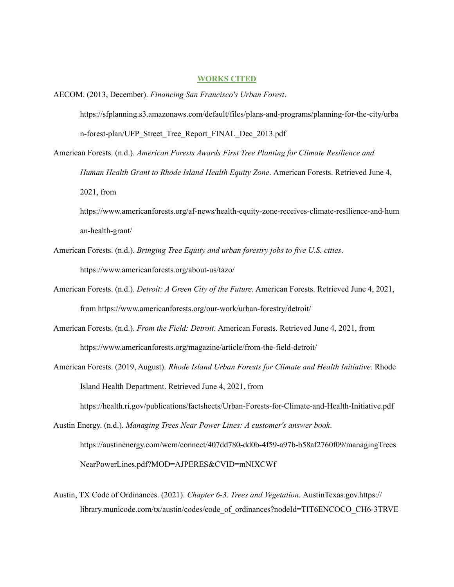#### **WORKS CITED**

- AECOM. (2013, December). *Financing San Francisco's Urban Forest*. https://sfplanning.s3.amazonaws.com/default/files/plans-and-programs/planning-for-the-city/urba n-forest-plan/UFP\_Street\_Tree\_Report\_FINAL\_Dec\_2013.pdf
- American Forests. (n.d.). *American Forests Awards First Tree Planting for Climate Resilience and Human Health Grant to Rhode Island Health Equity Zone*. American Forests. Retrieved June 4, 2021, from

https://www.americanforests.org/af-news/health-equity-zone-receives-climate-resilience-and-hum an-health-grant/

- American Forests. (n.d.). *Bringing Tree Equity and urban forestry jobs to five U.S. cities*. https://www.americanforests.org/about-us/tazo/
- American Forests. (n.d.). *Detroit: A Green City of the Future*. American Forests. Retrieved June 4, 2021, from https://www.americanforests.org/our-work/urban-forestry/detroit/
- American Forests. (n.d.). *From the Field: Detroit*. American Forests. Retrieved June 4, 2021, from https://www.americanforests.org/magazine/article/from-the-field-detroit/
- American Forests. (2019, August). *Rhode Island Urban Forests for Climate and Health Initiative*. Rhode Island Health Department. Retrieved June 4, 2021, from

https://health.ri.gov/publications/factsheets/Urban-Forests-for-Climate-and-Health-Initiative.pdf

- Austin Energy. (n.d.). *Managing Trees Near Power Lines: A customer's answer book*. https://austinenergy.com/wcm/connect/407dd780-dd0b-4f59-a97b-b58af2760f09/managingTrees NearPowerLines.pdf?MOD=AJPERES&CVID=mNIXCWf
- Austin, TX Code of Ordinances. (2021). *Chapter 6-3. Trees and Vegetation.* AustinTexas.gov.https:// library.municode.com/tx/austin/codes/code\_of\_ordinances?nodeId=TIT6ENCOCO\_CH6-3TRVE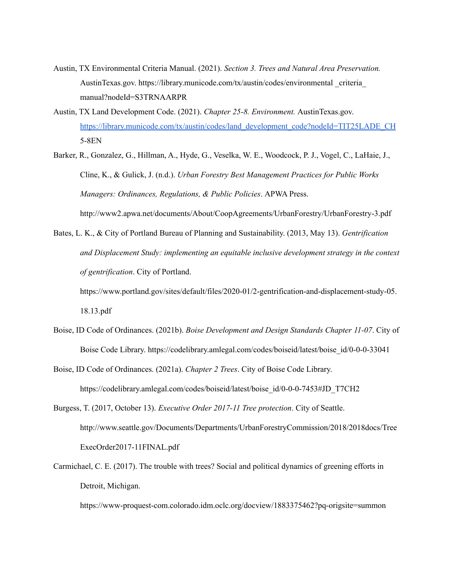- Austin, TX Environmental Criteria Manual. (2021). *Section 3. Trees and Natural Area Preservation.* AustinTexas.gov. https://library.municode.com/tx/austin/codes/environmental \_criteria\_ manual?nodeId=S3TRNAARPR
- Austin, TX Land Development Code. (2021). *Chapter 25-8. Environment.* AustinTexas.gov. [https://library.municode.com/tx/austin/codes/land\\_development\\_code?nodeId=TIT25LADE\\_CH](https://library.municode.com/tx/austin/codes/land_development_code?nodeId=TIT25LADE_CH) 5-8EN
- Barker, R., Gonzalez, G., Hillman, A., Hyde, G., Veselka, W. E., Woodcock, P. J., Vogel, C., LaHaie, J., Cline, K., & Gulick, J. (n.d.). *Urban Forestry Best Management Practices for Public Works Managers: Ordinances, Regulations, & Public Policies*. APWA Press. http://www2.apwa.net/documents/About/CoopAgreements/UrbanForestry/UrbanForestry-3.pdf
- Bates, L. K., & City of Portland Bureau of Planning and Sustainability. (2013, May 13). *Gentrification and Displacement Study: implementing an equitable inclusive development strategy in the context of gentrification*. City of Portland.
	- https://www.portland.gov/sites/default/files/2020-01/2-gentrification-and-displacement-study-05. 18.13.pdf
- Boise, ID Code of Ordinances. (2021b). *Boise Development and Design Standards Chapter 11-07*. City of Boise Code Library. https://codelibrary.amlegal.com/codes/boiseid/latest/boise\_id/0-0-0-33041
- Boise, ID Code of Ordinances. (2021a). *Chapter 2 Trees*. City of Boise Code Library. https://codelibrary.amlegal.com/codes/boiseid/latest/boise\_id/0-0-0-7453#JD\_T7CH2
- Burgess, T. (2017, October 13). *Executive Order 2017-11 Tree protection*. City of Seattle. http://www.seattle.gov/Documents/Departments/UrbanForestryCommission/2018/2018docs/Tree ExecOrder2017-11FINAL.pdf
- Carmichael, C. E. (2017). The trouble with trees? Social and political dynamics of greening efforts in Detroit, Michigan.

https://www-proquest-com.colorado.idm.oclc.org/docview/1883375462?pq-origsite=summon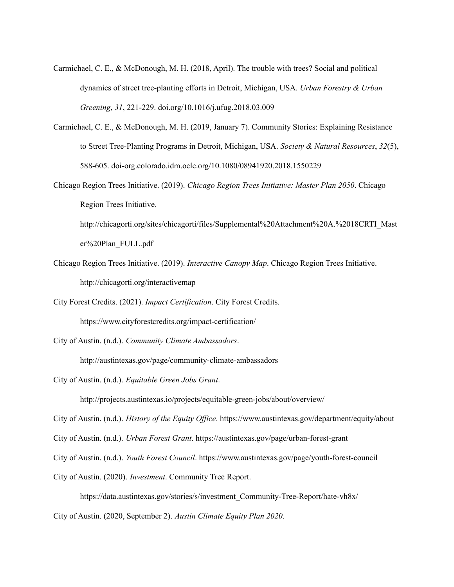- Carmichael, C. E., & McDonough, M. H. (2018, April). The trouble with trees? Social and political dynamics of street tree-planting efforts in Detroit, Michigan, USA. *Urban Forestry & Urban Greening*, *31*, 221-229. doi.org/10.1016/j.ufug.2018.03.009
- Carmichael, C. E., & McDonough, M. H. (2019, January 7). Community Stories: Explaining Resistance to Street Tree-Planting Programs in Detroit, Michigan, USA. *Society & Natural Resources*, *32*(5), 588-605. doi-org.colorado.idm.oclc.org/10.1080/08941920.2018.1550229
- Chicago Region Trees Initiative. (2019). *Chicago Region Trees Initiative: Master Plan 2050*. Chicago Region Trees Initiative.

http://chicagorti.org/sites/chicagorti/files/Supplemental%20Attachment%20A.%2018CRTI\_Mast er%20Plan\_FULL.pdf

Chicago Region Trees Initiative. (2019). *Interactive Canopy Map*. Chicago Region Trees Initiative. http://chicagorti.org/interactivemap

City Forest Credits. (2021). *Impact Certification*. City Forest Credits.

https://www.cityforestcredits.org/impact-certification/

City of Austin. (n.d.). *Community Climate Ambassadors*.

http://austintexas.gov/page/community-climate-ambassadors

City of Austin. (n.d.). *Equitable Green Jobs Grant*.

http://projects.austintexas.io/projects/equitable-green-jobs/about/overview/

City of Austin. (n.d.). *History of the Equity Of ice*. https://www.austintexas.gov/department/equity/about

City of Austin. (n.d.). *Urban Forest Grant*. https://austintexas.gov/page/urban-forest-grant

City of Austin. (n.d.). *Youth Forest Council*. https://www.austintexas.gov/page/youth-forest-council

City of Austin. (2020). *Investment*. Community Tree Report.

https://data.austintexas.gov/stories/s/investment\_Community-Tree-Report/hate-vh8x/

City of Austin. (2020, September 2). *Austin Climate Equity Plan 2020*.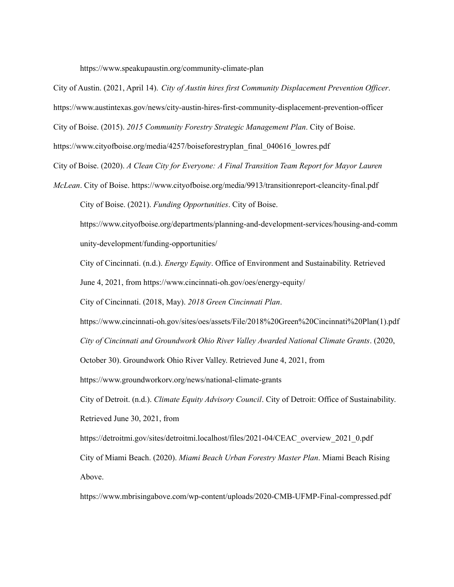https://www.speakupaustin.org/community-climate-plan

City of Austin. (2021, April 14). *City of Austin hires first Community Displacement Prevention Of icer*.

https://www.austintexas.gov/news/city-austin-hires-first-community-displacement-prevention-officer

City of Boise. (2015). *2015 Community Forestry Strategic Management Plan*. City of Boise.

https://www.cityofboise.org/media/4257/boiseforestryplan\_final\_040616\_lowres.pdf

City of Boise. (2020). *A Clean City for Everyone: A Final Transition Team Report for Mayor Lauren*

*McLean*. City of Boise. https://www.cityofboise.org/media/9913/transitionreport-cleancity-final.pdf City of Boise. (2021). *Funding Opportunities*. City of Boise.

https://www.cityofboise.org/departments/planning-and-development-services/housing-and-comm unity-development/funding-opportunities/

City of Cincinnati. (n.d.). *Energy Equity*. Office of Environment and Sustainability. Retrieved

June 4, 2021, from https://www.cincinnati-oh.gov/oes/energy-equity/

City of Cincinnati. (2018, May). *2018 Green Cincinnati Plan*.

https://www.cincinnati-oh.gov/sites/oes/assets/File/2018%20Green%20Cincinnati%20Plan(1).pdf

*City of Cincinnati and Groundwork Ohio River Valley Awarded National Climate Grants*. (2020,

October 30). Groundwork Ohio River Valley. Retrieved June 4, 2021, from

https://www.groundworkorv.org/news/national-climate-grants

City of Detroit. (n.d.). *Climate Equity Advisory Council*. City of Detroit: Office of Sustainability. Retrieved June 30, 2021, from

https://detroitmi.gov/sites/detroitmi.localhost/files/2021-04/CEAC\_overview\_2021\_0.pdf City of Miami Beach. (2020). *Miami Beach Urban Forestry Master Plan*. Miami Beach Rising Above.

https://www.mbrisingabove.com/wp-content/uploads/2020-CMB-UFMP-Final-compressed.pdf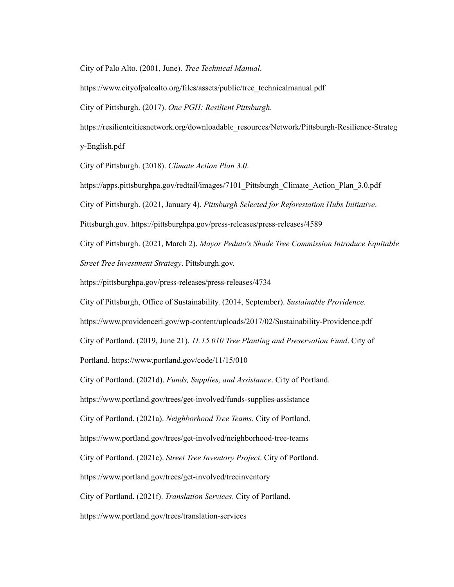City of Palo Alto. (2001, June). *Tree Technical Manual*.

https://www.cityofpaloalto.org/files/assets/public/tree\_technicalmanual.pdf

City of Pittsburgh. (2017). *One PGH: Resilient Pittsburgh*.

https://resilientcitiesnetwork.org/downloadable\_resources/Network/Pittsburgh-Resilience-Strateg y-English.pdf

City of Pittsburgh. (2018). *Climate Action Plan 3.0*.

https://apps.pittsburghpa.gov/redtail/images/7101\_Pittsburgh\_Climate\_Action\_Plan\_3.0.pdf City of Pittsburgh. (2021, January 4). *Pittsburgh Selected for Reforestation Hubs Initiative*. Pittsburgh.gov. https://pittsburghpa.gov/press-releases/press-releases/4589 City of Pittsburgh. (2021, March 2). *Mayor Peduto's Shade Tree Commission Introduce Equitable Street Tree Investment Strategy*. Pittsburgh.gov.

https://pittsburghpa.gov/press-releases/press-releases/4734

City of Pittsburgh, Office of Sustainability. (2014, September). *Sustainable Providence*.

https://www.providenceri.gov/wp-content/uploads/2017/02/Sustainability-Providence.pdf

City of Portland. (2019, June 21). *11.15.010 Tree Planting and Preservation Fund*. City of

Portland. https://www.portland.gov/code/11/15/010

City of Portland. (2021d). *Funds, Supplies, and Assistance*. City of Portland.

https://www.portland.gov/trees/get-involved/funds-supplies-assistance

City of Portland. (2021a). *Neighborhood Tree Teams*. City of Portland.

https://www.portland.gov/trees/get-involved/neighborhood-tree-teams

City of Portland. (2021c). *Street Tree Inventory Project*. City of Portland.

https://www.portland.gov/trees/get-involved/treeinventory

City of Portland. (2021f). *Translation Services*. City of Portland.

https://www.portland.gov/trees/translation-services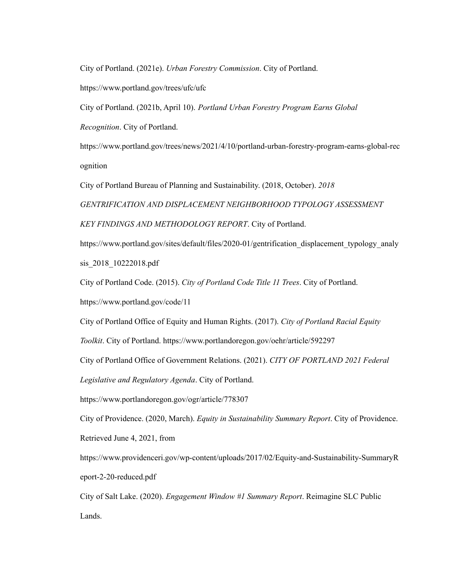City of Portland. (2021e). *Urban Forestry Commission*. City of Portland.

https://www.portland.gov/trees/ufc/ufc

City of Portland. (2021b, April 10). *Portland Urban Forestry Program Earns Global*

*Recognition*. City of Portland.

https://www.portland.gov/trees/news/2021/4/10/portland-urban-forestry-program-earns-global-rec ognition

City of Portland Bureau of Planning and Sustainability. (2018, October). *2018*

*GENTRIFICATION AND DISPLACEMENT NEIGHBORHOOD TYPOLOGY ASSESSMENT KEY FINDINGS AND METHODOLOGY REPORT*. City of Portland.

https://www.portland.gov/sites/default/files/2020-01/gentrification\_displacement\_typology\_analy sis\_2018\_10222018.pdf

City of Portland Code. (2015). *City of Portland Code Title 11 Trees*. City of Portland.

https://www.portland.gov/code/11

City of Portland Office of Equity and Human Rights. (2017). *City of Portland Racial Equity*

*Toolkit*. City of Portland. https://www.portlandoregon.gov/oehr/article/592297

City of Portland Office of Government Relations. (2021). *CITY OF PORTLAND 2021 Federal*

*Legislative and Regulatory Agenda*. City of Portland.

https://www.portlandoregon.gov/ogr/article/778307

City of Providence. (2020, March). *Equity in Sustainability Summary Report*. City of Providence.

Retrieved June 4, 2021, from

https://www.providenceri.gov/wp-content/uploads/2017/02/Equity-and-Sustainability-SummaryR eport-2-20-reduced.pdf

City of Salt Lake. (2020). *Engagement Window #1 Summary Report*. Reimagine SLC Public Lands.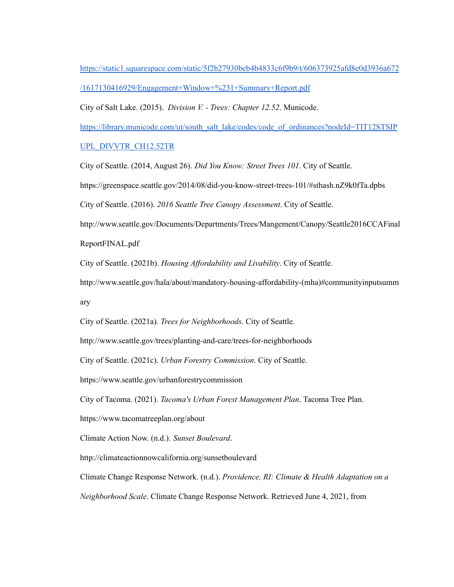[https://static1.squarespace.com/static/5f2b27930beb4b4833c6f9b9/t/606373925afd8e0d3936a672](https://static1.squarespace.com/static/5f2b27930beb4b4833c6f9b9/t/606373925afd8e0d3936a672/1617130416929/Engagement+Window+%231+Summary+Report.pdf) [/1617130416929/Engagement+Window+%231+Summary+Report.pdf](https://static1.squarespace.com/static/5f2b27930beb4b4833c6f9b9/t/606373925afd8e0d3936a672/1617130416929/Engagement+Window+%231+Summary+Report.pdf)

City of Salt Lake. (2015). *Division V. - Trees: Chapter 12.52*. Municode.

[https://library.municode.com/ut/south\\_salt\\_lake/codes/code\\_of\\_ordinances?nodeId=TIT12STSIP](https://library.municode.com/ut/south_salt_lake/codes/code_of_ordinances?nodeId=TIT12STSIPUPL_DIVVTR_CH12.52TR)

## [UPL\\_DIVVTR\\_CH12.52TR](https://library.municode.com/ut/south_salt_lake/codes/code_of_ordinances?nodeId=TIT12STSIPUPL_DIVVTR_CH12.52TR)

City of Seattle. (2014, August 26). *Did You Know: Street Trees 101*. City of Seattle.

https://greenspace.seattle.gov/2014/08/did-you-know-street-trees-101/#sthash.nZ9k0fTa.dpbs

City of Seattle. (2016). *2016 Seattle Tree Canopy Assessment*. City of Seattle.

http://www.seattle.gov/Documents/Departments/Trees/Mangement/Canopy/Seattle2016CCAFinal

ReportFINAL.pdf

City of Seattle. (2021b). *Housing Af ordability and Livability*. City of Seattle.

http://www.seattle.gov/hala/about/mandatory-housing-affordability-(mha)#communityinputsumm ary

City of Seattle. (2021a). *Trees for Neighborhoods*. City of Seattle.

http://www.seattle.gov/trees/planting-and-care/trees-for-neighborhoods

City of Seattle. (2021c). *Urban Forestry Commission*. City of Seattle.

https://www.seattle.gov/urbanforestrycommission

City of Tacoma. (2021). *Tacoma's Urban Forest Management Plan*. Tacoma Tree Plan.

https://www.tacomatreeplan.org/about

Climate Action Now. (n.d.). *Sunset Boulevard*.

http://climateactionnowcalifornia.org/sunsetboulevard

Climate Change Response Network. (n.d.). *Providence, RI: Climate & Health Adaptation on a*

*Neighborhood Scale*. Climate Change Response Network. Retrieved June 4, 2021, from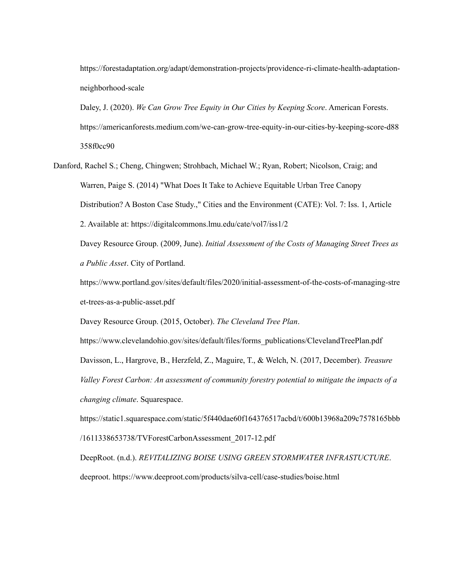https://forestadaptation.org/adapt/demonstration-projects/providence-ri-climate-health-adaptationneighborhood-scale

Daley, J. (2020). *We Can Grow Tree Equity in Our Cities by Keeping Score*. American Forests. https://americanforests.medium.com/we-can-grow-tree-equity-in-our-cities-by-keeping-score-d88 358f0cc90

Danford, Rachel S.; Cheng, Chingwen; Strohbach, Michael W.; Ryan, Robert; Nicolson, Craig; and Warren, Paige S. (2014) "What Does It Take to Achieve Equitable Urban Tree Canopy Distribution? A Boston Case Study.," Cities and the Environment (CATE): Vol. 7: Iss. 1, Article 2. Available at: https://digitalcommons.lmu.edu/cate/vol7/iss1/2

Davey Resource Group. (2009, June). *Initial Assessment of the Costs of Managing Street Trees as a Public Asset*. City of Portland.

https://www.portland.gov/sites/default/files/2020/initial-assessment-of-the-costs-of-managing-stre et-trees-as-a-public-asset.pdf

Davey Resource Group. (2015, October). *The Cleveland Tree Plan*.

https://www.clevelandohio.gov/sites/default/files/forms\_publications/ClevelandTreePlan.pdf Davisson, L., Hargrove, B., Herzfeld, Z., Maguire, T., & Welch, N. (2017, December). *Treasure Valley Forest Carbon: An assessment of community forestry potential to mitigate the impacts of a changing climate*. Squarespace.

https://static1.squarespace.com/static/5f440dae60f164376517acbd/t/600b13968a209c7578165bbb /1611338653738/TVForestCarbonAssessment\_2017-12.pdf

DeepRoot. (n.d.). *REVITALIZING BOISE USING GREEN STORMWATER INFRASTUCTURE*. deeproot. https://www.deeproot.com/products/silva-cell/case-studies/boise.html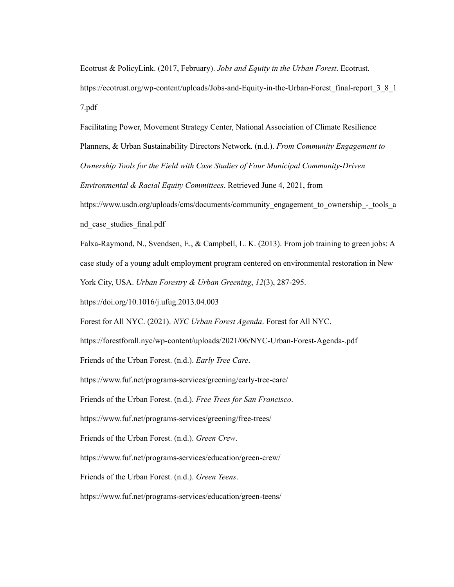Ecotrust & PolicyLink. (2017, February). *Jobs and Equity in the Urban Forest*. Ecotrust. https://ecotrust.org/wp-content/uploads/Jobs-and-Equity-in-the-Urban-Forest\_final-report\_3\_8\_1 7.pdf

Facilitating Power, Movement Strategy Center, National Association of Climate Resilience Planners, & Urban Sustainability Directors Network. (n.d.). *From Community Engagement to Ownership Tools for the Field with Case Studies of Four Municipal Community-Driven*

*Environmental & Racial Equity Committees*. Retrieved June 4, 2021, from

https://www.usdn.org/uploads/cms/documents/community\_engagement\_to\_ownership\_-\_tools\_a nd\_case\_studies\_final.pdf

Falxa-Raymond, N., Svendsen, E., & Campbell, L. K. (2013). From job training to green jobs: A case study of a young adult employment program centered on environmental restoration in New York City, USA. *Urban Forestry & Urban Greening*, *12*(3), 287-295.

https://doi.org/10.1016/j.ufug.2013.04.003

Forest for All NYC. (2021). *NYC Urban Forest Agenda*. Forest for All NYC.

https://forestforall.nyc/wp-content/uploads/2021/06/NYC-Urban-Forest-Agenda-.pdf

Friends of the Urban Forest. (n.d.). *Early Tree Care*.

https://www.fuf.net/programs-services/greening/early-tree-care/

Friends of the Urban Forest. (n.d.). *Free Trees for San Francisco*.

https://www.fuf.net/programs-services/greening/free-trees/

Friends of the Urban Forest. (n.d.). *Green Crew*.

https://www.fuf.net/programs-services/education/green-crew/

Friends of the Urban Forest. (n.d.). *Green Teens*.

https://www.fuf.net/programs-services/education/green-teens/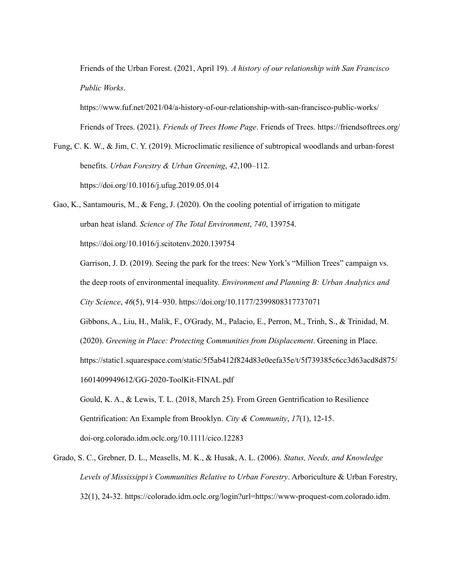Friends of the Urban Forest. (2021, April 19). *A history of our relationship with San Francisco Public Works*.

https://www.fuf.net/2021/04/a-history-of-our-relationship-with-san-francisco-public-works/ Friends of Trees. (2021). *Friends of Trees Home Page*. Friends of Trees. https://friendsoftrees.org/

Fung, C. K. W., & Jim, C. Y. (2019). Microclimatic resilience of subtropical woodlands and urban-forest benefits. *Urban Forestry & Urban Greening*, *42*,100–112. <https://doi.org/10.1016/j.ufug.2019.05.014>

Gao, K., Santamouris, M., & Feng, J. (2020). On the cooling potential of irrigation to mitigate urban heat island. *Science of The Total Environment*, *740*, 139754. <https://doi.org/10.1016/j.scitotenv.2020.139754>

Garrison, J. D. (2019). Seeing the park for the trees: New York's "Million Trees" campaign vs. the deep roots of environmental inequality. *Environment and Planning B: Urban Analytics and City Science*, *46*(5), 914–930. https://doi.org/10.1177/2399808317737071

Gibbons, A., Liu, H., Malik, F., O'Grady, M., Palacio, E., Perron, M., Trinh, S., & Trinidad, M.

(2020). *Greening in Place: Protecting Communities from Displacement*. Greening in Place.

https://static1.squarespace.com/static/5f5ab412f824d83e0eefa35e/t/5f739385c6cc3d63acd8d875/

1601409949612/GG-2020-ToolKit-FINAL.pdf

Gould, K. A., & Lewis, T. L. (2018, March 25). From Green Gentrification to Resilience Gentrification: An Example from Brooklyn. *City & Community*, *17*(1), 12-15. doi-org.colorado.idm.oclc.org/10.1111/cico.12283

Grado, S. C., Grebner, D. L., Measells, M. K., & Husak, A. L. (2006). *Status, Needs, and Knowledge Levels of Mississippi's Communities Relative to Urban Forestry*. Arboriculture & Urban Forestry, 32(1), 24-32. https://colorado.idm.oclc.org/login?url=https://www-proquest-com.colorado.idm.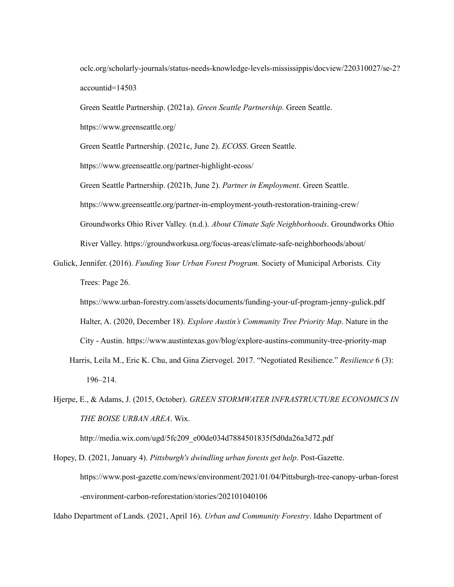oclc.org/scholarly-journals/status-needs-knowledge-levels-mississippis/docview/220310027/se-2? accountid=14503

Green Seattle Partnership. (2021a). *Green Seattle Partnership*. Green Seattle.

https://www.greenseattle.org/

Green Seattle Partnership. (2021c, June 2). *ECOSS*. Green Seattle.

https://www.greenseattle.org/partner-highlight-ecoss/

Green Seattle Partnership. (2021b, June 2). *Partner in Employment*. Green Seattle. https://www.greenseattle.org/partner-in-employment-youth-restoration-training-crew/ Groundworks Ohio River Valley. (n.d.). *About Climate Safe Neighborhoods*. Groundworks Ohio River Valley. https://groundworkusa.org/focus-areas/climate-safe-neighborhoods/about/

Gulick, Jennifer. (2016). *Funding Your Urban Forest Program.* Society of Municipal Arborists. City Trees: Page 26.

https://www.urban-forestry.com/assets/documents/funding-your-uf-program-jenny-gulick.pdf Halter, A. (2020, December 18). *Explore Austin's Community Tree Priority Map*. Nature in the City - Austin. <https://www.austintexas.gov/blog/explore-austins-community-tree-priority-map>

- Harris, Leila M., Eric K. Chu, and Gina Ziervogel. 2017. "Negotiated Resilience." *Resilience* 6 (3): 196–214.
- Hjerpe, E., & Adams, J. (2015, October). *GREEN STORMWATER INFRASTRUCTURE ECONOMICS IN THE BOISE URBAN AREA*. Wix.

http://media.wix.com/ugd/5fc209\_e00de034d7884501835f5d0da26a3d72.pdf

Hopey, D. (2021, January 4). *Pittsburgh's dwindling urban forests get help*. Post-Gazette. https://www.post-gazette.com/news/environment/2021/01/04/Pittsburgh-tree-canopy-urban-forest -environment-carbon-reforestation/stories/202101040106

Idaho Department of Lands. (2021, April 16). *Urban and Community Forestry*. Idaho Department of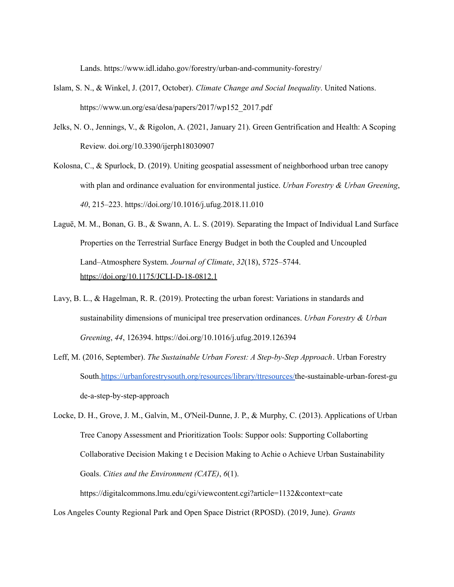Lands. https://www.idl.idaho.gov/forestry/urban-and-community-forestry/

- Islam, S. N., & Winkel, J. (2017, October). *Climate Change and Social Inequality*. United Nations. https://www.un.org/esa/desa/papers/2017/wp152\_2017.pdf
- Jelks, N. O., Jennings, V., & Rigolon, A. (2021, January 21). Green Gentrification and Health: A Scoping Review. doi.org/10.3390/ijerph18030907
- Kolosna, C., & Spurlock, D. (2019). Uniting geospatial assessment of neighborhood urban tree canopy with plan and ordinance evaluation for environmental justice. *Urban Forestry & Urban Greening*, *40*, 215–223. <https://doi.org/10.1016/j.ufug.2018.11.010>
- Laguë, M. M., Bonan, G. B., & Swann, A. L. S. (2019). Separating the Impact of Individual Land Surface Properties on the Terrestrial Surface Energy Budget in both the Coupled and Uncoupled Land–Atmosphere System. *Journal of Climate*, *32*(18), 5725–5744. <https://doi.org/10.1175/JCLI-D-18-0812.1>
- Lavy, B. L., & Hagelman, R. R. (2019). Protecting the urban forest: Variations in standards and sustainability dimensions of municipal tree preservation ordinances. *Urban Forestry & Urban Greening*, *44*, 126394. <https://doi.org/10.1016/j.ufug.2019.126394>
- Leff, M. (2016, September). *The Sustainable Urban Forest: A Step-by-Step Approach*. Urban Forestry South[.https://urbanforestrysouth.org/resources/library/ttresources/t](https://urbanforestrysouth.org/resources/library/ttresources/)he-sustainable-urban-forest-gu de-a-step-by-step-approach

Locke, D. H., Grove, J. M., Galvin, M., O'Neil-Dunne, J. P., & Murphy, C. (2013). Applications of Urban Tree Canopy Assessment and Prioritization Tools: Suppor ools: Supporting Collaborting Collaborative Decision Making t e Decision Making to Achie o Achieve Urban Sustainability Goals. *Cities and the Environment (CATE)*, *6*(1).

https://digitalcommons.lmu.edu/cgi/viewcontent.cgi?article=1132&context=cate Los Angeles County Regional Park and Open Space District (RPOSD). (2019, June). *Grants*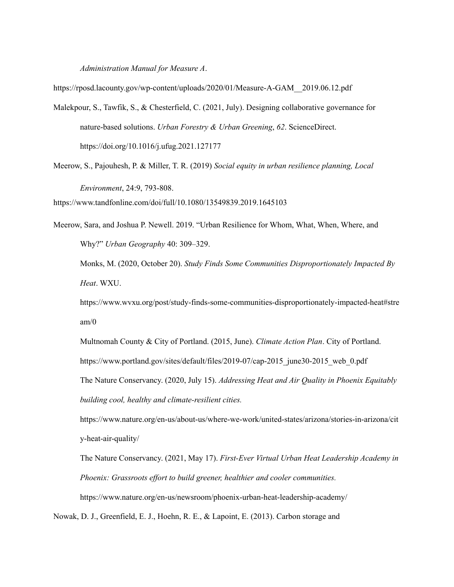*Administration Manual for Measure A*.

https://rposd.lacounty.gov/wp-content/uploads/2020/01/Measure-A-GAM\_\_2019.06.12.pdf

- Malekpour, S., Tawfik, S., & Chesterfield, C. (2021, July). Designing collaborative governance for nature-based solutions. *Urban Forestry & Urban Greening*, *62*. ScienceDirect. <https://doi.org/10.1016/j.ufug.2021.127177>
- Meerow, S., Pajouhesh, P. & Miller, T. R. (2019) *Social equity in urban resilience planning, Local Environment*, 24:9, 793-808. <https://www.tandfonline.com/doi/full/10.1080/13549839.2019.1645103>

Meerow, Sara, and Joshua P. Newell. 2019. "Urban Resilience for Whom, What, When, Where, and Why?" *Urban Geography* 40: 309–329.

Monks, M. (2020, October 20). *Study Finds Some Communities Disproportionately Impacted By Heat*. WXU.

https://www.wvxu.org/post/study-finds-some-communities-disproportionately-impacted-heat#stre am/0

Multnomah County & City of Portland. (2015, June). *Climate Action Plan*. City of Portland. https://www.portland.gov/sites/default/files/2019-07/cap-2015\_june30-2015\_web\_0.pdf

The Nature Conservancy. (2020, July 15). *Addressing Heat and Air Quality in Phoenix Equitably building cool, healthy and climate-resilient cities.*

https://www.nature.org/en-us/about-us/where-we-work/united-states/arizona/stories-in-arizona/cit y-heat-air-quality/

The Nature Conservancy. (2021, May 17). *First-Ever Virtual Urban Heat Leadership Academy in Phoenix: Grassroots ef ort to build greener, healthier and cooler communities.* https://www.nature.org/en-us/newsroom/phoenix-urban-heat-leadership-academy/

Nowak, D. J., Greenfield, E. J., Hoehn, R. E., & Lapoint, E. (2013). Carbon storage and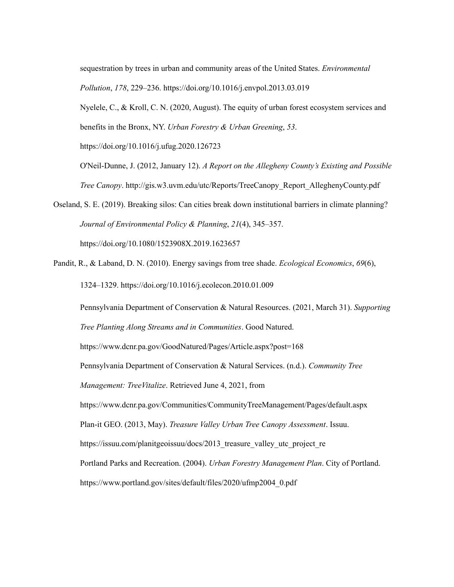sequestration by trees in urban and community areas of the United States. *Environmental Pollution*, *178*, 229–236. <https://doi.org/10.1016/j.envpol.2013.03.019>

Nyelele, C., & Kroll, C. N. (2020, August). The equity of urban forest ecosystem services and benefits in the Bronx, NY. *Urban Forestry & Urban Greening*, *53*.

https://doi.org/10.1016/j.ufug.2020.126723

- O'Neil-Dunne, J. (2012, January 12). *A Report on the Allegheny County's Existing and Possible Tree Canopy*. [http://gis.w3.uvm.edu/utc/Reports/TreeCanopy\\_Report\\_AlleghenyCounty.pdf](http://gis.w3.uvm.edu/utc/Reports/TreeCanopy_Report_AlleghenyCounty.pdf)
- Oseland, S. E. (2019). Breaking silos: Can cities break down institutional barriers in climate planning? *Journal of Environmental Policy & Planning*, *21*(4), 345–357[.](https://doi.org/10.1080/1523908X.2019.1623657) <https://doi.org/10.1080/1523908X.2019.1623657>
- Pandit, R., & Laband, D. N. (2010). Energy savings from tree shade. *Ecological Economics*, *69*(6), 1324–1329. <https://doi.org/10.1016/j.ecolecon.2010.01.009>

Pennsylvania Department of Conservation & Natural Resources. (2021, March 31). *Supporting Tree Planting Along Streams and in Communities*. Good Natured.

https://www.dcnr.pa.gov/GoodNatured/Pages/Article.aspx?post=168

Pennsylvania Department of Conservation & Natural Services. (n.d.). *Community Tree*

*Management: TreeVitalize*. Retrieved June 4, 2021, from

https://www.dcnr.pa.gov/Communities/CommunityTreeManagement/Pages/default.aspx

Plan-it GEO. (2013, May). *Treasure Valley Urban Tree Canopy Assessment*. Issuu.

https://issuu.com/planitgeoissuu/docs/2013 treasure valley utc project re

Portland Parks and Recreation. (2004). *Urban Forestry Management Plan*. City of Portland.

https://www.portland.gov/sites/default/files/2020/ufmp2004\_0.pdf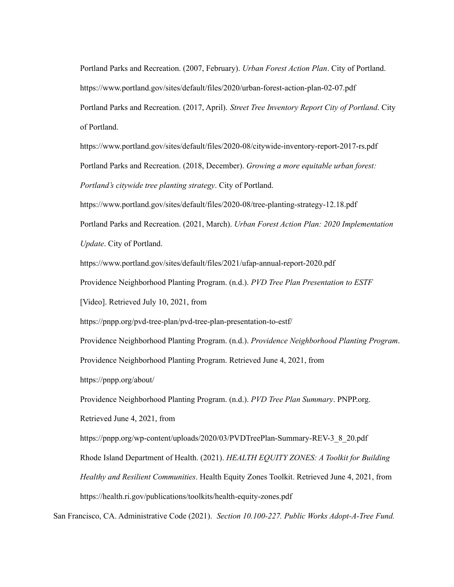Portland Parks and Recreation. (2007, February). *Urban Forest Action Plan*. City of Portland. https://www.portland.gov/sites/default/files/2020/urban-forest-action-plan-02-07.pdf Portland Parks and Recreation. (2017, April). *Street Tree Inventory Report City of Portland*. City of Portland.

https://www.portland.gov/sites/default/files/2020-08/citywide-inventory-report-2017-rs.pdf Portland Parks and Recreation. (2018, December). *Growing a more equitable urban forest: Portland's citywide tree planting strategy*. City of Portland.

https://www.portland.gov/sites/default/files/2020-08/tree-planting-strategy-12.18.pdf

Portland Parks and Recreation. (2021, March). *Urban Forest Action Plan: 2020 Implementation Update*. City of Portland.

https://www.portland.gov/sites/default/files/2021/ufap-annual-report-2020.pdf

Providence Neighborhood Planting Program. (n.d.). *PVD Tree Plan Presentation to ESTF*

[Video]. Retrieved July 10, 2021, from

https://pnpp.org/pvd-tree-plan/pvd-tree-plan-presentation-to-estf/

Providence Neighborhood Planting Program. (n.d.). *Providence Neighborhood Planting Program*.

Providence Neighborhood Planting Program. Retrieved June 4, 2021, from

https://pnpp.org/about/

Providence Neighborhood Planting Program. (n.d.). *PVD Tree Plan Summary*. PNPP.org.

Retrieved June 4, 2021, from

https://pnpp.org/wp-content/uploads/2020/03/PVDTreePlan-Summary-REV-3\_8\_20.pdf

Rhode Island Department of Health. (2021). *HEALTH EQUITY ZONES: A Toolkit for Building*

*Healthy and Resilient Communities*. Health Equity Zones Toolkit. Retrieved June 4, 2021, from

https://health.ri.gov/publications/toolkits/health-equity-zones.pdf

San Francisco, CA. Administrative Code (2021). *Section 10.100-227. Public Works Adopt-A-Tree Fund.*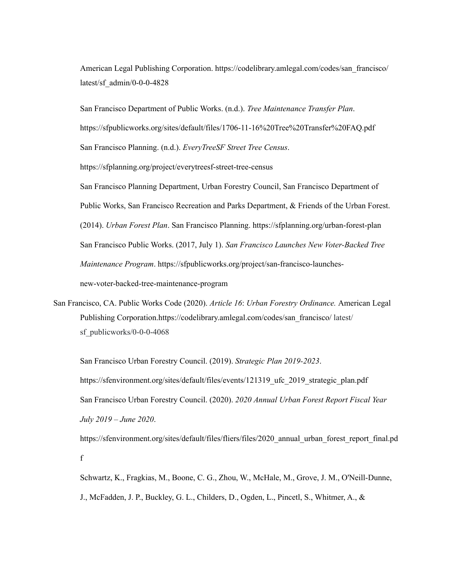American Legal Publishing Corporation. https://codelibrary.amlegal.com/codes/san\_francisco/ latest/sf\_admin/0-0-0-4828

San Francisco Department of Public Works. (n.d.). *Tree Maintenance Transfer Plan*. https://sfpublicworks.org/sites/default/files/1706-11-16%20Tree%20Transfer%20FAQ.pdf San Francisco Planning. (n.d.). *EveryTreeSF Street Tree Census*. https://sfplanning.org/project/everytreesf-street-tree-census San Francisco Planning Department, Urban Forestry Council, San Francisco Department of Public Works, San Francisco Recreation and Parks Department, & Friends of the Urban Forest. (2014). *Urban Forest Plan*. San Francisco Planning. https://sfplanning.org/urban-forest-plan San Francisco Public Works. (2017, July 1). *San Francisco Launches New Voter-Backed Tree Maintenance Program*. https://sfpublicworks.org/project/san-francisco-launchesnew-voter-backed-tree-maintenance-program

San Francisco, CA. Public Works Code (2020). *Article 16*: *Urban Forestry Ordinance.* American Legal Publishing Corporation.https://codelibrary.amlegal.com/codes/san\_francisco/ latest/ sf publicworks/0-0-0-4068

San Francisco Urban Forestry Council. (2019). *Strategic Plan 2019-2023*. https://sfenvironment.org/sites/default/files/events/121319 ufc 2019 strategic plan.pdf San Francisco Urban Forestry Council. (2020). *2020 Annual Urban Forest Report Fiscal Year July 2019 – June 2020*.

https://sfenvironment.org/sites/default/files/fliers/files/2020\_annual\_urban\_forest\_report\_final.pd f

Schwartz, K., Fragkias, M., Boone, C. G., Zhou, W., McHale, M., Grove, J. M., O'Neill-Dunne, J., McFadden, J. P., Buckley, G. L., Childers, D., Ogden, L., Pincetl, S., Whitmer, A., &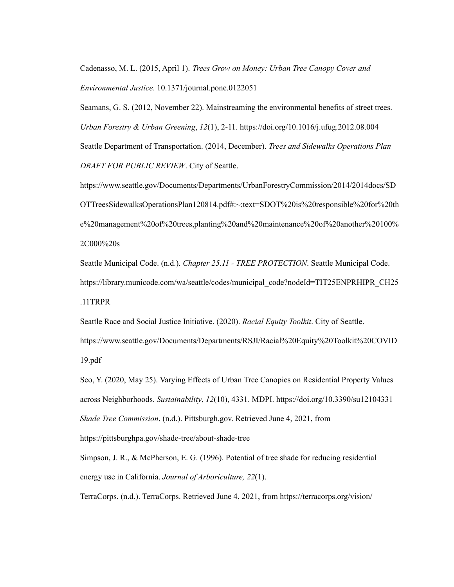Cadenasso, M. L. (2015, April 1). *Trees Grow on Money: Urban Tree Canopy Cover and Environmental Justice*. 10.1371/journal.pone.0122051

Seamans, G. S. (2012, November 22). Mainstreaming the environmental benefits of street trees. *Urban Forestry & Urban Greening*, *12*(1), 2-11. https://doi.org/10.1016/j.ufug.2012.08.004 Seattle Department of Transportation. (2014, December). *Trees and Sidewalks Operations Plan DRAFT FOR PUBLIC REVIEW*. City of Seattle.

https://www.seattle.gov/Documents/Departments/UrbanForestryCommission/2014/2014docs/SD OTTreesSidewalksOperationsPlan120814.pdf#:~:text=SDOT%20is%20responsible%20for%20th e%20management%20of%20trees,planting%20and%20maintenance%20of%20another%20100% 2C000%20s

Seattle Municipal Code. (n.d.). *Chapter 25.11 - TREE PROTECTION*. Seattle Municipal Code. https://library.municode.com/wa/seattle/codes/municipal\_code?nodeId=TIT25ENPRHIPR\_CH25 .11TRPR

Seattle Race and Social Justice Initiative. (2020). *Racial Equity Toolkit*. City of Seattle.

https://www.seattle.gov/Documents/Departments/RSJI/Racial%20Equity%20Toolkit%20COVID 19.pdf

Seo, Y. (2020, May 25). Varying Effects of Urban Tree Canopies on Residential Property Values across Neighborhoods. *Sustainability*, *12*(10), 4331. MDPI. https://doi.org/10.3390/su12104331 *Shade Tree Commission*. (n.d.). Pittsburgh.gov. Retrieved June 4, 2021, from <https://pittsburghpa.gov/shade-tree/about-shade-tree>

Simpson, J. R., & McPherson, E. G. (1996). Potential of tree shade for reducing residential energy use in California. *Journal of Arboriculture, 22*(1).

TerraCorps. (n.d.). TerraCorps. Retrieved June 4, 2021, from https://terracorps.org/vision/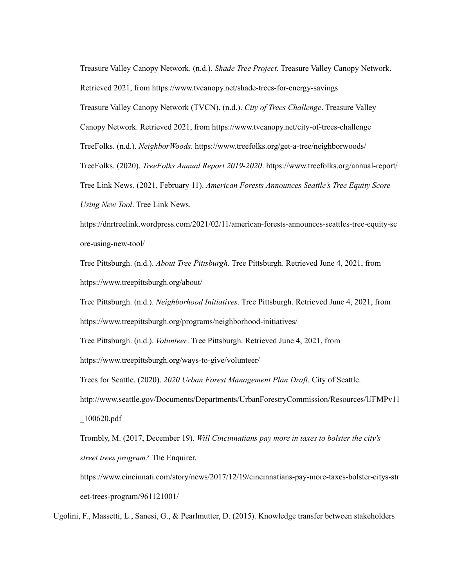Treasure Valley Canopy Network. (n.d.). *Shade Tree Project*. Treasure Valley Canopy Network. Retrieved 2021, from https://www.tvcanopy.net/shade-trees-for-energy-savings Treasure Valley Canopy Network (TVCN). (n.d.). *City of Trees Challenge*. Treasure Valley Canopy Network. Retrieved 2021, from https://www.tvcanopy.net/city-of-trees-challenge TreeFolks. (n.d.). *NeighborWoods*. https://www.treefolks.org/get-a-tree/neighborwoods/ TreeFolks. (2020). *TreeFolks Annual Report 2019-2020*. https://www.treefolks.org/annual-report/ Tree Link News. (2021, February 11). *American Forests Announces Seattle's Tree Equity Score Using New Tool*. Tree Link News.

https://dnrtreelink.wordpress.com/2021/02/11/american-forests-announces-seattles-tree-equity-sc ore-using-new-tool/

Tree Pittsburgh. (n.d.). *About Tree Pittsburgh*. Tree Pittsburgh. Retrieved June 4, 2021, from https://www.treepittsburgh.org/about/

Tree Pittsburgh. (n.d.). *Neighborhood Initiatives*. Tree Pittsburgh. Retrieved June 4, 2021, from https://www.treepittsburgh.org/programs/neighborhood-initiatives/

Tree Pittsburgh. (n.d.). *Volunteer*. Tree Pittsburgh. Retrieved June 4, 2021, from

https://www.treepittsburgh.org/ways-to-give/volunteer/

Trees for Seattle. (2020). *2020 Urban Forest Management Plan Draft*. City of Seattle.

http://www.seattle.gov/Documents/Departments/UrbanForestryCommission/Resources/UFMPv11 \_100620.pdf

Trombly, M. (2017, December 19). *Will Cincinnatians pay more in taxes to bolster the city's street trees program?* The Enquirer.

[https://www.cincinnati.com/story/news/2017/12/19/cincinnatians-pay-more-taxes-bolster-citys-str](https://www.cincinnati.com/story/news/2017/12/19/cincinnatians-pay-more-taxes-bolster-citys-street-trees-program/961121001/) [eet-trees-program/961121001/](https://www.cincinnati.com/story/news/2017/12/19/cincinnatians-pay-more-taxes-bolster-citys-street-trees-program/961121001/)

Ugolini, F., Massetti, L., Sanesi, G., & Pearlmutter, D. (2015). Knowledge transfer between stakeholders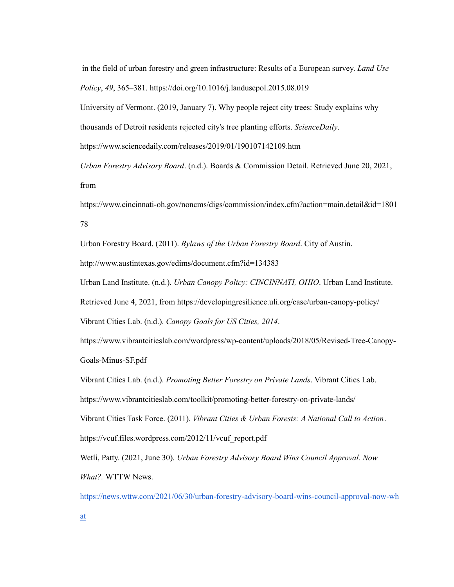in the field of urban forestry and green infrastructure: Results of a European survey. *Land Use Policy*, *49*, 365–381. <https://doi.org/10.1016/j.landusepol.2015.08.019>

University of Vermont. (2019, January 7). Why people reject city trees: Study explains why thousands of Detroit residents rejected city's tree planting efforts. *ScienceDaily*.

https://www.sciencedaily.com/releases/2019/01/190107142109.htm

*Urban Forestry Advisory Board*. (n.d.). Boards & Commission Detail. Retrieved June 20, 2021, from

https://www.cincinnati-oh.gov/noncms/digs/commission/index.cfm?action=main.detail&id=1801 78

Urban Forestry Board. (2011). *Bylaws of the Urban Forestry Board*. City of Austin.

http://www.austintexas.gov/edims/document.cfm?id=134383

Urban Land Institute. (n.d.). *Urban Canopy Policy: CINCINNATI, OHIO*. Urban Land Institute.

Retrieved June 4, 2021, from https://developingresilience.uli.org/case/urban-canopy-policy/

Vibrant Cities Lab. (n.d.). *Canopy Goals for US Cities, 2014*.

https://www.vibrantcitieslab.com/wordpress/wp-content/uploads/2018/05/Revised-Tree-Canopy-Goals-Minus-SF.pdf

Vibrant Cities Lab. (n.d.). *Promoting Better Forestry on Private Lands*. Vibrant Cities Lab.

https://www.vibrantcitieslab.com/toolkit/promoting-better-forestry-on-private-lands/

Vibrant Cities Task Force. (2011). *Vibrant Cities & Urban Forests: A National Call to Action*.

https://vcuf.files.wordpress.com/2012/11/vcuf\_report.pdf

Wetli, Patty. (2021, June 30). *Urban Forestry Advisory Board Wins Council Approval. Now What?.* WTTW News.

[https://news.wttw.com/2021/06/30/urban-forestry-advisory-board-wins-council-approval-now-wh](https://news.wttw.com/2021/06/30/urban-forestry-advisory-board-wins-council-approval-now-what)